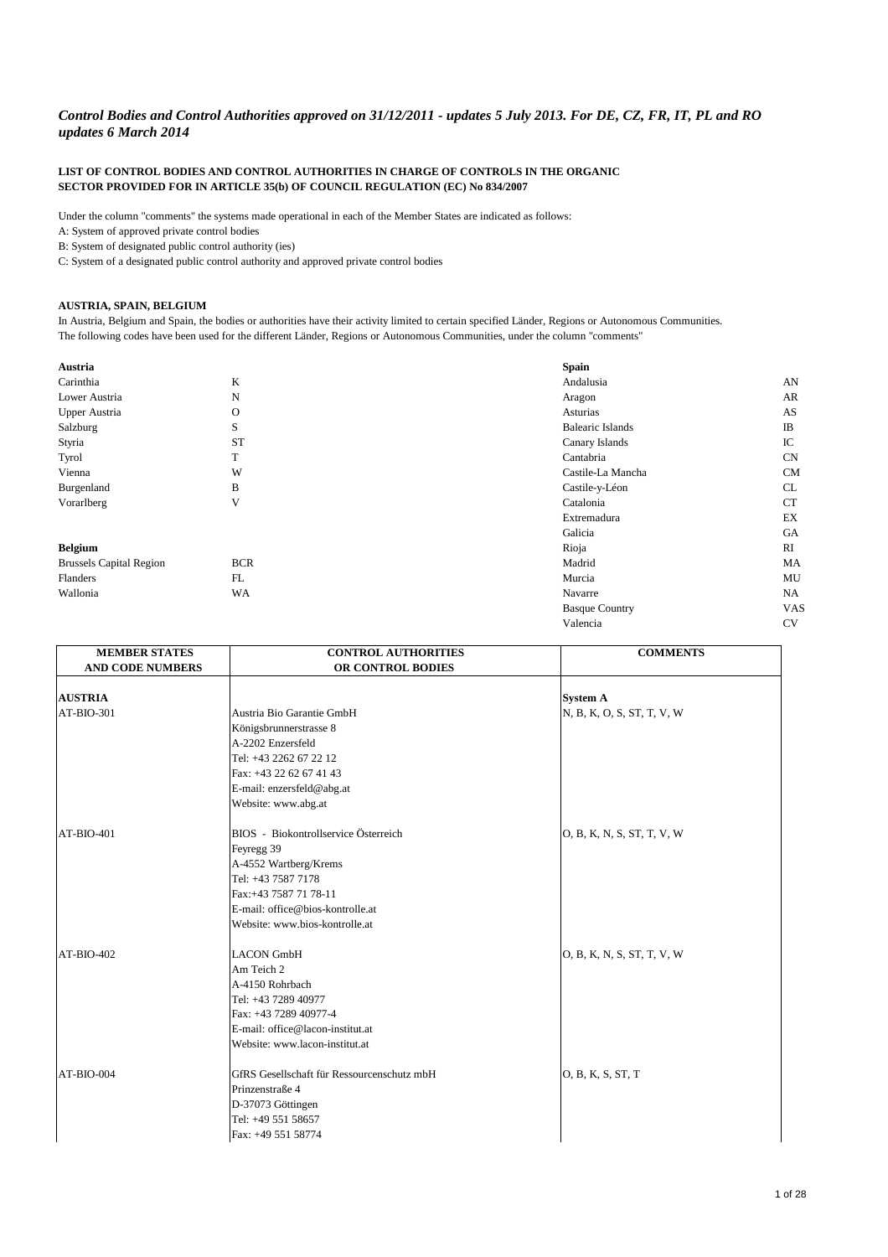## **LIST OF CONTROL BODIES AND CONTROL AUTHORITIES IN CHARGE OF CONTROLS IN THE ORGANIC SECTOR PROVIDED FOR IN ARTICLE 35(b) OF COUNCIL REGULATION (EC) No 834/2007**

Under the column "comments" the systems made operational in each of the Member States are indicated as follows:

A: System of approved private control bodies

B: System of designated public control authority (ies)

C: System of a designated public control authority and approved private control bodies

## **AUSTRIA, SPAIN, BELGIUM**

In Austria, Belgium and Spain, the bodies or authorities have their activity limited to certain specified Länder, Regions or Autonomous Communities. The following codes have been used for the different Länder, Regions or Autonomous Communities, under the column "comments"

| Austria                        |             | <b>Spain</b>            |                            |
|--------------------------------|-------------|-------------------------|----------------------------|
| Carinthia                      | K           | Andalusia               | AN                         |
| Lower Austria                  | $\mathbf N$ | Aragon                  | AR                         |
| <b>Upper Austria</b>           | $\Omega$    | Asturias                | AS                         |
| Salzburg                       | S           | <b>Balearic Islands</b> | IB                         |
| Styria                         | <b>ST</b>   | Canary Islands          | IC                         |
| <b>Tyrol</b>                   | T           | Cantabria               | CN                         |
| Vienna                         | W           | Castile-La Mancha       | CM                         |
| Burgenland                     | B           | Castile-y-Léon          | CL                         |
| Vorarlberg                     | $\mathbf V$ | Catalonia               | <b>CT</b>                  |
|                                |             | Extremadura             | $\mathop{\rm EX}\nolimits$ |
|                                |             | Galicia                 | <b>GA</b>                  |
| <b>Belgium</b>                 |             | Rioja                   | RI                         |
| <b>Brussels Capital Region</b> | <b>BCR</b>  | Madrid                  | MA                         |
| Flanders                       | FL          | Murcia                  | MU                         |
| Wallonia                       | <b>WA</b>   | Navarre                 | NA                         |
|                                |             | <b>Basque Country</b>   | <b>VAS</b>                 |
|                                |             | Valencia                | CV                         |

| <b>MEMBER STATES</b>    | <b>CONTROL AUTHORITIES</b>                 | <b>COMMENTS</b>            |
|-------------------------|--------------------------------------------|----------------------------|
| <b>AND CODE NUMBERS</b> | OR CONTROL BODIES                          |                            |
|                         |                                            |                            |
| <b>AUSTRIA</b>          |                                            | <b>System A</b>            |
| AT-BIO-301              | Austria Bio Garantie GmbH                  | N, B, K, O, S, ST, T, V, W |
|                         | Königsbrunnerstrasse 8                     |                            |
|                         | A-2202 Enzersfeld                          |                            |
|                         | Tel: +43 2262 67 22 12                     |                            |
|                         | Fax: +43 22 62 67 41 43                    |                            |
|                         | E-mail: enzersfeld@abg.at                  |                            |
|                         | Website: www.abg.at                        |                            |
| AT-BIO-401              | BIOS - Biokontrollservice Österreich       | O, B, K, N, S, ST, T, V, W |
|                         | Feyregg 39                                 |                            |
|                         | A-4552 Wartberg/Krems                      |                            |
|                         | Tel: +43 7587 7178                         |                            |
|                         | Fax:+43 7587 71 78-11                      |                            |
|                         | E-mail: office@bios-kontrolle.at           |                            |
|                         | Website: www.bios-kontrolle.at             |                            |
| AT-BIO-402              | <b>LACON GmbH</b>                          | O, B, K, N, S, ST, T, V, W |
|                         | Am Teich 2                                 |                            |
|                         | A-4150 Rohrbach                            |                            |
|                         | Tel: +43 7289 40977                        |                            |
|                         | Fax: +43 7289 40977-4                      |                            |
|                         | E-mail: office@lacon-institut.at           |                            |
|                         | Website: www.lacon-institut.at             |                            |
| AT-BIO-004              | GfRS Gesellschaft für Ressourcenschutz mbH | O, B, K, S, ST, T          |
|                         | Prinzenstraße 4                            |                            |
|                         | D-37073 Göttingen                          |                            |
|                         | Tel: +49 551 58657                         |                            |
|                         | Fax: +49 551 58774                         |                            |

## *Control Bodies and Control Authorities approved on 31/12/2011 - updates 5 July 2013. For DE, CZ, FR, IT, PL and RO updates 6 March 2014*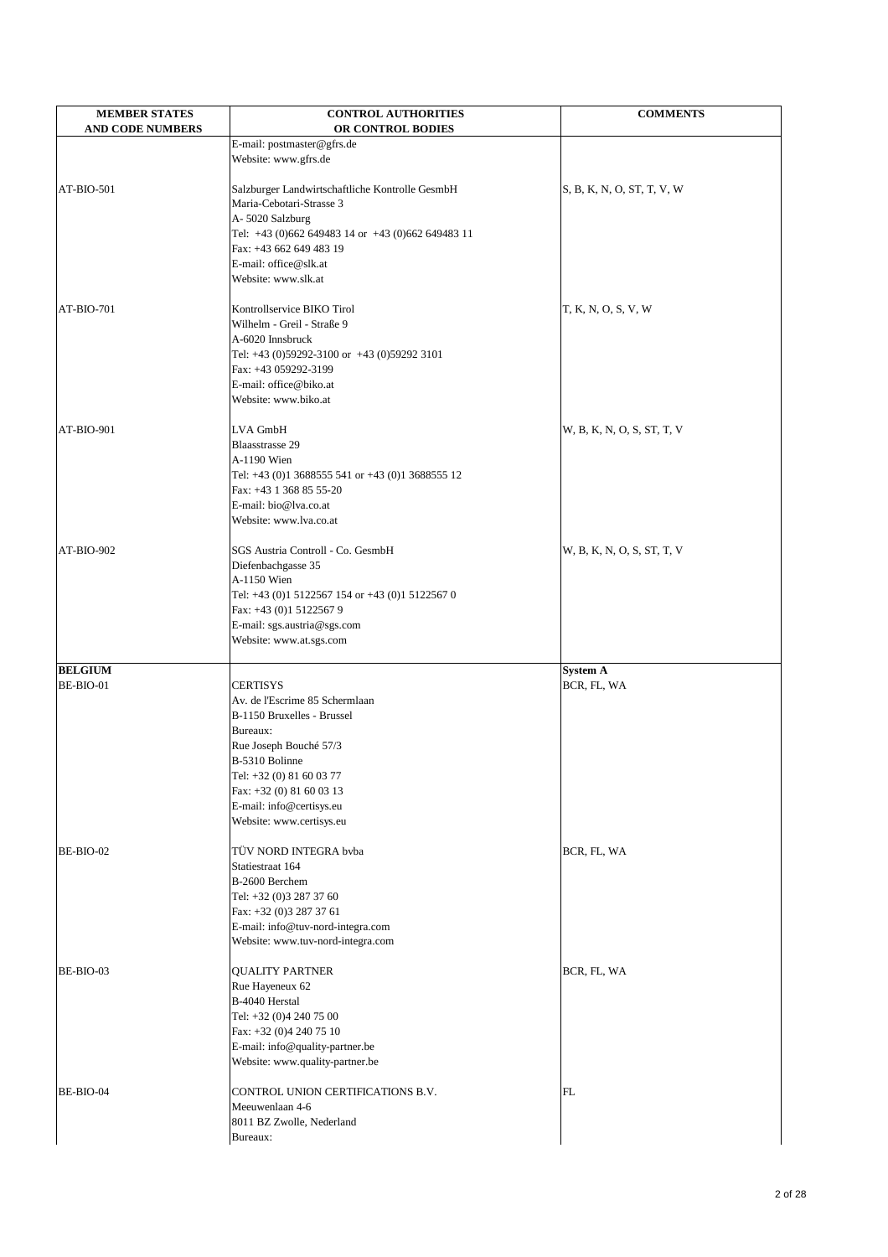| <b>MEMBER STATES</b><br><b>AND CODE NUMBERS</b> | <b>CONTROL AUTHORITIES</b><br>OR CONTROL BODIES                 | <b>COMMENTS</b>            |
|-------------------------------------------------|-----------------------------------------------------------------|----------------------------|
|                                                 | E-mail: postmaster@gfrs.de                                      |                            |
|                                                 | Website: www.gfrs.de                                            |                            |
| AT-BIO-501                                      | Salzburger Landwirtschaftliche Kontrolle GesmbH                 | S, B, K, N, O, ST, T, V, W |
|                                                 | Maria-Cebotari-Strasse 3                                        |                            |
|                                                 | A-5020 Salzburg                                                 |                            |
|                                                 | Tel: +43 (0)662 649483 14 or +43 (0)662 649483 11               |                            |
|                                                 | Fax: +43 662 649 483 19<br>E-mail: office@slk.at                |                            |
|                                                 | Website: www.slk.at                                             |                            |
|                                                 |                                                                 |                            |
| AT-BIO-701                                      | Kontrollservice BIKO Tirol                                      | T, K, N, O, S, V, W        |
|                                                 | Wilhelm - Greil - Straße 9                                      |                            |
|                                                 | A-6020 Innsbruck<br>Tel: +43 (0)59292-3100 or +43 (0)59292 3101 |                            |
|                                                 | Fax: +43 059292-3199                                            |                            |
|                                                 | E-mail: office@biko.at                                          |                            |
|                                                 | Website: www.biko.at                                            |                            |
| AT-BIO-901                                      | LVA GmbH                                                        | W, B, K, N, O, S, ST, T, V |
|                                                 | <b>Blaasstrasse 29</b>                                          |                            |
|                                                 | A-1190 Wien                                                     |                            |
|                                                 | Tel: +43 (0)1 3688555 541 or +43 (0)1 3688555 12                |                            |
|                                                 | Fax: +43 1 368 85 55-20<br>E-mail: bio@lva.co.at                |                            |
|                                                 | Website: www.lva.co.at                                          |                            |
|                                                 |                                                                 |                            |
| AT-BIO-902                                      | <b>SGS Austria Controll - Co. GesmbH</b>                        | W, B, K, N, O, S, ST, T, V |
|                                                 | Diefenbachgasse 35                                              |                            |
|                                                 | A-1150 Wien<br>Tel: +43 (0)1 5122567 154 or +43 (0)1 5122567 0  |                            |
|                                                 | Fax: +43 (0)1 5122567 9                                         |                            |
|                                                 | E-mail: sgs.austria@sgs.com                                     |                            |
|                                                 | Website: www.at.sgs.com                                         |                            |
| <b>BELGIUM</b>                                  |                                                                 | <b>System A</b>            |
| BE-BIO-01                                       | <b>CERTISYS</b>                                                 | BCR, FL, WA                |
|                                                 | Av. de l'Escrime 85 Schermlaan                                  |                            |
|                                                 | B-1150 Bruxelles - Brussel                                      |                            |
|                                                 | Bureaux:                                                        |                            |
|                                                 | Rue Joseph Bouché 57/3<br>B-5310 Bolinne                        |                            |
|                                                 | Tel: +32 (0) 81 60 03 77                                        |                            |
|                                                 | Fax: +32 (0) 81 60 03 13                                        |                            |
|                                                 | E-mail: info@certisys.eu                                        |                            |
|                                                 | Website: www.certisys.eu                                        |                            |
| BE-BIO-02                                       | TÜV NORD INTEGRA bvba                                           | BCR, FL, WA                |
|                                                 | Statiestraat 164                                                |                            |
|                                                 | B-2600 Berchem                                                  |                            |
|                                                 | Tel: +32 (0)3 287 37 60                                         |                            |
|                                                 | Fax: +32 (0)3 287 37 61<br>E-mail: info@tuv-nord-integra.com    |                            |
|                                                 | Website: www.tuv-nord-integra.com                               |                            |
|                                                 |                                                                 |                            |
| BE-BIO-03                                       | <b>QUALITY PARTNER</b>                                          | BCR, FL, WA                |
|                                                 | Rue Hayeneux 62<br>B-4040 Herstal                               |                            |
|                                                 | Tel: +32 (0)4 240 75 00                                         |                            |
|                                                 | Fax: +32 (0)4 240 75 10                                         |                            |
|                                                 | E-mail: info@quality-partner.be                                 |                            |
|                                                 | Website: www.quality-partner.be                                 |                            |
| BE-BIO-04                                       | CONTROL UNION CERTIFICATIONS B.V.                               | FL                         |
|                                                 | Meeuwenlaan 4-6                                                 |                            |
|                                                 | 8011 BZ Zwolle, Nederland                                       |                            |
|                                                 | Bureaux:                                                        |                            |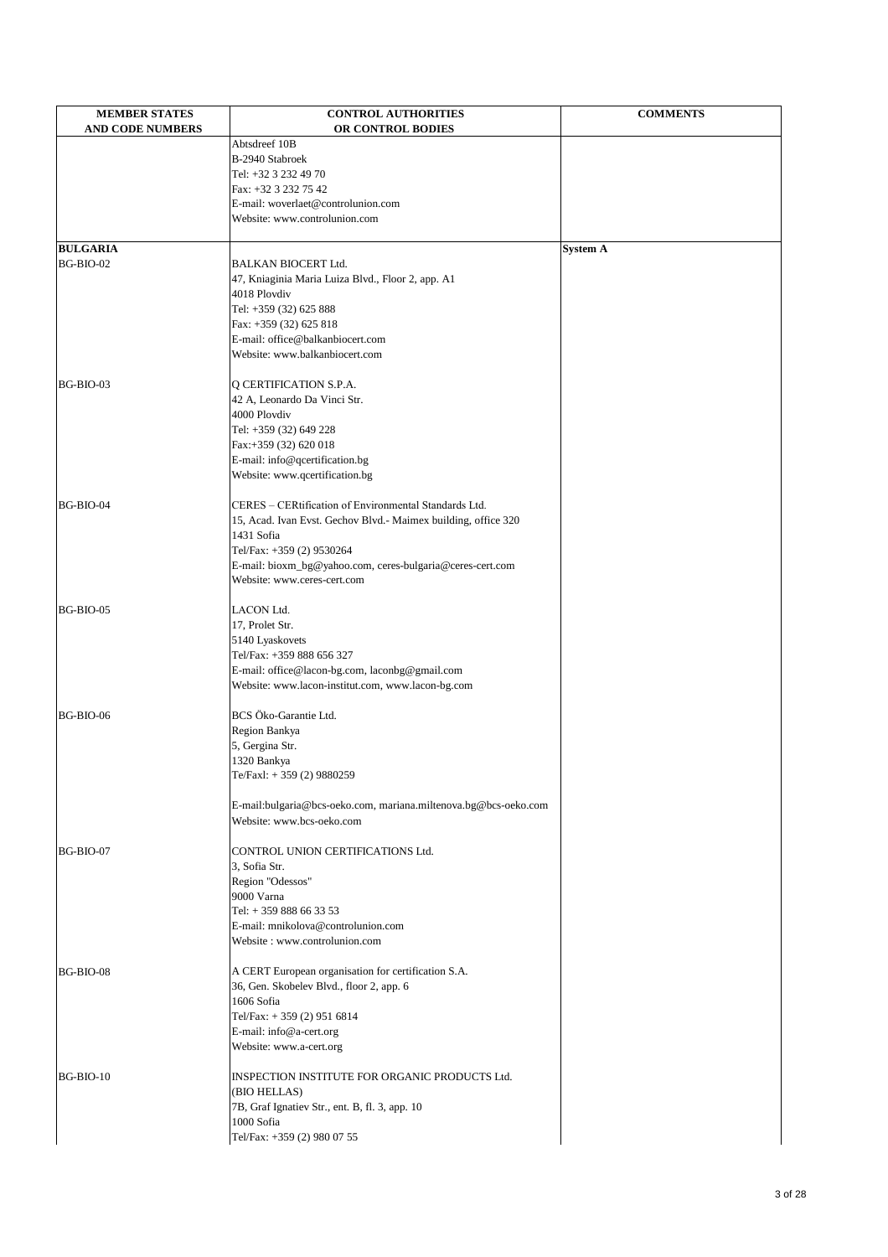| <b>MEMBER STATES</b>    | <b>CONTROL AUTHORITIES</b>                                       | <b>COMMENTS</b> |
|-------------------------|------------------------------------------------------------------|-----------------|
| <b>AND CODE NUMBERS</b> | OR CONTROL BODIES<br>Abtsdreef 10B                               |                 |
|                         | B-2940 Stabroek                                                  |                 |
|                         | Tel: +32 3 232 49 70                                             |                 |
|                         | Fax: +32 3 232 75 42                                             |                 |
|                         | E-mail: woverlaet@controlunion.com                               |                 |
|                         | Website: www.controlunion.com                                    |                 |
| <b>BULGARIA</b>         |                                                                  | <b>System A</b> |
| BG-BIO-02               | <b>BALKAN BIOCERT Ltd.</b>                                       |                 |
|                         | 47, Kniaginia Maria Luiza Blvd., Floor 2, app. A1                |                 |
|                         | 4018 Plovdiv                                                     |                 |
|                         | Tel: +359 (32) 625 888                                           |                 |
|                         | Fax: +359 (32) 625 818                                           |                 |
|                         | E-mail: office@balkanbiocert.com                                 |                 |
|                         | Website: www.balkanbiocert.com                                   |                 |
| BG-BIO-03               | Q CERTIFICATION S.P.A.                                           |                 |
|                         | 42 A, Leonardo Da Vinci Str.                                     |                 |
|                         | 4000 Plovdiv                                                     |                 |
|                         | Tel: +359 (32) 649 228                                           |                 |
|                         | Fax:+359 (32) 620 018                                            |                 |
|                         | E-mail: info@qcertification.bg<br>Website: www.qcertification.bg |                 |
|                         |                                                                  |                 |
| BG-BIO-04               | CERES - CERtification of Environmental Standards Ltd.            |                 |
|                         | 15, Acad. Ivan Evst. Gechov Blvd.- Maimex building, office 320   |                 |
|                         | 1431 Sofia                                                       |                 |
|                         | Tel/Fax: +359 (2) 9530264                                        |                 |
|                         | E-mail: bioxm_bg@yahoo.com, ceres-bulgaria@ceres-cert.com        |                 |
|                         | Website: www.ceres-cert.com                                      |                 |
| BG-BIO-05               | <b>LACON Ltd.</b>                                                |                 |
|                         | 17, Prolet Str.                                                  |                 |
|                         | 5140 Lyaskovets                                                  |                 |
|                         | Tel/Fax: +359 888 656 327                                        |                 |
|                         | E-mail: office@lacon-bg.com, laconbg@gmail.com                   |                 |
|                         | Website: www.lacon-institut.com, www.lacon-bg.com                |                 |
| BG-BIO-06               | BCS Öko-Garantie Ltd.                                            |                 |
|                         | Region Bankya                                                    |                 |
|                         | 5, Gergina Str.                                                  |                 |
|                         | 1320 Bankya                                                      |                 |
|                         | Te/Faxl: +359 (2) 9880259                                        |                 |
|                         | E-mail:bulgaria@bcs-oeko.com, mariana.miltenova.bg@bcs-oeko.com  |                 |
|                         | Website: www.bcs-oeko.com                                        |                 |
|                         |                                                                  |                 |
| BG-BIO-07               | CONTROL UNION CERTIFICATIONS Ltd.                                |                 |
|                         | 3, Sofia Str.                                                    |                 |
|                         | Region "Odessos"<br>9000 Varna                                   |                 |
|                         | Tel: +359 888 66 33 53                                           |                 |
|                         | E-mail: mnikolova@controlunion.com                               |                 |
|                         | Website: www.controlunion.com                                    |                 |
|                         |                                                                  |                 |
| BG-BIO-08               | A CERT European organisation for certification S.A.              |                 |
|                         | 36, Gen. Skobelev Blvd., floor 2, app. 6<br>1606 Sofia           |                 |
|                         | Tel/Fax: +359 (2) 951 6814                                       |                 |
|                         | E-mail: info@a-cert.org                                          |                 |
|                         | Website: www.a-cert.org                                          |                 |
|                         |                                                                  |                 |
| BG-BIO-10               | INSPECTION INSTITUTE FOR ORGANIC PRODUCTS Ltd.<br>(BIO HELLAS)   |                 |
|                         | 7B, Graf Ignatiev Str., ent. B, fl. 3, app. 10                   |                 |
|                         | 1000 Sofia                                                       |                 |
|                         | Tel/Fax: +359 (2) 980 07 55                                      |                 |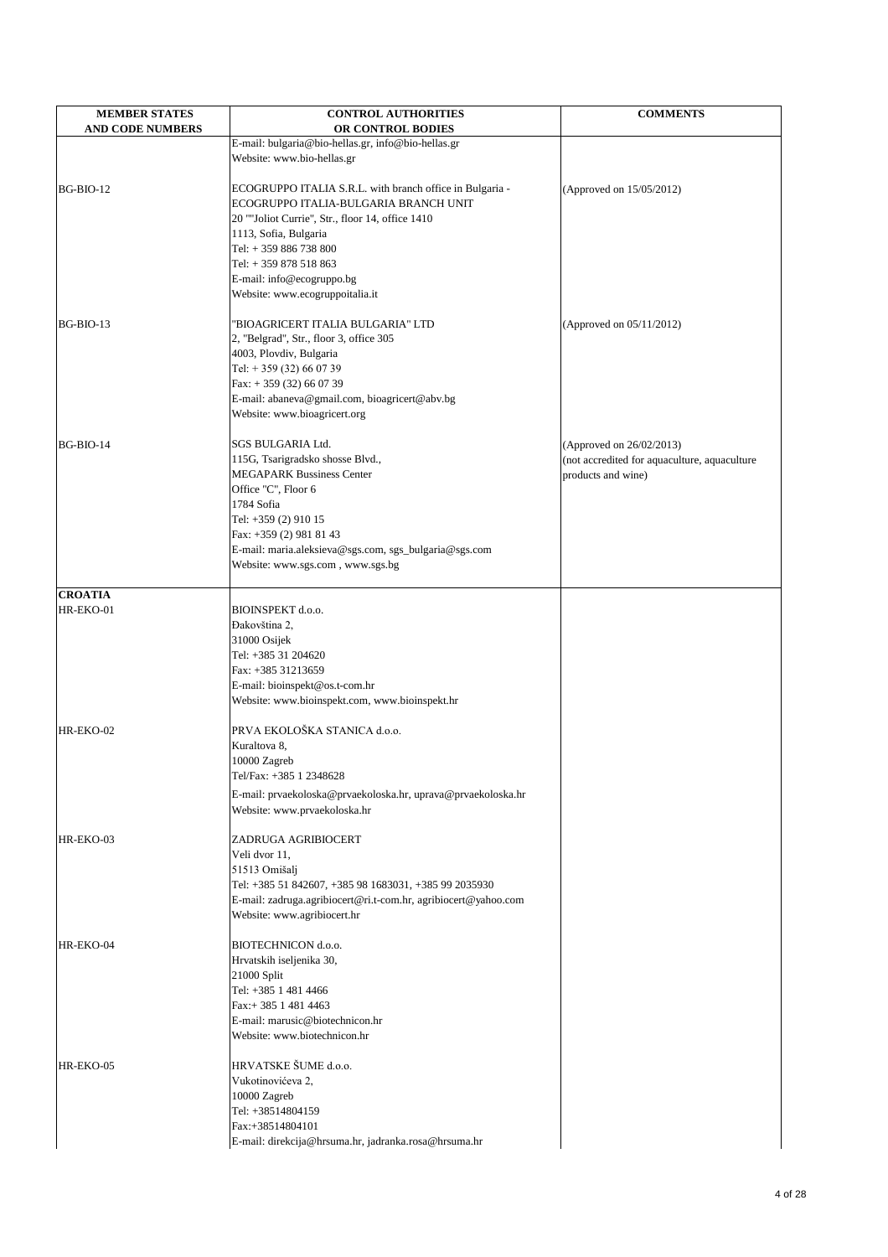| <b>MEMBER STATES</b><br><b>AND CODE NUMBERS</b> | <b>CONTROL AUTHORITIES</b><br>OR CONTROL BODIES                | <b>COMMENTS</b>                                                    |
|-------------------------------------------------|----------------------------------------------------------------|--------------------------------------------------------------------|
|                                                 | E-mail: bulgaria@bio-hellas.gr, info@bio-hellas.gr             |                                                                    |
|                                                 | Website: www.bio-hellas.gr                                     |                                                                    |
|                                                 |                                                                |                                                                    |
| BG-BIO-12                                       | ECOGRUPPO ITALIA S.R.L. with branch office in Bulgaria -       | (Approved on 15/05/2012)                                           |
|                                                 | ECOGRUPPO ITALIA-BULGARIA BRANCH UNIT                          |                                                                    |
|                                                 | 20 ""Joliot Currie", Str., floor 14, office 1410               |                                                                    |
|                                                 | 1113, Sofia, Bulgaria                                          |                                                                    |
|                                                 | Tel: +359 886 738 800                                          |                                                                    |
|                                                 | Tel: +359 878 518 863                                          |                                                                    |
|                                                 | E-mail: info@ecogruppo.bg                                      |                                                                    |
|                                                 | Website: www.ecogruppoitalia.it                                |                                                                    |
| BG-BIO-13                                       | "BIOAGRICERT ITALIA BULGARIA" LTD                              | (Approved on 05/11/2012)                                           |
|                                                 | 2, "Belgrad", Str., floor 3, office 305                        |                                                                    |
|                                                 | 4003, Plovdiv, Bulgaria                                        |                                                                    |
|                                                 | Tel: $+359(32)660739$                                          |                                                                    |
|                                                 | Fax: $+359(32)660739$                                          |                                                                    |
|                                                 | E-mail: abaneva@gmail.com, bioagricert@abv.bg                  |                                                                    |
|                                                 | Website: www.bioagricert.org                                   |                                                                    |
|                                                 | SGS BULGARIA Ltd.                                              |                                                                    |
| BG-BIO-14                                       | 115G, Tsarigradsko shosse Blvd.,                               | (Approved on 26/02/2013)                                           |
|                                                 | <b>MEGAPARK Bussiness Center</b>                               | (not accredited for aquaculture, aquaculture<br>products and wine) |
|                                                 | Office "C", Floor 6                                            |                                                                    |
|                                                 | 1784 Sofia                                                     |                                                                    |
|                                                 | Tel: +359 (2) 910 15                                           |                                                                    |
|                                                 | Fax: +359 (2) 981 81 43                                        |                                                                    |
|                                                 | E-mail: maria.aleksieva@sgs.com, sgs_bulgaria@sgs.com          |                                                                    |
|                                                 | Website: www.sgs.com, www.sgs.bg                               |                                                                    |
|                                                 |                                                                |                                                                    |
| <b>CROATIA</b>                                  |                                                                |                                                                    |
| HR-EKO-01                                       | BIOINSPEKT d.o.o.<br>Đakovština 2,                             |                                                                    |
|                                                 | 31000 Osijek                                                   |                                                                    |
|                                                 | Tel: +385 31 204620                                            |                                                                    |
|                                                 | Fax: +385 31213659                                             |                                                                    |
|                                                 | E-mail: bioinspekt@os.t-com.hr                                 |                                                                    |
|                                                 | Website: www.bioinspekt.com, www.bioinspekt.hr                 |                                                                    |
|                                                 |                                                                |                                                                    |
| HR-EKO-02                                       | PRVA EKOLOŠKA STANICA d.o.o.                                   |                                                                    |
|                                                 | Kuraltova 8,                                                   |                                                                    |
|                                                 | 10000 Zagreb                                                   |                                                                    |
|                                                 | Tel/Fax: +385 1 2348628                                        |                                                                    |
|                                                 | E-mail: prvaekoloska@prvaekoloska.hr, uprava@prvaekoloska.hr   |                                                                    |
|                                                 | Website: www.prvaekoloska.hr                                   |                                                                    |
| HR-EKO-03                                       | ZADRUGA AGRIBIOCERT                                            |                                                                    |
|                                                 | Veli dvor 11,                                                  |                                                                    |
|                                                 | 51513 Omišalj                                                  |                                                                    |
|                                                 | Tel: +385 51 842607, +385 98 1683031, +385 99 2035930          |                                                                    |
|                                                 | E-mail: zadruga.agribiocert@ri.t-com.hr, agribiocert@yahoo.com |                                                                    |
|                                                 | Website: www.agribiocert.hr                                    |                                                                    |

| $L$ - $\text{Hall.}$ zadruga.agriolocert@11.t-c |
|-------------------------------------------------|
| Website: www.agribiocert.hr                     |
| <b>BIOTECHNICON d.o.o.</b>                      |
| Hrvatskih iseljenika 30,                        |
| 21000 Split                                     |
| Tel: +385 1 481 4466                            |
| Fax:+ 385 1 481 4463                            |
| E-mail: marusic@biotechnicon.hr                 |
| Website: www.biotechnicon.hr                    |
| HRVATSKE ŠUME d.o.o.                            |
| Vukotinovićeva 2,                               |
| 10000 Zagreb                                    |
| Tel: +38514804159                               |
| Fax:+38514804101                                |
| E-mail: direkcija@hrsuma.hr, jadr               |
|                                                 |

nicon.hr E-mail: direkcija@hrsuma.hr, jadranka.rosa@hrsuma.hr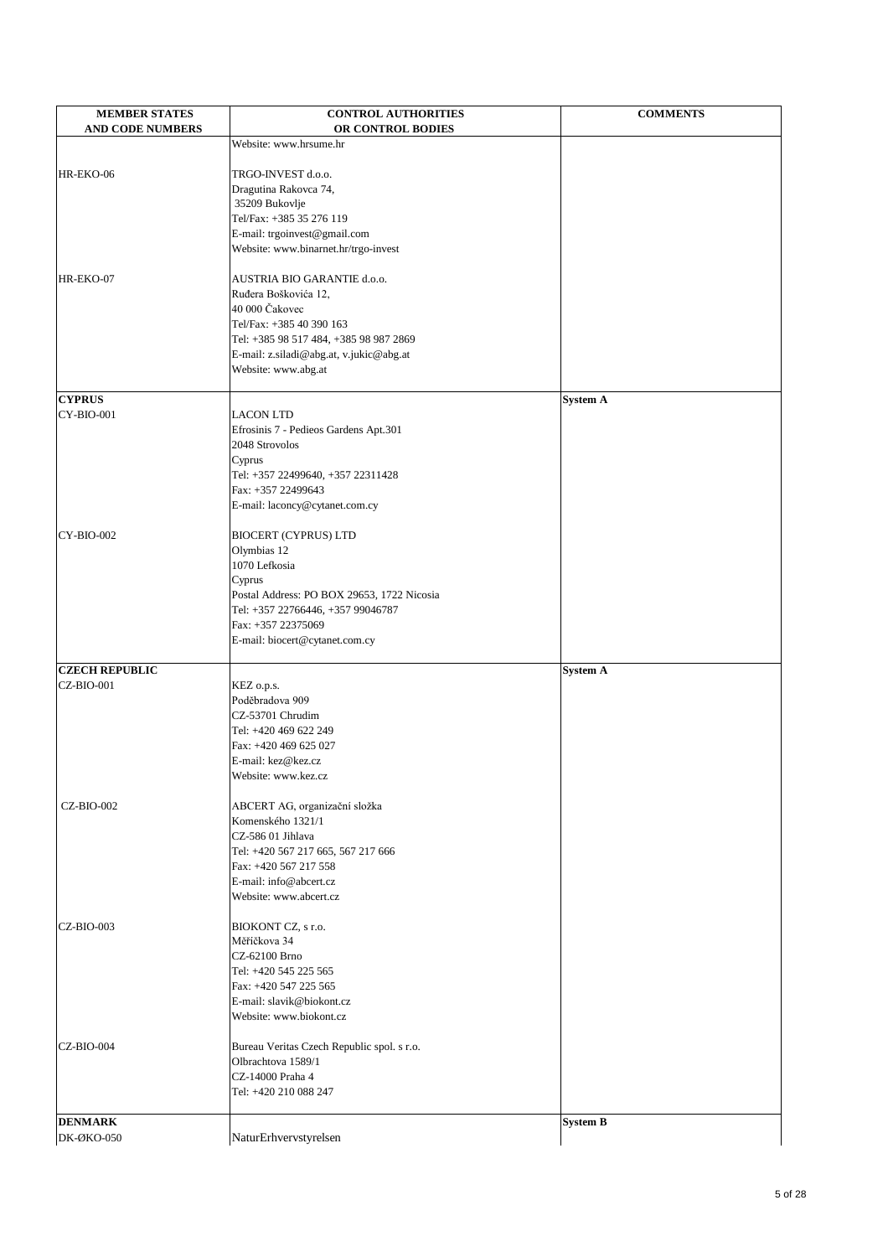| <b>MEMBER STATES</b>    | <b>CONTROL AUTHORITIES</b>                     | <b>COMMENTS</b> |
|-------------------------|------------------------------------------------|-----------------|
| <b>AND CODE NUMBERS</b> | OR CONTROL BODIES                              |                 |
|                         | Website: www.hrsume.hr                         |                 |
| HR-EKO-06               | TRGO-INVEST d.o.o.                             |                 |
|                         | Dragutina Rakovca 74,                          |                 |
|                         | 35209 Bukovlje                                 |                 |
|                         | Tel/Fax: +385 35 276 119                       |                 |
|                         | E-mail: trgoinvest@gmail.com                   |                 |
|                         | Website: www.binarnet.hr/trgo-invest           |                 |
|                         |                                                |                 |
| HR-EKO-07               | AUSTRIA BIO GARANTIE d.o.o.                    |                 |
|                         | Ruđera Boškovića 12,<br>40 000 Čakovec         |                 |
|                         | Tel/Fax: +385 40 390 163                       |                 |
|                         | Tel: +385 98 517 484, +385 98 987 2869         |                 |
|                         | E-mail: z.siladi@abg.at, v.jukic@abg.at        |                 |
|                         | Website: www.abg.at                            |                 |
|                         |                                                |                 |
| <b>CYPRUS</b>           |                                                | <b>System A</b> |
| $CY-BIO-001$            | <b>LACON LTD</b>                               |                 |
|                         | Efrosinis 7 - Pedieos Gardens Apt.301          |                 |
|                         | 2048 Strovolos                                 |                 |
|                         | Cyprus<br>Tel: +357 22499640, +357 22311428    |                 |
|                         | Fax: +357 22499643                             |                 |
|                         | E-mail: laconcy@cytanet.com.cy                 |                 |
|                         |                                                |                 |
| $CY-BIO-002$            | <b>BIOCERT (CYPRUS) LTD</b>                    |                 |
|                         | Olymbias 12                                    |                 |
|                         | 1070 Lefkosia                                  |                 |
|                         | Cyprus                                         |                 |
|                         | Postal Address: PO BOX 29653, 1722 Nicosia     |                 |
|                         | Tel: +357 22766446, +357 99046787              |                 |
|                         | Fax: +357 22375069                             |                 |
|                         | E-mail: biocert@cytanet.com.cy                 |                 |
| <b>CZECH REPUBLIC</b>   |                                                | <b>System A</b> |
| $CZ-BIO-001$            | KEZ o.p.s.                                     |                 |
|                         | Poděbradova 909                                |                 |
|                         | CZ-53701 Chrudim                               |                 |
|                         | Tel: +420 469 622 249                          |                 |
|                         | Fax: +420 469 625 027                          |                 |
|                         | E-mail: kez@kez.cz                             |                 |
|                         | Website: www.kez.cz                            |                 |
| <b>CZ-BIO-002</b>       | ABCERT AG, organizační složka                  |                 |
|                         | Komenského 1321/1                              |                 |
|                         | CZ-586 01 Jihlava                              |                 |
|                         | Tel: +420 567 217 665, 567 217 666             |                 |
|                         | Fax: +420 567 217 558                          |                 |
|                         | E-mail: info@abcert.cz                         |                 |
|                         | Website: www.abcert.cz                         |                 |
|                         |                                                |                 |
| $CZ-BIO-003$            | BIOKONT CZ, s r.o.                             |                 |
|                         | Měříčkova 34                                   |                 |
|                         | CZ-62100 Brno                                  |                 |
|                         | Tel: +420 545 225 565<br>Fax: +420 547 225 565 |                 |
|                         | E-mail: slavik@biokont.cz                      |                 |
|                         | Website: www.biokont.cz                        |                 |
|                         |                                                |                 |
| $CZ-BIO-004$            | Bureau Veritas Czech Republic spol. s r.o.     |                 |
|                         | Olbrachtova 1589/1                             |                 |
|                         | CZ-14000 Praha 4                               |                 |
|                         | Tel: +420 210 088 247                          |                 |
|                         |                                                |                 |
| <b>DENMARK</b>          |                                                | <b>System B</b> |
| <b>DK-ØKO-050</b>       | NaturErhvervstyrelsen                          |                 |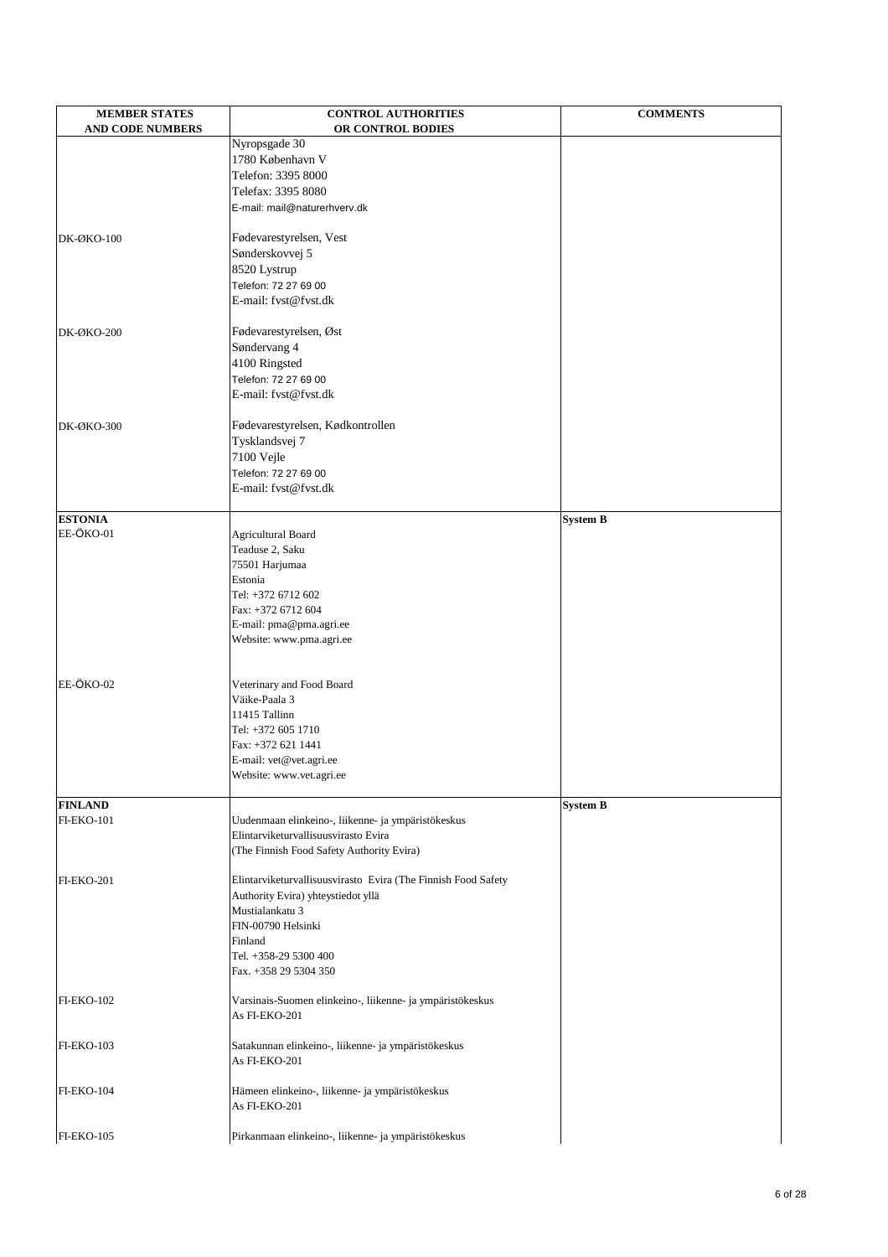| <b>MEMBER STATES</b><br><b>AND CODE NUMBERS</b> | <b>CONTROL AUTHORITIES</b><br>OR CONTROL BODIES               | <b>COMMENTS</b> |
|-------------------------------------------------|---------------------------------------------------------------|-----------------|
|                                                 | Nyropsgade 30                                                 |                 |
|                                                 | 1780 København V                                              |                 |
|                                                 | Telefon: 3395 8000                                            |                 |
|                                                 | Telefax: 3395 8080                                            |                 |
|                                                 |                                                               |                 |
|                                                 | E-mail: mail@naturerhverv.dk                                  |                 |
| $DK-ØKO-100$                                    | Fødevarestyrelsen, Vest                                       |                 |
|                                                 | Sønderskovvej 5                                               |                 |
|                                                 | 8520 Lystrup                                                  |                 |
|                                                 | Telefon: 72 27 69 00                                          |                 |
|                                                 | E-mail: fvst@fvst.dk                                          |                 |
| DK-ØKO-200                                      | Fødevarestyrelsen, Øst                                        |                 |
|                                                 | Søndervang 4                                                  |                 |
|                                                 | 4100 Ringsted                                                 |                 |
|                                                 | Telefon: 72 27 69 00                                          |                 |
|                                                 |                                                               |                 |
|                                                 | E-mail: fvst@fvst.dk                                          |                 |
| <b>DK-ØKO-300</b>                               | Fødevarestyrelsen, Kødkontrollen                              |                 |
|                                                 | Tysklandsvej 7                                                |                 |
|                                                 | 7100 Vejle                                                    |                 |
|                                                 | Telefon: 72 27 69 00                                          |                 |
|                                                 | E-mail: fvst@fvst.dk                                          |                 |
|                                                 |                                                               |                 |
| <b>ESTONIA</b>                                  |                                                               | <b>System B</b> |
| EE-ÖKO-01                                       | <b>Agricultural Board</b>                                     |                 |
|                                                 | Teaduse 2, Saku                                               |                 |
|                                                 | 75501 Harjumaa                                                |                 |
|                                                 | Estonia                                                       |                 |
|                                                 | Tel: +372 6712 602                                            |                 |
|                                                 | Fax: +372 6712 604                                            |                 |
|                                                 | E-mail: pma@pma.agri.ee                                       |                 |
|                                                 | Website: www.pma.agri.ee                                      |                 |
|                                                 |                                                               |                 |
| EE-ÖKO-02                                       |                                                               |                 |
|                                                 | Veterinary and Food Board                                     |                 |
|                                                 | Väike-Paala 3                                                 |                 |
|                                                 | 11415 Tallinn                                                 |                 |
|                                                 | Tel: +372 605 1710                                            |                 |
|                                                 | Fax: +372 621 1441                                            |                 |
|                                                 | E-mail: vet@vet.agri.ee                                       |                 |
|                                                 | Website: www.vet.agri.ee                                      |                 |
| <b>FINLAND</b>                                  |                                                               | <b>System B</b> |
| <b>FI-EKO-101</b>                               | Uudenmaan elinkeino-, liikenne- ja ympäristökeskus            |                 |
|                                                 | Elintarviketurvallisuusvirasto Evira                          |                 |
|                                                 | (The Finnish Food Safety Authority Evira)                     |                 |
|                                                 |                                                               |                 |
| <b>FI-EKO-201</b>                               | Elintarviketurvallisuusvirasto Evira (The Finnish Food Safety |                 |
|                                                 | Authority Evira) yhteystiedot yllä                            |                 |
|                                                 | Mustialankatu 3                                               |                 |

|                   | riviustialalikatu 5                                       |
|-------------------|-----------------------------------------------------------|
|                   | FIN-00790 Helsinki                                        |
|                   | Finland                                                   |
|                   | Tel. +358-29 5300 400                                     |
|                   | Fax. +358 29 5304 350                                     |
|                   |                                                           |
| <b>FI-EKO-102</b> | Varsinais-Suomen elinkeino-, liikenne- ja ympäristökeskus |
|                   | As FI-EKO-201                                             |
|                   |                                                           |
| <b>FI-EKO-103</b> | Satakunnan elinkeino-, liikenne- ja ympäristökeskus       |
|                   | As FI-EKO-201                                             |
|                   |                                                           |
| <b>FI-EKO-104</b> | Hämeen elinkeino-, liikenne- ja ympäristökeskus           |
|                   | As FI-EKO-201                                             |
|                   |                                                           |
| <b>FI-EKO-105</b> | Pirkanmaan elinkeino-, liikenne- ja ympäristökeskus       |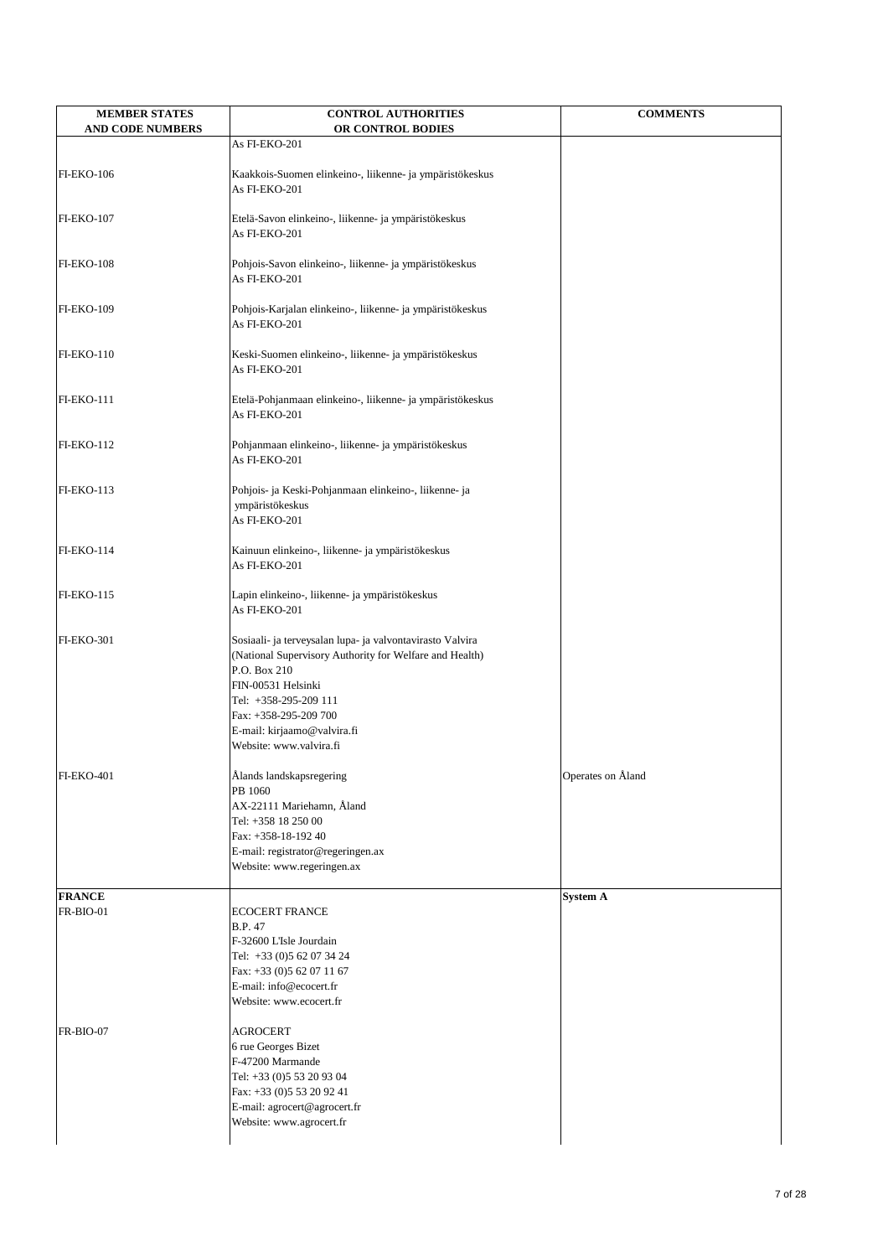| <b>MEMBER STATES</b><br><b>AND CODE NUMBERS</b> | <b>CONTROL AUTHORITIES</b><br>OR CONTROL BODIES                                                                                                                                                                                                                        | <b>COMMENTS</b>   |
|-------------------------------------------------|------------------------------------------------------------------------------------------------------------------------------------------------------------------------------------------------------------------------------------------------------------------------|-------------------|
|                                                 | As FI-EKO-201                                                                                                                                                                                                                                                          |                   |
| <b>FI-EKO-106</b>                               | Kaakkois-Suomen elinkeino-, liikenne- ja ympäristökeskus<br>As FI-EKO-201                                                                                                                                                                                              |                   |
| <b>FI-EKO-107</b>                               | Etelä-Savon elinkeino-, liikenne- ja ympäristökeskus<br>As FI-EKO-201                                                                                                                                                                                                  |                   |
| <b>FI-EKO-108</b>                               | Pohjois-Savon elinkeino-, liikenne- ja ympäristökeskus<br>As FI-EKO-201                                                                                                                                                                                                |                   |
| <b>FI-EKO-109</b>                               | Pohjois-Karjalan elinkeino-, liikenne- ja ympäristökeskus<br>As FI-EKO-201                                                                                                                                                                                             |                   |
| <b>FI-EKO-110</b>                               | Keski-Suomen elinkeino-, liikenne- ja ympäristökeskus<br>As FI-EKO-201                                                                                                                                                                                                 |                   |
| <b>FI-EKO-111</b>                               | Etelä-Pohjanmaan elinkeino-, liikenne- ja ympäristökeskus<br>As FI-EKO-201                                                                                                                                                                                             |                   |
| <b>FI-EKO-112</b>                               | Pohjanmaan elinkeino-, liikenne- ja ympäristökeskus<br>As FI-EKO-201                                                                                                                                                                                                   |                   |
| <b>FI-EKO-113</b>                               | Pohjois- ja Keski-Pohjanmaan elinkeino-, liikenne- ja<br>ympäristökeskus<br>As FI-EKO-201                                                                                                                                                                              |                   |
| <b>FI-EKO-114</b>                               | Kainuun elinkeino-, liikenne- ja ympäristökeskus<br>As FI-EKO-201                                                                                                                                                                                                      |                   |
| <b>FI-EKO-115</b>                               | Lapin elinkeino-, liikenne- ja ympäristökeskus<br>As FI-EKO-201                                                                                                                                                                                                        |                   |
| <b>FI-EKO-301</b>                               | Sosiaali- ja terveysalan lupa- ja valvontavirasto Valvira<br>(National Supervisory Authority for Welfare and Health)<br>P.O. Box 210<br>FIN-00531 Helsinki<br>Tel: +358-295-209 111<br>Fax: +358-295-209 700<br>E-mail: kirjaamo@valvira.fi<br>Website: www.valvira.fi |                   |
| <b>FI-EKO-401</b>                               | Ålands landskapsregering<br>PB 1060<br>AX-22111 Mariehamn, Åland<br>Tel: +358 18 250 00<br>Fax: +358-18-192 40<br>E-mail: registrator@regeringen.ax<br>Website: www.regeringen.ax                                                                                      | Operates on Åland |
| <b>FRANCE</b>                                   |                                                                                                                                                                                                                                                                        | <b>System A</b>   |
| FR-BIO-01                                       | <b>ECOCERT FRANCE</b><br><b>B.P. 47</b><br>F-32600 L'Isle Jourdain<br>Tel: +33 (0)5 62 07 34 24<br>Fax: +33 (0)5 62 07 11 67<br>E-mail: info@ecocert.fr<br>Website: www.ecocert.fr                                                                                     |                   |
| FR-BIO-07                                       | <b>AGROCERT</b><br>6 rue Georges Bizet<br>F-47200 Marmande<br>Tel: +33 (0)5 53 20 93 04<br>Fax: +33 (0)5 53 20 92 41<br>E-mail: agrocert@agrocert.fr<br>Website: www.agrocert.fr                                                                                       |                   |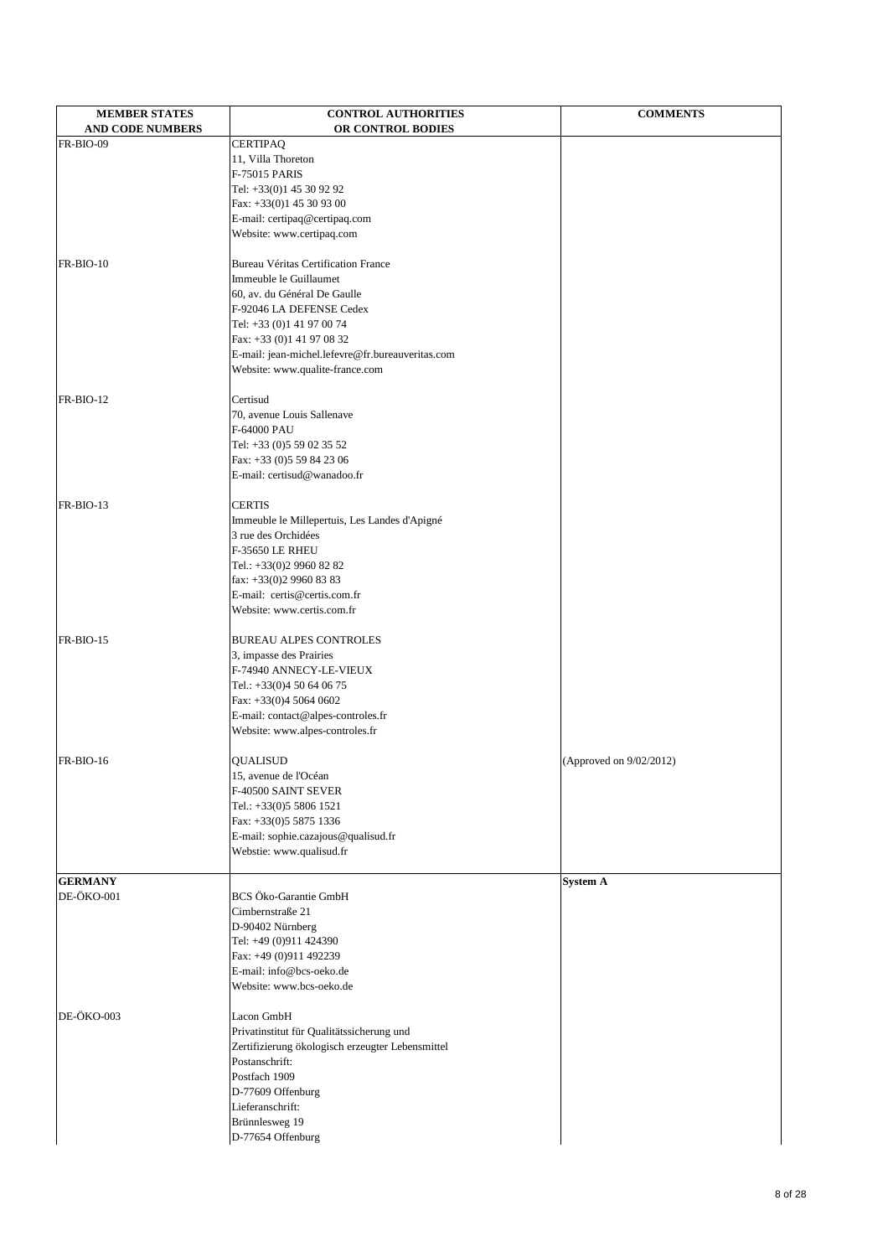| <b>MEMBER STATES</b>    | <b>CONTROL AUTHORITIES</b>                       | <b>COMMENTS</b>         |
|-------------------------|--------------------------------------------------|-------------------------|
| <b>AND CODE NUMBERS</b> | OR CONTROL BODIES                                |                         |
| FR-BIO-09               | <b>CERTIPAQ</b>                                  |                         |
|                         | 11, Villa Thoreton                               |                         |
|                         | <b>F-75015 PARIS</b>                             |                         |
|                         | Tel: +33(0)1 45 30 92 92                         |                         |
|                         | Fax: +33(0)1 45 30 93 00                         |                         |
|                         | E-mail: certipaq@certipaq.com                    |                         |
|                         | Website: www.certipaq.com                        |                         |
| FR-BIO-10               | <b>Bureau Véritas Certification France</b>       |                         |
|                         | Immeuble le Guillaumet                           |                         |
|                         | 60, av. du Général De Gaulle                     |                         |
|                         | F-92046 LA DEFENSE Cedex                         |                         |
|                         | Tel: +33 (0)1 41 97 00 74                        |                         |
|                         | Fax: +33 (0)1 41 97 08 32                        |                         |
|                         | E-mail: jean-michel.lefevre@fr.bureauveritas.com |                         |
|                         | Website: www.qualite-france.com                  |                         |
| $FR-BIO-12$             | Certisud                                         |                         |
|                         | 70, avenue Louis Sallenave                       |                         |
|                         | F-64000 PAU                                      |                         |
|                         | Tel: +33 (0)5 59 02 35 52                        |                         |
|                         | Fax: +33 (0)5 59 84 23 06                        |                         |
|                         | E-mail: certisud@wanadoo.fr                      |                         |
| FR-BIO-13               | <b>CERTIS</b>                                    |                         |
|                         | Immeuble le Millepertuis, Les Landes d'Apigné    |                         |
|                         | 3 rue des Orchidées                              |                         |
|                         | <b>F-35650 LE RHEU</b>                           |                         |
|                         | Tel.: +33(0)2 9960 82 82                         |                         |
|                         | fax: $+33(0)299608383$                           |                         |
|                         | E-mail: certis@certis.com.fr                     |                         |
|                         | Website: www.certis.com.fr                       |                         |
| FR-BIO-15               | <b>BUREAU ALPES CONTROLES</b>                    |                         |
|                         | 3, impasse des Prairies                          |                         |
|                         | F-74940 ANNECY-LE-VIEUX                          |                         |
|                         | Tel.: $+33(0)450640675$                          |                         |
|                         | Fax: $+33(0)4$ 5064 0602                         |                         |
|                         | E-mail: contact@alpes-controles.fr               |                         |
|                         | Website: www.alpes-controles.fr                  |                         |
| $FR-BIO-16$             | <b>QUALISUD</b>                                  | (Approved on 9/02/2012) |
|                         | 15, avenue de l'Océan                            |                         |
|                         | F-40500 SAINT SEVER                              |                         |
|                         | Tel.: $+33(0)558061521$                          |                         |
|                         | Fax: $+33(0)558751336$                           |                         |
|                         | E-mail: sophie.cazajous@qualisud.fr              |                         |
|                         | Webstie: www.qualisud.fr                         |                         |
| <b>GERMANY</b>          |                                                  | <b>System A</b>         |
| DE-ÖKO-001              | BCS Öko-Garantie GmbH                            |                         |
|                         | Cimbernstraße 21                                 |                         |

 $\tan 49$  (0)911 492239 E-mail: info@bcs-oeko.de Website: www.bcs-oeko.de DE-ÖKO-003 Lacon GmbH Privatinstitut für Qualitätssicherung und Zertifizierung ökologisch erzeugter Lebensmittel Postanschrift: Postfach 1909 D-77609 Offenburg Lieferanschrift: Brünnlesweg 19 D-77654 Offenburg

D-90402 Nürnberg Tel: +49 (0)911 424390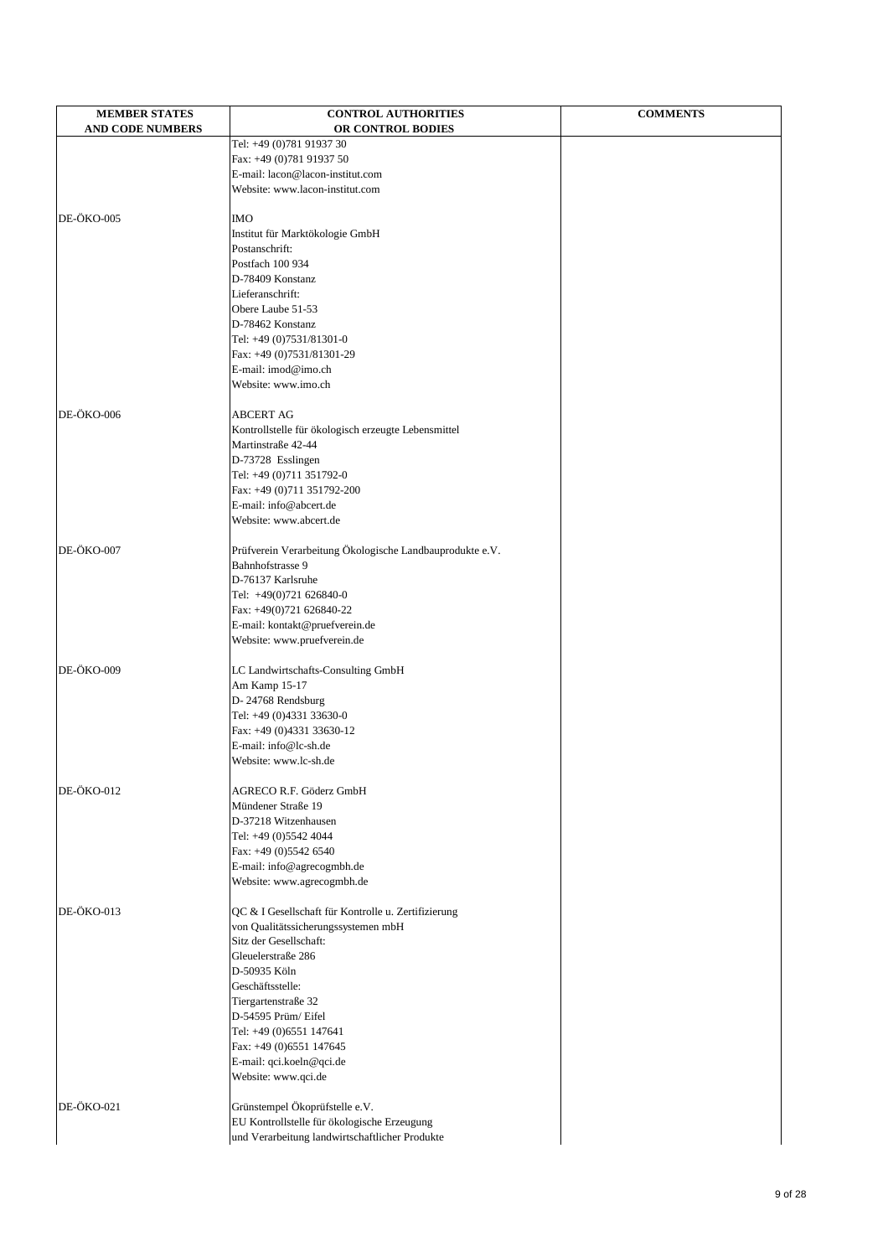| <b>MEMBER STATES</b><br><b>AND CODE NUMBERS</b> | <b>CONTROL AUTHORITIES</b><br>OR CONTROL BODIES                              | <b>COMMENTS</b> |
|-------------------------------------------------|------------------------------------------------------------------------------|-----------------|
|                                                 | Tel: +49 (0)781 91937 30                                                     |                 |
|                                                 | Fax: +49 (0)781 91937 50                                                     |                 |
|                                                 | E-mail: lacon@lacon-institut.com                                             |                 |
|                                                 | Website: www.lacon-institut.com                                              |                 |
| DE-ÖKO-005                                      | <b>IMO</b>                                                                   |                 |
|                                                 | Institut für Marktökologie GmbH                                              |                 |
|                                                 | Postanschrift:                                                               |                 |
|                                                 | Postfach 100 934                                                             |                 |
|                                                 | D-78409 Konstanz                                                             |                 |
|                                                 | Lieferanschrift:                                                             |                 |
|                                                 | Obere Laube 51-53                                                            |                 |
|                                                 | D-78462 Konstanz                                                             |                 |
|                                                 | Tel: +49 (0)7531/81301-0                                                     |                 |
|                                                 | Fax: +49 (0)7531/81301-29                                                    |                 |
|                                                 | E-mail: imod@imo.ch<br>Website: www.imo.ch                                   |                 |
|                                                 |                                                                              |                 |
| DE-ÖKO-006                                      | <b>ABCERT AG</b>                                                             |                 |
|                                                 | Kontrollstelle für ökologisch erzeugte Lebensmittel                          |                 |
|                                                 | Martinstraße 42-44                                                           |                 |
|                                                 | D-73728 Esslingen                                                            |                 |
|                                                 | Tel: +49 (0)711 351792-0<br>Fax: +49 (0)711 351792-200                       |                 |
|                                                 | E-mail: info@abcert.de                                                       |                 |
|                                                 | Website: www.abcert.de                                                       |                 |
|                                                 |                                                                              |                 |
| DE-ÖKO-007                                      | Prüfverein Verarbeitung Ökologische Landbauprodukte e.V.<br>Bahnhofstrasse 9 |                 |
|                                                 | D-76137 Karlsruhe                                                            |                 |
|                                                 | Tel: +49(0)721 626840-0                                                      |                 |
|                                                 | Fax: +49(0)721 626840-22                                                     |                 |
|                                                 | E-mail: kontakt@pruefverein.de                                               |                 |
|                                                 | Website: www.pruefverein.de                                                  |                 |
| DE-ÖKO-009                                      | LC Landwirtschafts-Consulting GmbH                                           |                 |
|                                                 | Am Kamp 15-17                                                                |                 |
|                                                 | D-24768 Rendsburg                                                            |                 |
|                                                 | Tel: +49 (0)4331 33630-0                                                     |                 |
|                                                 | Fax: +49 (0)4331 33630-12                                                    |                 |
|                                                 | E-mail: info@lc-sh.de                                                        |                 |
|                                                 | Website: www.lc-sh.de                                                        |                 |
| DE-ÖKO-012                                      | AGRECO R.F. Göderz GmbH                                                      |                 |
|                                                 | Mündener Straße 19                                                           |                 |
|                                                 | D-37218 Witzenhausen                                                         |                 |
|                                                 | Tel: +49 (0)5542 4044                                                        |                 |
|                                                 | Fax: +49 (0)5542 6540                                                        |                 |
|                                                 | E-mail: info@agrecogmbh.de<br>Website: www.agrecogmbh.de                     |                 |
|                                                 |                                                                              |                 |
| DE-ÖKO-013                                      | QC & I Gesellschaft für Kontrolle u. Zertifizierung                          |                 |
|                                                 | von Qualitätssicherungssystemen mbH                                          |                 |
|                                                 | Sitz der Gesellschaft:                                                       |                 |
|                                                 | Gleuelerstraße 286<br>D-50935 Köln                                           |                 |
|                                                 | Geschäftsstelle:                                                             |                 |
|                                                 | Tiergartenstraße 32                                                          |                 |
|                                                 | D-54595 Prüm/Eifel                                                           |                 |
|                                                 | Tel: +49 (0)6551 147641                                                      |                 |
|                                                 | Fax: +49 (0)6551 147645                                                      |                 |
|                                                 | E-mail: qci.koeln@qci.de                                                     |                 |
|                                                 | Website: www.qci.de                                                          |                 |
| DE-ÖKO-021                                      | Grünstempel Ökoprüfstelle e.V.                                               |                 |
|                                                 | EU Kontrollstelle für ökologische Erzeugung                                  |                 |
|                                                 |                                                                              |                 |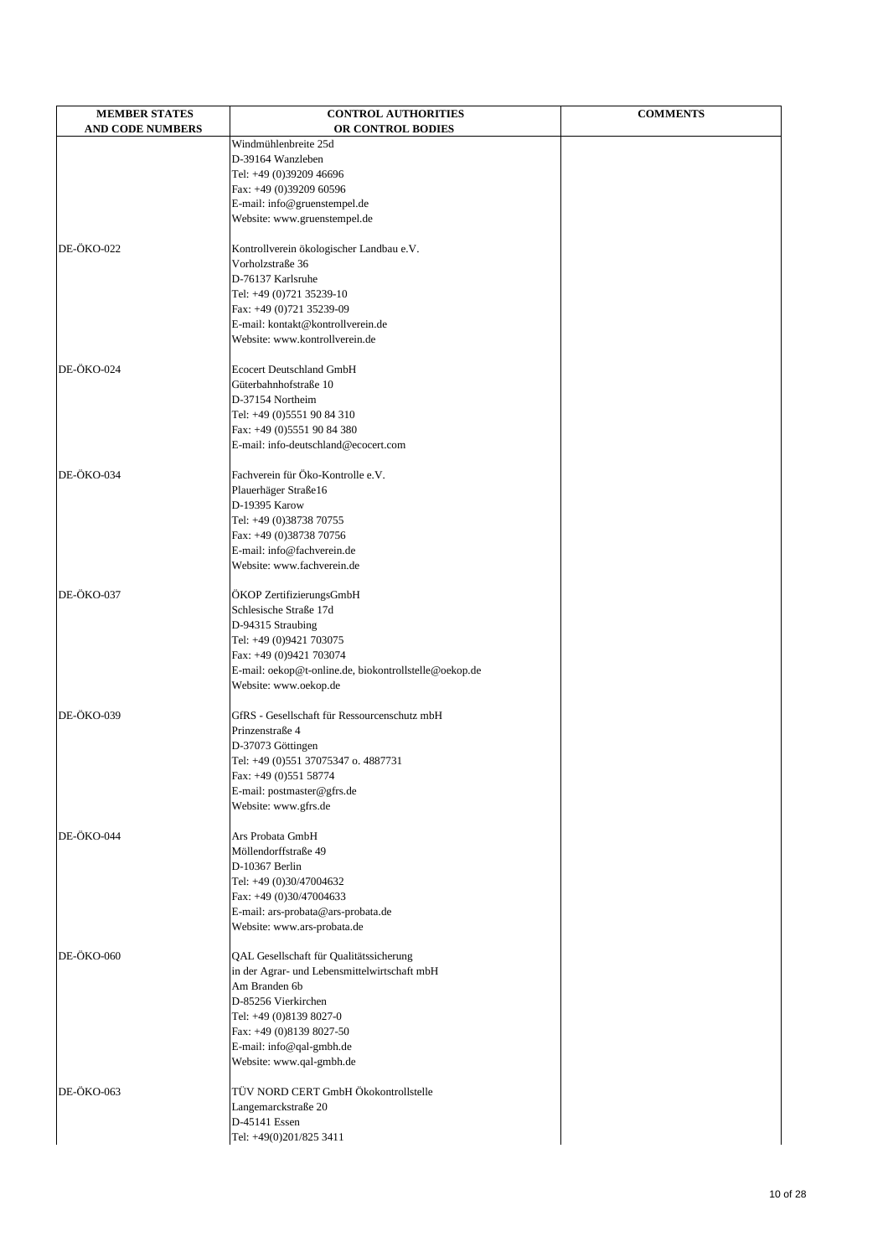| <b>MEMBER STATES</b>    | <b>CONTROL AUTHORITIES</b>                                          | <b>COMMENTS</b> |
|-------------------------|---------------------------------------------------------------------|-----------------|
| <b>AND CODE NUMBERS</b> | OR CONTROL BODIES<br>Windmühlenbreite 25d                           |                 |
|                         | D-39164 Wanzleben                                                   |                 |
|                         | Tel: +49 (0)39209 46696                                             |                 |
|                         | Fax: +49 (0)39209 60596                                             |                 |
|                         | E-mail: info@gruenstempel.de                                        |                 |
|                         | Website: www.gruenstempel.de                                        |                 |
| DE-ÖKO-022              | Kontrollverein ökologischer Landbau e.V.                            |                 |
|                         | Vorholzstraße 36                                                    |                 |
|                         | D-76137 Karlsruhe                                                   |                 |
|                         | Tel: +49 (0)721 35239-10                                            |                 |
|                         | Fax: +49 (0)721 35239-09                                            |                 |
|                         | E-mail: kontakt@kontrollverein.de<br>Website: www.kontrollverein.de |                 |
|                         |                                                                     |                 |
| DE-ÖKO-024              | <b>Ecocert Deutschland GmbH</b>                                     |                 |
|                         | Güterbahnhofstraße 10                                               |                 |
|                         | D-37154 Northeim                                                    |                 |
|                         | Tel: +49 (0)5551 90 84 310                                          |                 |
|                         | Fax: +49 (0)5551 90 84 380<br>E-mail: info-deutschland@ecocert.com  |                 |
|                         |                                                                     |                 |
| DE-ÖKO-034              | Fachverein für Öko-Kontrolle e.V.                                   |                 |
|                         | Plauerhäger Straße16                                                |                 |
|                         | D-19395 Karow                                                       |                 |
|                         | Tel: +49 (0)38738 70755                                             |                 |
|                         | Fax: +49 (0)38738 70756<br>E-mail: info@fachverein.de               |                 |
|                         | Website: www.fachverein.de                                          |                 |
|                         |                                                                     |                 |
| DE-ÖKO-037              | ÖKOP ZertifizierungsGmbH                                            |                 |
|                         | Schlesische Straße 17d                                              |                 |
|                         | D-94315 Straubing<br>Tel: +49 (0)9421 703075                        |                 |
|                         | Fax: +49 (0)9421 703074                                             |                 |
|                         | E-mail: oekop@t-online.de, biokontrollstelle@oekop.de               |                 |
|                         | Website: www.oekop.de                                               |                 |
|                         |                                                                     |                 |
| DE-ÖKO-039              | GfRS - Gesellschaft für Ressourcenschutz mbH<br>Prinzenstraße 4     |                 |
|                         | D-37073 Göttingen                                                   |                 |
|                         | Tel: +49 (0)551 37075347 o. 4887731                                 |                 |
|                         | Fax: +49 (0)551 58774                                               |                 |
|                         | E-mail: postmaster@gfrs.de                                          |                 |
|                         | Website: www.gfrs.de                                                |                 |
| DE-ÖKO-044              | Ars Probata GmbH                                                    |                 |
|                         | Möllendorffstraße 49                                                |                 |
|                         | D-10367 Berlin                                                      |                 |
|                         | Tel: +49 (0)30/47004632                                             |                 |
|                         | Fax: +49 (0)30/47004633                                             |                 |
|                         | E-mail: ars-probata@ars-probata.de                                  |                 |
|                         | Website: www.ars-probata.de                                         |                 |
| DE-ÖKO-060              | QAL Gesellschaft für Qualitätssicherung                             |                 |
|                         | in der Agrar- und Lebensmittelwirtschaft mbH                        |                 |
|                         | Am Branden 6b                                                       |                 |
|                         | D-85256 Vierkirchen                                                 |                 |
|                         | Tel: +49 (0)8139 8027-0                                             |                 |
|                         | Fax: +49 (0)8139 8027-50<br>E-mail: info@qal-gmbh.de                |                 |
|                         | Website: www.qal-gmbh.de                                            |                 |
|                         |                                                                     |                 |
| DE-ÖKO-063              | TÜV NORD CERT GmbH Ökokontrollstelle                                |                 |
|                         | Langemarckstraße 20<br>D-45141 Essen                                |                 |
|                         | Tel: +49(0)201/825 3411                                             |                 |
|                         |                                                                     |                 |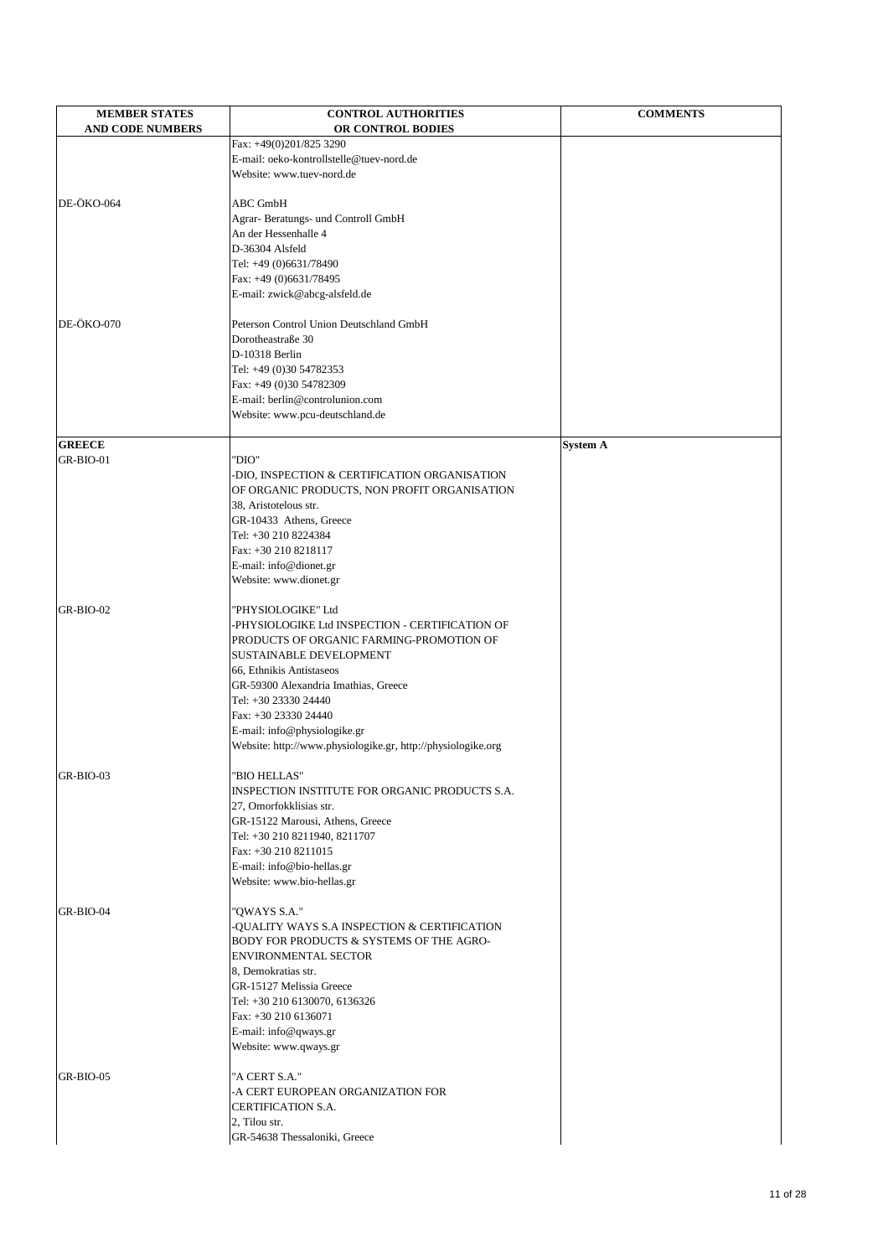| <b>MEMBER STATES</b>       | <b>CONTROL AUTHORITIES</b>                                                                 | <b>COMMENTS</b> |
|----------------------------|--------------------------------------------------------------------------------------------|-----------------|
| <b>AND CODE NUMBERS</b>    | OR CONTROL BODIES                                                                          |                 |
|                            | Fax: +49(0)201/825 3290                                                                    |                 |
|                            | E-mail: oeko-kontrollstelle@tuev-nord.de                                                   |                 |
|                            | Website: www.tuev-nord.de                                                                  |                 |
|                            |                                                                                            |                 |
| DE-ÖKO-064                 | <b>ABC GmbH</b>                                                                            |                 |
|                            | Agrar- Beratungs- und Controll GmbH                                                        |                 |
|                            | An der Hessenhalle 4<br>D-36304 Alsfeld                                                    |                 |
|                            | Tel: +49 (0)6631/78490                                                                     |                 |
|                            | Fax: +49 (0)6631/78495                                                                     |                 |
|                            | E-mail: zwick@abcg-alsfeld.de                                                              |                 |
|                            |                                                                                            |                 |
| DE-ÖKO-070                 | Peterson Control Union Deutschland GmbH                                                    |                 |
|                            | Dorotheastraße 30                                                                          |                 |
|                            | D-10318 Berlin                                                                             |                 |
|                            | Tel: +49 (0)30 54782353                                                                    |                 |
|                            | Fax: +49 (0)30 54782309                                                                    |                 |
|                            | E-mail: berlin@controlunion.com                                                            |                 |
|                            | Website: www.pcu-deutschland.de                                                            |                 |
|                            |                                                                                            |                 |
| <b>GREECE</b><br>GR-BIO-01 | "DIO"                                                                                      | <b>System A</b> |
|                            | DIO, INSPECTION & CERTIFICATION ORGANISATION                                               |                 |
|                            | OF ORGANIC PRODUCTS, NON PROFIT ORGANISATION                                               |                 |
|                            | 38, Aristotelous str.                                                                      |                 |
|                            | GR-10433 Athens, Greece                                                                    |                 |
|                            | Tel: +30 210 8224384                                                                       |                 |
|                            | Fax: +30 210 8218117                                                                       |                 |
|                            | E-mail: info@dionet.gr                                                                     |                 |
|                            | Website: www.dionet.gr                                                                     |                 |
|                            |                                                                                            |                 |
| GR-BIO-02                  | "PHYSIOLOGIKE" Ltd                                                                         |                 |
|                            | PHYSIOLOGIKE Ltd INSPECTION - CERTIFICATION OF<br>PRODUCTS OF ORGANIC FARMING-PROMOTION OF |                 |
|                            | <b>SUSTAINABLE DEVELOPMENT</b>                                                             |                 |
|                            | 66, Ethnikis Antistaseos                                                                   |                 |
|                            | GR-59300 Alexandria Imathias, Greece                                                       |                 |
|                            | Tel: +30 23330 24440                                                                       |                 |
|                            | Fax: +30 23330 24440                                                                       |                 |
|                            | E-mail: info@physiologike.gr                                                               |                 |
|                            | Website: http://www.physiologike.gr, http://physiologike.org                               |                 |
|                            |                                                                                            |                 |
| GR-BIO-03                  | 'BIO HELLAS"                                                                               |                 |
|                            | INSPECTION INSTITUTE FOR ORGANIC PRODUCTS S.A.                                             |                 |
|                            | 27, Omorfokklisias str.<br>GR-15122 Marousi, Athens, Greece                                |                 |
|                            | Tel: +30 210 8211940, 8211707                                                              |                 |
|                            | Fax: +30 210 8211015                                                                       |                 |
|                            | E-mail: info@bio-hellas.gr                                                                 |                 |
|                            | Website: www.bio-hellas.gr                                                                 |                 |
|                            |                                                                                            |                 |
| GR-BIO-04                  | 'QWAYS S.A."                                                                               |                 |
|                            | QUALITY WAYS S.A INSPECTION & CERTIFICATION                                                |                 |
|                            | BODY FOR PRODUCTS & SYSTEMS OF THE AGRO-                                                   |                 |
|                            | <b>ENVIRONMENTAL SECTOR</b>                                                                |                 |
|                            | 8, Demokratias str.                                                                        |                 |
|                            | GR-15127 Melissia Greece                                                                   |                 |
|                            | Tel: +30 210 6130070, 6136326<br>Fax: +30 210 6136071                                      |                 |
|                            | E-mail: info@qways.gr                                                                      |                 |
|                            | Website: www.qways.gr                                                                      |                 |
|                            |                                                                                            |                 |
| GR-BIO-05                  | "A CERT S.A."                                                                              |                 |
|                            | -A CERT EUROPEAN ORGANIZATION FOR                                                          |                 |
|                            | <b>CERTIFICATION S.A.</b>                                                                  |                 |
|                            | 2, Tilou str.                                                                              |                 |
|                            | GR-54638 Thessaloniki, Greece                                                              |                 |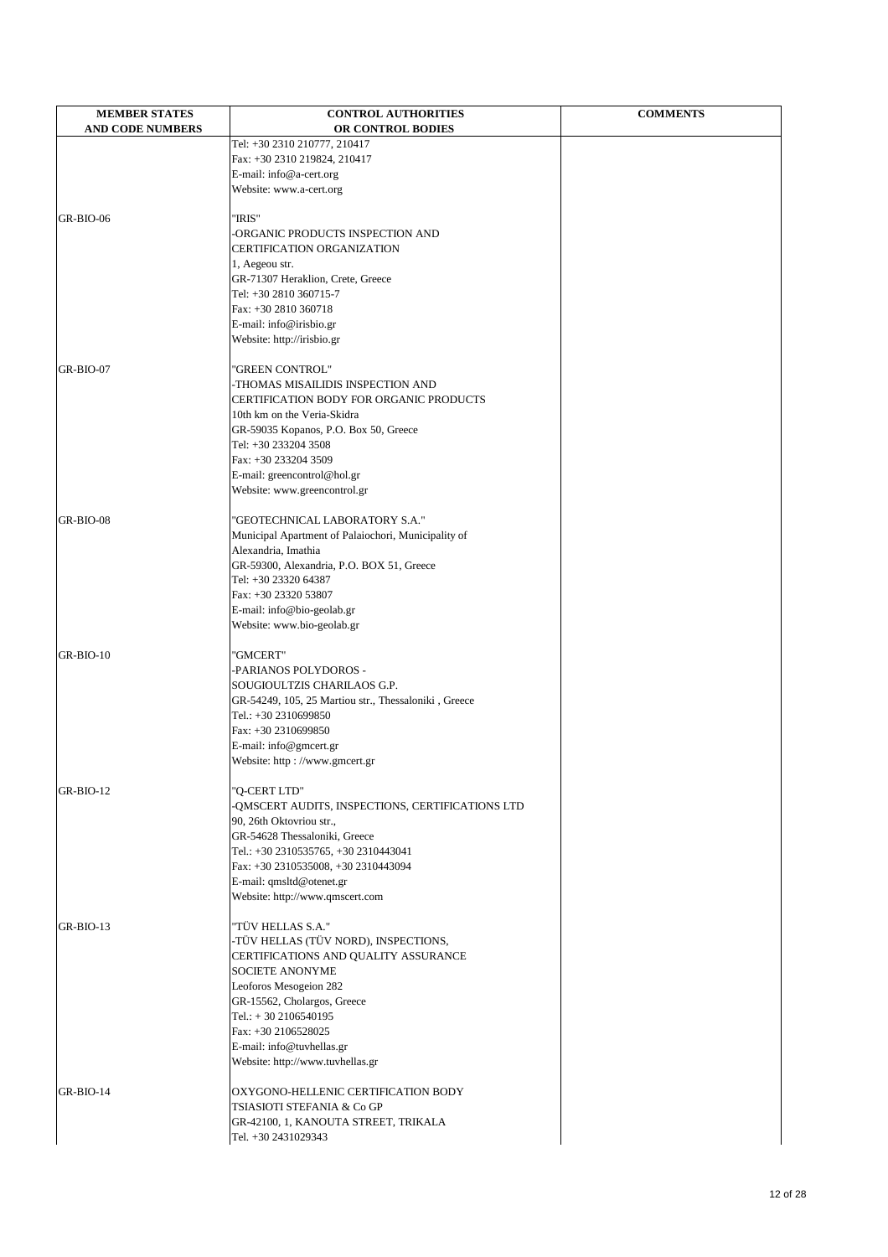| <b>AND CODE NUMBERS</b><br>OR CONTROL BODIES<br>Tel: +30 2310 210777, 210417<br>Fax: +30 2310 219824, 210417<br>E-mail: info@a-cert.org<br>Website: www.a-cert.org<br>"IRIS"<br>GR-BIO-06<br>ORGANIC PRODUCTS INSPECTION AND<br><b>CERTIFICATION ORGANIZATION</b><br>1, Aegeou str.<br>GR-71307 Heraklion, Crete, Greece<br>Tel: +30 2810 360715-7<br>Fax: +30 2810 360718<br>E-mail: info@irisbio.gr<br>Website: http://irisbio.gr<br>GR-BIO-07<br>'GREEN CONTROL"<br>-THOMAS MISAILIDIS INSPECTION AND<br>CERTIFICATION BODY FOR ORGANIC PRODUCTS<br>10th km on the Veria-Skidra<br>GR-59035 Kopanos, P.O. Box 50, Greece<br>Tel: +30 233204 3508<br>Fax: +30 233204 3509<br>E-mail: greencontrol@hol.gr<br>Website: www.greencontrol.gr<br>"GEOTECHNICAL LABORATORY S.A."<br>Municipal Apartment of Palaiochori, Municipality of<br>Alexandria, Imathia<br>GR-59300, Alexandria, P.O. BOX 51, Greece<br>Tel: +30 23320 64387<br>Fax: +30 23320 53807<br>E-mail: info@bio-geolab.gr<br>Website: www.bio-geolab.gr<br>GR-BIO-10<br>'GMCERT"<br>-PARIANOS POLYDOROS -<br>SOUGIOULTZIS CHARILAOS G.P.<br>GR-54249, 105, 25 Martiou str., Thessaloniki, Greece<br>Tel.: +30 2310699850<br>Fax: +30 2310699850<br>E-mail: info@gmcert.gr<br>Website: http://www.gmcert.gr<br>'Q-CERT LTD"<br>-QMSCERT AUDITS, INSPECTIONS, CERTIFICATIONS LTD<br>90, 26th Oktovriou str.,<br>GR-54628 Thessaloniki, Greece<br>Tel.: +30 2310535765, +30 2310443041<br>Fax: +30 2310535008, +30 2310443094<br>E-mail: qmsltd@otenet.gr<br>Website: http://www.qmscert.com<br>"TÜV HELLAS S.A."<br>GR-BIO-13<br>-TÜV HELLAS (TÜV NORD), INSPECTIONS,<br>CERTIFICATIONS AND QUALITY ASSURANCE<br><b>SOCIETE ANONYME</b><br>Leoforos Mesogeion 282<br>GR-15562, Cholargos, Greece<br>Tel.: $+30$ 2106540195<br>Fax: +30 2106528025<br>E-mail: info@tuvhellas.gr<br>Website: http://www.tuvhellas.gr | <b>MEMBER STATES</b> | <b>CONTROL AUTHORITIES</b>          | <b>COMMENTS</b> |
|------------------------------------------------------------------------------------------------------------------------------------------------------------------------------------------------------------------------------------------------------------------------------------------------------------------------------------------------------------------------------------------------------------------------------------------------------------------------------------------------------------------------------------------------------------------------------------------------------------------------------------------------------------------------------------------------------------------------------------------------------------------------------------------------------------------------------------------------------------------------------------------------------------------------------------------------------------------------------------------------------------------------------------------------------------------------------------------------------------------------------------------------------------------------------------------------------------------------------------------------------------------------------------------------------------------------------------------------------------------------------------------------------------------------------------------------------------------------------------------------------------------------------------------------------------------------------------------------------------------------------------------------------------------------------------------------------------------------------------------------------------------------------------------------------------------------------------------------------------------------------|----------------------|-------------------------------------|-----------------|
|                                                                                                                                                                                                                                                                                                                                                                                                                                                                                                                                                                                                                                                                                                                                                                                                                                                                                                                                                                                                                                                                                                                                                                                                                                                                                                                                                                                                                                                                                                                                                                                                                                                                                                                                                                                                                                                                              |                      |                                     |                 |
|                                                                                                                                                                                                                                                                                                                                                                                                                                                                                                                                                                                                                                                                                                                                                                                                                                                                                                                                                                                                                                                                                                                                                                                                                                                                                                                                                                                                                                                                                                                                                                                                                                                                                                                                                                                                                                                                              |                      |                                     |                 |
|                                                                                                                                                                                                                                                                                                                                                                                                                                                                                                                                                                                                                                                                                                                                                                                                                                                                                                                                                                                                                                                                                                                                                                                                                                                                                                                                                                                                                                                                                                                                                                                                                                                                                                                                                                                                                                                                              |                      |                                     |                 |
|                                                                                                                                                                                                                                                                                                                                                                                                                                                                                                                                                                                                                                                                                                                                                                                                                                                                                                                                                                                                                                                                                                                                                                                                                                                                                                                                                                                                                                                                                                                                                                                                                                                                                                                                                                                                                                                                              |                      |                                     |                 |
|                                                                                                                                                                                                                                                                                                                                                                                                                                                                                                                                                                                                                                                                                                                                                                                                                                                                                                                                                                                                                                                                                                                                                                                                                                                                                                                                                                                                                                                                                                                                                                                                                                                                                                                                                                                                                                                                              |                      |                                     |                 |
|                                                                                                                                                                                                                                                                                                                                                                                                                                                                                                                                                                                                                                                                                                                                                                                                                                                                                                                                                                                                                                                                                                                                                                                                                                                                                                                                                                                                                                                                                                                                                                                                                                                                                                                                                                                                                                                                              |                      |                                     |                 |
|                                                                                                                                                                                                                                                                                                                                                                                                                                                                                                                                                                                                                                                                                                                                                                                                                                                                                                                                                                                                                                                                                                                                                                                                                                                                                                                                                                                                                                                                                                                                                                                                                                                                                                                                                                                                                                                                              |                      |                                     |                 |
|                                                                                                                                                                                                                                                                                                                                                                                                                                                                                                                                                                                                                                                                                                                                                                                                                                                                                                                                                                                                                                                                                                                                                                                                                                                                                                                                                                                                                                                                                                                                                                                                                                                                                                                                                                                                                                                                              |                      |                                     |                 |
|                                                                                                                                                                                                                                                                                                                                                                                                                                                                                                                                                                                                                                                                                                                                                                                                                                                                                                                                                                                                                                                                                                                                                                                                                                                                                                                                                                                                                                                                                                                                                                                                                                                                                                                                                                                                                                                                              |                      |                                     |                 |
|                                                                                                                                                                                                                                                                                                                                                                                                                                                                                                                                                                                                                                                                                                                                                                                                                                                                                                                                                                                                                                                                                                                                                                                                                                                                                                                                                                                                                                                                                                                                                                                                                                                                                                                                                                                                                                                                              |                      |                                     |                 |
|                                                                                                                                                                                                                                                                                                                                                                                                                                                                                                                                                                                                                                                                                                                                                                                                                                                                                                                                                                                                                                                                                                                                                                                                                                                                                                                                                                                                                                                                                                                                                                                                                                                                                                                                                                                                                                                                              |                      |                                     |                 |
|                                                                                                                                                                                                                                                                                                                                                                                                                                                                                                                                                                                                                                                                                                                                                                                                                                                                                                                                                                                                                                                                                                                                                                                                                                                                                                                                                                                                                                                                                                                                                                                                                                                                                                                                                                                                                                                                              |                      |                                     |                 |
|                                                                                                                                                                                                                                                                                                                                                                                                                                                                                                                                                                                                                                                                                                                                                                                                                                                                                                                                                                                                                                                                                                                                                                                                                                                                                                                                                                                                                                                                                                                                                                                                                                                                                                                                                                                                                                                                              |                      |                                     |                 |
|                                                                                                                                                                                                                                                                                                                                                                                                                                                                                                                                                                                                                                                                                                                                                                                                                                                                                                                                                                                                                                                                                                                                                                                                                                                                                                                                                                                                                                                                                                                                                                                                                                                                                                                                                                                                                                                                              |                      |                                     |                 |
|                                                                                                                                                                                                                                                                                                                                                                                                                                                                                                                                                                                                                                                                                                                                                                                                                                                                                                                                                                                                                                                                                                                                                                                                                                                                                                                                                                                                                                                                                                                                                                                                                                                                                                                                                                                                                                                                              |                      |                                     |                 |
|                                                                                                                                                                                                                                                                                                                                                                                                                                                                                                                                                                                                                                                                                                                                                                                                                                                                                                                                                                                                                                                                                                                                                                                                                                                                                                                                                                                                                                                                                                                                                                                                                                                                                                                                                                                                                                                                              |                      |                                     |                 |
|                                                                                                                                                                                                                                                                                                                                                                                                                                                                                                                                                                                                                                                                                                                                                                                                                                                                                                                                                                                                                                                                                                                                                                                                                                                                                                                                                                                                                                                                                                                                                                                                                                                                                                                                                                                                                                                                              |                      |                                     |                 |
|                                                                                                                                                                                                                                                                                                                                                                                                                                                                                                                                                                                                                                                                                                                                                                                                                                                                                                                                                                                                                                                                                                                                                                                                                                                                                                                                                                                                                                                                                                                                                                                                                                                                                                                                                                                                                                                                              |                      |                                     |                 |
|                                                                                                                                                                                                                                                                                                                                                                                                                                                                                                                                                                                                                                                                                                                                                                                                                                                                                                                                                                                                                                                                                                                                                                                                                                                                                                                                                                                                                                                                                                                                                                                                                                                                                                                                                                                                                                                                              |                      |                                     |                 |
|                                                                                                                                                                                                                                                                                                                                                                                                                                                                                                                                                                                                                                                                                                                                                                                                                                                                                                                                                                                                                                                                                                                                                                                                                                                                                                                                                                                                                                                                                                                                                                                                                                                                                                                                                                                                                                                                              |                      |                                     |                 |
|                                                                                                                                                                                                                                                                                                                                                                                                                                                                                                                                                                                                                                                                                                                                                                                                                                                                                                                                                                                                                                                                                                                                                                                                                                                                                                                                                                                                                                                                                                                                                                                                                                                                                                                                                                                                                                                                              |                      |                                     |                 |
|                                                                                                                                                                                                                                                                                                                                                                                                                                                                                                                                                                                                                                                                                                                                                                                                                                                                                                                                                                                                                                                                                                                                                                                                                                                                                                                                                                                                                                                                                                                                                                                                                                                                                                                                                                                                                                                                              |                      |                                     |                 |
|                                                                                                                                                                                                                                                                                                                                                                                                                                                                                                                                                                                                                                                                                                                                                                                                                                                                                                                                                                                                                                                                                                                                                                                                                                                                                                                                                                                                                                                                                                                                                                                                                                                                                                                                                                                                                                                                              |                      |                                     |                 |
|                                                                                                                                                                                                                                                                                                                                                                                                                                                                                                                                                                                                                                                                                                                                                                                                                                                                                                                                                                                                                                                                                                                                                                                                                                                                                                                                                                                                                                                                                                                                                                                                                                                                                                                                                                                                                                                                              |                      |                                     |                 |
|                                                                                                                                                                                                                                                                                                                                                                                                                                                                                                                                                                                                                                                                                                                                                                                                                                                                                                                                                                                                                                                                                                                                                                                                                                                                                                                                                                                                                                                                                                                                                                                                                                                                                                                                                                                                                                                                              |                      |                                     |                 |
|                                                                                                                                                                                                                                                                                                                                                                                                                                                                                                                                                                                                                                                                                                                                                                                                                                                                                                                                                                                                                                                                                                                                                                                                                                                                                                                                                                                                                                                                                                                                                                                                                                                                                                                                                                                                                                                                              | GR-BIO-08            |                                     |                 |
|                                                                                                                                                                                                                                                                                                                                                                                                                                                                                                                                                                                                                                                                                                                                                                                                                                                                                                                                                                                                                                                                                                                                                                                                                                                                                                                                                                                                                                                                                                                                                                                                                                                                                                                                                                                                                                                                              |                      |                                     |                 |
|                                                                                                                                                                                                                                                                                                                                                                                                                                                                                                                                                                                                                                                                                                                                                                                                                                                                                                                                                                                                                                                                                                                                                                                                                                                                                                                                                                                                                                                                                                                                                                                                                                                                                                                                                                                                                                                                              |                      |                                     |                 |
|                                                                                                                                                                                                                                                                                                                                                                                                                                                                                                                                                                                                                                                                                                                                                                                                                                                                                                                                                                                                                                                                                                                                                                                                                                                                                                                                                                                                                                                                                                                                                                                                                                                                                                                                                                                                                                                                              |                      |                                     |                 |
|                                                                                                                                                                                                                                                                                                                                                                                                                                                                                                                                                                                                                                                                                                                                                                                                                                                                                                                                                                                                                                                                                                                                                                                                                                                                                                                                                                                                                                                                                                                                                                                                                                                                                                                                                                                                                                                                              |                      |                                     |                 |
|                                                                                                                                                                                                                                                                                                                                                                                                                                                                                                                                                                                                                                                                                                                                                                                                                                                                                                                                                                                                                                                                                                                                                                                                                                                                                                                                                                                                                                                                                                                                                                                                                                                                                                                                                                                                                                                                              |                      |                                     |                 |
|                                                                                                                                                                                                                                                                                                                                                                                                                                                                                                                                                                                                                                                                                                                                                                                                                                                                                                                                                                                                                                                                                                                                                                                                                                                                                                                                                                                                                                                                                                                                                                                                                                                                                                                                                                                                                                                                              |                      |                                     |                 |
|                                                                                                                                                                                                                                                                                                                                                                                                                                                                                                                                                                                                                                                                                                                                                                                                                                                                                                                                                                                                                                                                                                                                                                                                                                                                                                                                                                                                                                                                                                                                                                                                                                                                                                                                                                                                                                                                              |                      |                                     |                 |
|                                                                                                                                                                                                                                                                                                                                                                                                                                                                                                                                                                                                                                                                                                                                                                                                                                                                                                                                                                                                                                                                                                                                                                                                                                                                                                                                                                                                                                                                                                                                                                                                                                                                                                                                                                                                                                                                              |                      |                                     |                 |
|                                                                                                                                                                                                                                                                                                                                                                                                                                                                                                                                                                                                                                                                                                                                                                                                                                                                                                                                                                                                                                                                                                                                                                                                                                                                                                                                                                                                                                                                                                                                                                                                                                                                                                                                                                                                                                                                              |                      |                                     |                 |
|                                                                                                                                                                                                                                                                                                                                                                                                                                                                                                                                                                                                                                                                                                                                                                                                                                                                                                                                                                                                                                                                                                                                                                                                                                                                                                                                                                                                                                                                                                                                                                                                                                                                                                                                                                                                                                                                              |                      |                                     |                 |
|                                                                                                                                                                                                                                                                                                                                                                                                                                                                                                                                                                                                                                                                                                                                                                                                                                                                                                                                                                                                                                                                                                                                                                                                                                                                                                                                                                                                                                                                                                                                                                                                                                                                                                                                                                                                                                                                              |                      |                                     |                 |
|                                                                                                                                                                                                                                                                                                                                                                                                                                                                                                                                                                                                                                                                                                                                                                                                                                                                                                                                                                                                                                                                                                                                                                                                                                                                                                                                                                                                                                                                                                                                                                                                                                                                                                                                                                                                                                                                              |                      |                                     |                 |
|                                                                                                                                                                                                                                                                                                                                                                                                                                                                                                                                                                                                                                                                                                                                                                                                                                                                                                                                                                                                                                                                                                                                                                                                                                                                                                                                                                                                                                                                                                                                                                                                                                                                                                                                                                                                                                                                              |                      |                                     |                 |
|                                                                                                                                                                                                                                                                                                                                                                                                                                                                                                                                                                                                                                                                                                                                                                                                                                                                                                                                                                                                                                                                                                                                                                                                                                                                                                                                                                                                                                                                                                                                                                                                                                                                                                                                                                                                                                                                              |                      |                                     |                 |
|                                                                                                                                                                                                                                                                                                                                                                                                                                                                                                                                                                                                                                                                                                                                                                                                                                                                                                                                                                                                                                                                                                                                                                                                                                                                                                                                                                                                                                                                                                                                                                                                                                                                                                                                                                                                                                                                              |                      |                                     |                 |
|                                                                                                                                                                                                                                                                                                                                                                                                                                                                                                                                                                                                                                                                                                                                                                                                                                                                                                                                                                                                                                                                                                                                                                                                                                                                                                                                                                                                                                                                                                                                                                                                                                                                                                                                                                                                                                                                              |                      |                                     |                 |
|                                                                                                                                                                                                                                                                                                                                                                                                                                                                                                                                                                                                                                                                                                                                                                                                                                                                                                                                                                                                                                                                                                                                                                                                                                                                                                                                                                                                                                                                                                                                                                                                                                                                                                                                                                                                                                                                              | GR-BIO-12            |                                     |                 |
|                                                                                                                                                                                                                                                                                                                                                                                                                                                                                                                                                                                                                                                                                                                                                                                                                                                                                                                                                                                                                                                                                                                                                                                                                                                                                                                                                                                                                                                                                                                                                                                                                                                                                                                                                                                                                                                                              |                      |                                     |                 |
|                                                                                                                                                                                                                                                                                                                                                                                                                                                                                                                                                                                                                                                                                                                                                                                                                                                                                                                                                                                                                                                                                                                                                                                                                                                                                                                                                                                                                                                                                                                                                                                                                                                                                                                                                                                                                                                                              |                      |                                     |                 |
|                                                                                                                                                                                                                                                                                                                                                                                                                                                                                                                                                                                                                                                                                                                                                                                                                                                                                                                                                                                                                                                                                                                                                                                                                                                                                                                                                                                                                                                                                                                                                                                                                                                                                                                                                                                                                                                                              |                      |                                     |                 |
|                                                                                                                                                                                                                                                                                                                                                                                                                                                                                                                                                                                                                                                                                                                                                                                                                                                                                                                                                                                                                                                                                                                                                                                                                                                                                                                                                                                                                                                                                                                                                                                                                                                                                                                                                                                                                                                                              |                      |                                     |                 |
|                                                                                                                                                                                                                                                                                                                                                                                                                                                                                                                                                                                                                                                                                                                                                                                                                                                                                                                                                                                                                                                                                                                                                                                                                                                                                                                                                                                                                                                                                                                                                                                                                                                                                                                                                                                                                                                                              |                      |                                     |                 |
|                                                                                                                                                                                                                                                                                                                                                                                                                                                                                                                                                                                                                                                                                                                                                                                                                                                                                                                                                                                                                                                                                                                                                                                                                                                                                                                                                                                                                                                                                                                                                                                                                                                                                                                                                                                                                                                                              |                      |                                     |                 |
|                                                                                                                                                                                                                                                                                                                                                                                                                                                                                                                                                                                                                                                                                                                                                                                                                                                                                                                                                                                                                                                                                                                                                                                                                                                                                                                                                                                                                                                                                                                                                                                                                                                                                                                                                                                                                                                                              |                      |                                     |                 |
|                                                                                                                                                                                                                                                                                                                                                                                                                                                                                                                                                                                                                                                                                                                                                                                                                                                                                                                                                                                                                                                                                                                                                                                                                                                                                                                                                                                                                                                                                                                                                                                                                                                                                                                                                                                                                                                                              |                      |                                     |                 |
|                                                                                                                                                                                                                                                                                                                                                                                                                                                                                                                                                                                                                                                                                                                                                                                                                                                                                                                                                                                                                                                                                                                                                                                                                                                                                                                                                                                                                                                                                                                                                                                                                                                                                                                                                                                                                                                                              |                      |                                     |                 |
|                                                                                                                                                                                                                                                                                                                                                                                                                                                                                                                                                                                                                                                                                                                                                                                                                                                                                                                                                                                                                                                                                                                                                                                                                                                                                                                                                                                                                                                                                                                                                                                                                                                                                                                                                                                                                                                                              |                      |                                     |                 |
|                                                                                                                                                                                                                                                                                                                                                                                                                                                                                                                                                                                                                                                                                                                                                                                                                                                                                                                                                                                                                                                                                                                                                                                                                                                                                                                                                                                                                                                                                                                                                                                                                                                                                                                                                                                                                                                                              |                      |                                     |                 |
|                                                                                                                                                                                                                                                                                                                                                                                                                                                                                                                                                                                                                                                                                                                                                                                                                                                                                                                                                                                                                                                                                                                                                                                                                                                                                                                                                                                                                                                                                                                                                                                                                                                                                                                                                                                                                                                                              |                      |                                     |                 |
|                                                                                                                                                                                                                                                                                                                                                                                                                                                                                                                                                                                                                                                                                                                                                                                                                                                                                                                                                                                                                                                                                                                                                                                                                                                                                                                                                                                                                                                                                                                                                                                                                                                                                                                                                                                                                                                                              |                      |                                     |                 |
|                                                                                                                                                                                                                                                                                                                                                                                                                                                                                                                                                                                                                                                                                                                                                                                                                                                                                                                                                                                                                                                                                                                                                                                                                                                                                                                                                                                                                                                                                                                                                                                                                                                                                                                                                                                                                                                                              |                      |                                     |                 |
|                                                                                                                                                                                                                                                                                                                                                                                                                                                                                                                                                                                                                                                                                                                                                                                                                                                                                                                                                                                                                                                                                                                                                                                                                                                                                                                                                                                                                                                                                                                                                                                                                                                                                                                                                                                                                                                                              |                      |                                     |                 |
|                                                                                                                                                                                                                                                                                                                                                                                                                                                                                                                                                                                                                                                                                                                                                                                                                                                                                                                                                                                                                                                                                                                                                                                                                                                                                                                                                                                                                                                                                                                                                                                                                                                                                                                                                                                                                                                                              |                      |                                     |                 |
|                                                                                                                                                                                                                                                                                                                                                                                                                                                                                                                                                                                                                                                                                                                                                                                                                                                                                                                                                                                                                                                                                                                                                                                                                                                                                                                                                                                                                                                                                                                                                                                                                                                                                                                                                                                                                                                                              |                      |                                     |                 |
|                                                                                                                                                                                                                                                                                                                                                                                                                                                                                                                                                                                                                                                                                                                                                                                                                                                                                                                                                                                                                                                                                                                                                                                                                                                                                                                                                                                                                                                                                                                                                                                                                                                                                                                                                                                                                                                                              |                      |                                     |                 |
|                                                                                                                                                                                                                                                                                                                                                                                                                                                                                                                                                                                                                                                                                                                                                                                                                                                                                                                                                                                                                                                                                                                                                                                                                                                                                                                                                                                                                                                                                                                                                                                                                                                                                                                                                                                                                                                                              | GR-BIO-14            | OXYGONO-HELLENIC CERTIFICATION BODY |                 |
| TSIASIOTI STEFANIA & Co GP                                                                                                                                                                                                                                                                                                                                                                                                                                                                                                                                                                                                                                                                                                                                                                                                                                                                                                                                                                                                                                                                                                                                                                                                                                                                                                                                                                                                                                                                                                                                                                                                                                                                                                                                                                                                                                                   |                      |                                     |                 |
| GR-42100, 1, KANOUTA STREET, TRIKALA                                                                                                                                                                                                                                                                                                                                                                                                                                                                                                                                                                                                                                                                                                                                                                                                                                                                                                                                                                                                                                                                                                                                                                                                                                                                                                                                                                                                                                                                                                                                                                                                                                                                                                                                                                                                                                         |                      |                                     |                 |
| Tel. +30 2431029343                                                                                                                                                                                                                                                                                                                                                                                                                                                                                                                                                                                                                                                                                                                                                                                                                                                                                                                                                                                                                                                                                                                                                                                                                                                                                                                                                                                                                                                                                                                                                                                                                                                                                                                                                                                                                                                          |                      |                                     |                 |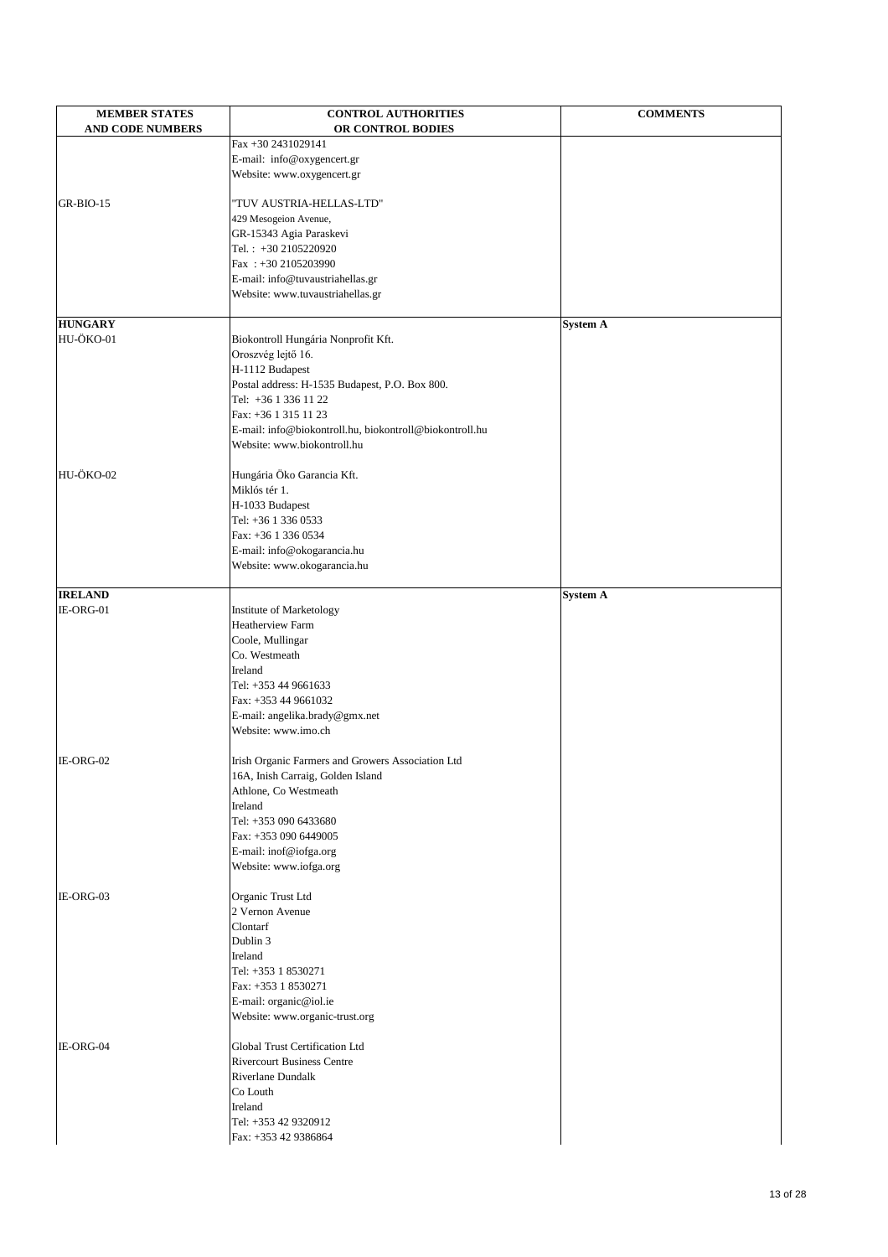| <b>AND CODE NUMBERS</b><br>OR CONTROL BODIES<br>Fax +30 2431029141<br>E-mail: info@oxygencert.gr<br>Website: www.oxygencert.gr<br>GR-BIO-15<br>"TUV AUSTRIA-HELLAS-LTD"<br>429 Mesogeion Avenue,<br>GR-15343 Agia Paraskevi<br>Tel.: +30 2105220920<br>Fax: +30 2105203990<br>E-mail: info@tuvaustriahellas.gr<br>Website: www.tuvaustriahellas.gr<br><b>HUNGARY</b><br><b>System A</b><br>HU-ÖKO-01<br>Biokontroll Hungária Nonprofit Kft.<br>Oroszvég lejtő 16.<br>H-1112 Budapest<br>Postal address: H-1535 Budapest, P.O. Box 800.<br>Tel: +36 1 336 11 22<br>Fax: +36 1 315 11 23<br>E-mail: info@biokontroll.hu, biokontroll@biokontroll.hu<br>Website: www.biokontroll.hu<br>HU-ÖKO-02<br>Hungária Öko Garancia Kft.<br>Miklós tér 1.<br>H-1033 Budapest<br>Tel: +36 1 336 0533<br>Fax: +36 1 336 0534<br>E-mail: info@okogarancia.hu<br>Website: www.okogarancia.hu<br><b>IRELAND</b><br><b>System A</b><br>IE-ORG-01<br>Institute of Marketology<br><b>Heatherview Farm</b><br>Coole, Mullingar<br>Co. Westmeath<br>Ireland<br>Tel: +353 44 9661633<br>Fax: +353 44 9661032<br>E-mail: angelika.brady@gmx.net<br>Website: www.imo.ch<br>IE-ORG-02<br>Irish Organic Farmers and Growers Association Ltd<br>16A, Inish Carraig, Golden Island<br>Athlone, Co Westmeath<br>Ireland<br>Tel: +353 090 6433680<br>Fax: +353 090 6449005<br>E-mail: inof@iofga.org<br>Website: www.iofga.org | <b>MEMBER STATES</b> | <b>CONTROL AUTHORITIES</b> | <b>COMMENTS</b> |
|------------------------------------------------------------------------------------------------------------------------------------------------------------------------------------------------------------------------------------------------------------------------------------------------------------------------------------------------------------------------------------------------------------------------------------------------------------------------------------------------------------------------------------------------------------------------------------------------------------------------------------------------------------------------------------------------------------------------------------------------------------------------------------------------------------------------------------------------------------------------------------------------------------------------------------------------------------------------------------------------------------------------------------------------------------------------------------------------------------------------------------------------------------------------------------------------------------------------------------------------------------------------------------------------------------------------------------------------------------------------------------------------|----------------------|----------------------------|-----------------|
|                                                                                                                                                                                                                                                                                                                                                                                                                                                                                                                                                                                                                                                                                                                                                                                                                                                                                                                                                                                                                                                                                                                                                                                                                                                                                                                                                                                                |                      |                            |                 |
|                                                                                                                                                                                                                                                                                                                                                                                                                                                                                                                                                                                                                                                                                                                                                                                                                                                                                                                                                                                                                                                                                                                                                                                                                                                                                                                                                                                                |                      |                            |                 |
|                                                                                                                                                                                                                                                                                                                                                                                                                                                                                                                                                                                                                                                                                                                                                                                                                                                                                                                                                                                                                                                                                                                                                                                                                                                                                                                                                                                                |                      |                            |                 |
|                                                                                                                                                                                                                                                                                                                                                                                                                                                                                                                                                                                                                                                                                                                                                                                                                                                                                                                                                                                                                                                                                                                                                                                                                                                                                                                                                                                                |                      |                            |                 |
|                                                                                                                                                                                                                                                                                                                                                                                                                                                                                                                                                                                                                                                                                                                                                                                                                                                                                                                                                                                                                                                                                                                                                                                                                                                                                                                                                                                                |                      |                            |                 |
|                                                                                                                                                                                                                                                                                                                                                                                                                                                                                                                                                                                                                                                                                                                                                                                                                                                                                                                                                                                                                                                                                                                                                                                                                                                                                                                                                                                                |                      |                            |                 |
|                                                                                                                                                                                                                                                                                                                                                                                                                                                                                                                                                                                                                                                                                                                                                                                                                                                                                                                                                                                                                                                                                                                                                                                                                                                                                                                                                                                                |                      |                            |                 |
|                                                                                                                                                                                                                                                                                                                                                                                                                                                                                                                                                                                                                                                                                                                                                                                                                                                                                                                                                                                                                                                                                                                                                                                                                                                                                                                                                                                                |                      |                            |                 |
|                                                                                                                                                                                                                                                                                                                                                                                                                                                                                                                                                                                                                                                                                                                                                                                                                                                                                                                                                                                                                                                                                                                                                                                                                                                                                                                                                                                                |                      |                            |                 |
|                                                                                                                                                                                                                                                                                                                                                                                                                                                                                                                                                                                                                                                                                                                                                                                                                                                                                                                                                                                                                                                                                                                                                                                                                                                                                                                                                                                                |                      |                            |                 |
|                                                                                                                                                                                                                                                                                                                                                                                                                                                                                                                                                                                                                                                                                                                                                                                                                                                                                                                                                                                                                                                                                                                                                                                                                                                                                                                                                                                                |                      |                            |                 |
|                                                                                                                                                                                                                                                                                                                                                                                                                                                                                                                                                                                                                                                                                                                                                                                                                                                                                                                                                                                                                                                                                                                                                                                                                                                                                                                                                                                                |                      |                            |                 |
|                                                                                                                                                                                                                                                                                                                                                                                                                                                                                                                                                                                                                                                                                                                                                                                                                                                                                                                                                                                                                                                                                                                                                                                                                                                                                                                                                                                                |                      |                            |                 |
|                                                                                                                                                                                                                                                                                                                                                                                                                                                                                                                                                                                                                                                                                                                                                                                                                                                                                                                                                                                                                                                                                                                                                                                                                                                                                                                                                                                                |                      |                            |                 |
|                                                                                                                                                                                                                                                                                                                                                                                                                                                                                                                                                                                                                                                                                                                                                                                                                                                                                                                                                                                                                                                                                                                                                                                                                                                                                                                                                                                                |                      |                            |                 |
|                                                                                                                                                                                                                                                                                                                                                                                                                                                                                                                                                                                                                                                                                                                                                                                                                                                                                                                                                                                                                                                                                                                                                                                                                                                                                                                                                                                                |                      |                            |                 |
|                                                                                                                                                                                                                                                                                                                                                                                                                                                                                                                                                                                                                                                                                                                                                                                                                                                                                                                                                                                                                                                                                                                                                                                                                                                                                                                                                                                                |                      |                            |                 |
|                                                                                                                                                                                                                                                                                                                                                                                                                                                                                                                                                                                                                                                                                                                                                                                                                                                                                                                                                                                                                                                                                                                                                                                                                                                                                                                                                                                                |                      |                            |                 |
|                                                                                                                                                                                                                                                                                                                                                                                                                                                                                                                                                                                                                                                                                                                                                                                                                                                                                                                                                                                                                                                                                                                                                                                                                                                                                                                                                                                                |                      |                            |                 |
|                                                                                                                                                                                                                                                                                                                                                                                                                                                                                                                                                                                                                                                                                                                                                                                                                                                                                                                                                                                                                                                                                                                                                                                                                                                                                                                                                                                                |                      |                            |                 |
|                                                                                                                                                                                                                                                                                                                                                                                                                                                                                                                                                                                                                                                                                                                                                                                                                                                                                                                                                                                                                                                                                                                                                                                                                                                                                                                                                                                                |                      |                            |                 |
|                                                                                                                                                                                                                                                                                                                                                                                                                                                                                                                                                                                                                                                                                                                                                                                                                                                                                                                                                                                                                                                                                                                                                                                                                                                                                                                                                                                                |                      |                            |                 |
|                                                                                                                                                                                                                                                                                                                                                                                                                                                                                                                                                                                                                                                                                                                                                                                                                                                                                                                                                                                                                                                                                                                                                                                                                                                                                                                                                                                                |                      |                            |                 |
|                                                                                                                                                                                                                                                                                                                                                                                                                                                                                                                                                                                                                                                                                                                                                                                                                                                                                                                                                                                                                                                                                                                                                                                                                                                                                                                                                                                                |                      |                            |                 |
|                                                                                                                                                                                                                                                                                                                                                                                                                                                                                                                                                                                                                                                                                                                                                                                                                                                                                                                                                                                                                                                                                                                                                                                                                                                                                                                                                                                                |                      |                            |                 |
|                                                                                                                                                                                                                                                                                                                                                                                                                                                                                                                                                                                                                                                                                                                                                                                                                                                                                                                                                                                                                                                                                                                                                                                                                                                                                                                                                                                                |                      |                            |                 |
|                                                                                                                                                                                                                                                                                                                                                                                                                                                                                                                                                                                                                                                                                                                                                                                                                                                                                                                                                                                                                                                                                                                                                                                                                                                                                                                                                                                                |                      |                            |                 |
|                                                                                                                                                                                                                                                                                                                                                                                                                                                                                                                                                                                                                                                                                                                                                                                                                                                                                                                                                                                                                                                                                                                                                                                                                                                                                                                                                                                                |                      |                            |                 |
|                                                                                                                                                                                                                                                                                                                                                                                                                                                                                                                                                                                                                                                                                                                                                                                                                                                                                                                                                                                                                                                                                                                                                                                                                                                                                                                                                                                                |                      |                            |                 |
|                                                                                                                                                                                                                                                                                                                                                                                                                                                                                                                                                                                                                                                                                                                                                                                                                                                                                                                                                                                                                                                                                                                                                                                                                                                                                                                                                                                                |                      |                            |                 |
|                                                                                                                                                                                                                                                                                                                                                                                                                                                                                                                                                                                                                                                                                                                                                                                                                                                                                                                                                                                                                                                                                                                                                                                                                                                                                                                                                                                                |                      |                            |                 |
|                                                                                                                                                                                                                                                                                                                                                                                                                                                                                                                                                                                                                                                                                                                                                                                                                                                                                                                                                                                                                                                                                                                                                                                                                                                                                                                                                                                                |                      |                            |                 |
|                                                                                                                                                                                                                                                                                                                                                                                                                                                                                                                                                                                                                                                                                                                                                                                                                                                                                                                                                                                                                                                                                                                                                                                                                                                                                                                                                                                                |                      |                            |                 |
|                                                                                                                                                                                                                                                                                                                                                                                                                                                                                                                                                                                                                                                                                                                                                                                                                                                                                                                                                                                                                                                                                                                                                                                                                                                                                                                                                                                                |                      |                            |                 |
|                                                                                                                                                                                                                                                                                                                                                                                                                                                                                                                                                                                                                                                                                                                                                                                                                                                                                                                                                                                                                                                                                                                                                                                                                                                                                                                                                                                                |                      |                            |                 |
|                                                                                                                                                                                                                                                                                                                                                                                                                                                                                                                                                                                                                                                                                                                                                                                                                                                                                                                                                                                                                                                                                                                                                                                                                                                                                                                                                                                                |                      |                            |                 |
|                                                                                                                                                                                                                                                                                                                                                                                                                                                                                                                                                                                                                                                                                                                                                                                                                                                                                                                                                                                                                                                                                                                                                                                                                                                                                                                                                                                                |                      |                            |                 |
|                                                                                                                                                                                                                                                                                                                                                                                                                                                                                                                                                                                                                                                                                                                                                                                                                                                                                                                                                                                                                                                                                                                                                                                                                                                                                                                                                                                                |                      |                            |                 |
|                                                                                                                                                                                                                                                                                                                                                                                                                                                                                                                                                                                                                                                                                                                                                                                                                                                                                                                                                                                                                                                                                                                                                                                                                                                                                                                                                                                                |                      |                            |                 |
|                                                                                                                                                                                                                                                                                                                                                                                                                                                                                                                                                                                                                                                                                                                                                                                                                                                                                                                                                                                                                                                                                                                                                                                                                                                                                                                                                                                                |                      |                            |                 |
|                                                                                                                                                                                                                                                                                                                                                                                                                                                                                                                                                                                                                                                                                                                                                                                                                                                                                                                                                                                                                                                                                                                                                                                                                                                                                                                                                                                                |                      |                            |                 |
|                                                                                                                                                                                                                                                                                                                                                                                                                                                                                                                                                                                                                                                                                                                                                                                                                                                                                                                                                                                                                                                                                                                                                                                                                                                                                                                                                                                                |                      |                            |                 |
|                                                                                                                                                                                                                                                                                                                                                                                                                                                                                                                                                                                                                                                                                                                                                                                                                                                                                                                                                                                                                                                                                                                                                                                                                                                                                                                                                                                                |                      |                            |                 |
|                                                                                                                                                                                                                                                                                                                                                                                                                                                                                                                                                                                                                                                                                                                                                                                                                                                                                                                                                                                                                                                                                                                                                                                                                                                                                                                                                                                                |                      |                            |                 |
|                                                                                                                                                                                                                                                                                                                                                                                                                                                                                                                                                                                                                                                                                                                                                                                                                                                                                                                                                                                                                                                                                                                                                                                                                                                                                                                                                                                                |                      |                            |                 |
|                                                                                                                                                                                                                                                                                                                                                                                                                                                                                                                                                                                                                                                                                                                                                                                                                                                                                                                                                                                                                                                                                                                                                                                                                                                                                                                                                                                                |                      |                            |                 |
|                                                                                                                                                                                                                                                                                                                                                                                                                                                                                                                                                                                                                                                                                                                                                                                                                                                                                                                                                                                                                                                                                                                                                                                                                                                                                                                                                                                                |                      |                            |                 |
|                                                                                                                                                                                                                                                                                                                                                                                                                                                                                                                                                                                                                                                                                                                                                                                                                                                                                                                                                                                                                                                                                                                                                                                                                                                                                                                                                                                                |                      |                            |                 |
|                                                                                                                                                                                                                                                                                                                                                                                                                                                                                                                                                                                                                                                                                                                                                                                                                                                                                                                                                                                                                                                                                                                                                                                                                                                                                                                                                                                                |                      |                            |                 |
| Organic Trust Ltd                                                                                                                                                                                                                                                                                                                                                                                                                                                                                                                                                                                                                                                                                                                                                                                                                                                                                                                                                                                                                                                                                                                                                                                                                                                                                                                                                                              | IE-ORG-03            |                            |                 |

 2 Vernon Avenue Clontarf Dublin 3 Ireland Tel: +353 1 8530271 Fax: +353 1 8530271 E-mail: organic@iol.ie Website: www.organic-trust.org IE-ORG-04 Global Trust Certification Ltd Rivercourt Business Centre Riverlane Dundalk Co Louth Ireland Tel: +353 42 9320912 Fax: +353 42 9386864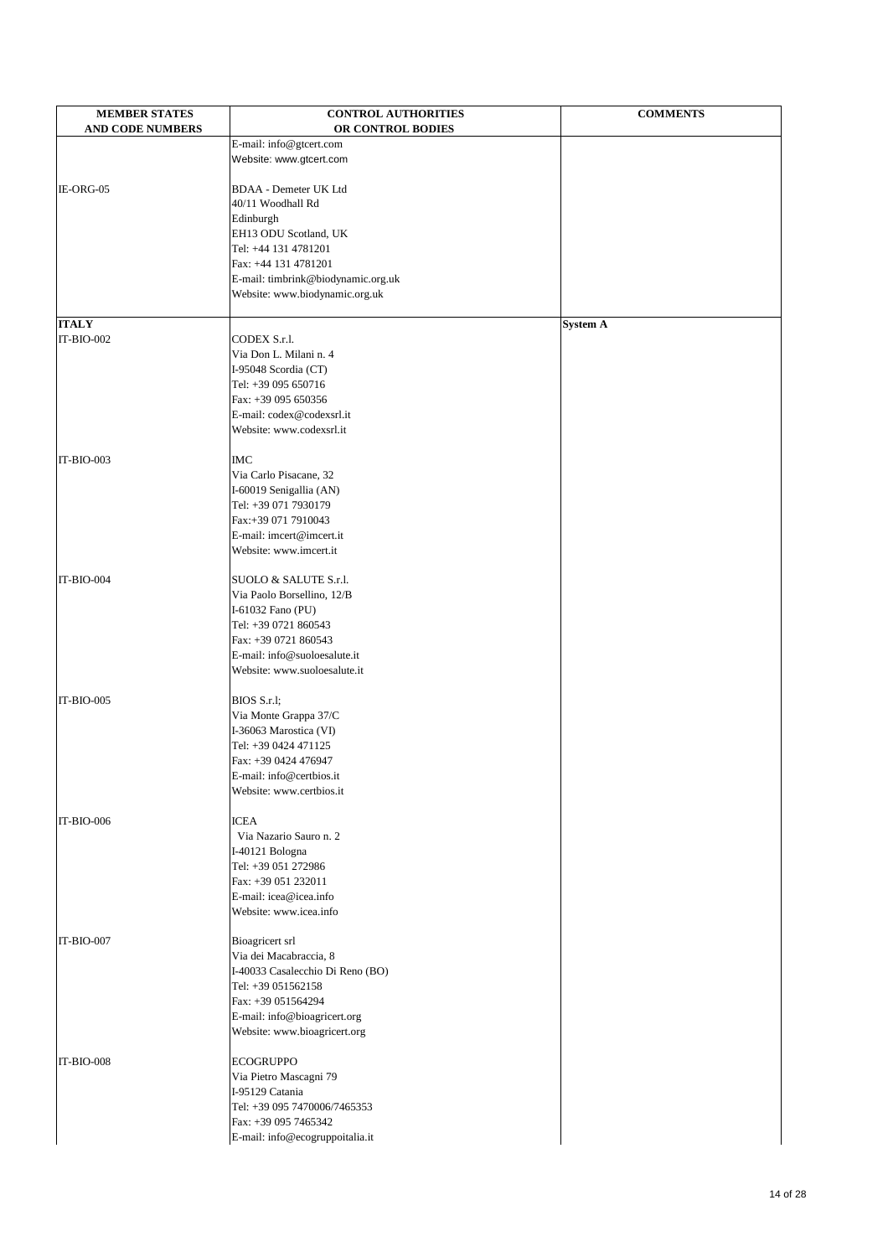| <b>MEMBER STATES</b>    | <b>CONTROL AUTHORITIES</b>         | <b>COMMENTS</b> |
|-------------------------|------------------------------------|-----------------|
| <b>AND CODE NUMBERS</b> | OR CONTROL BODIES                  |                 |
|                         | E-mail: info@gtcert.com            |                 |
|                         | Website: www.gtcert.com            |                 |
|                         |                                    |                 |
| IE-ORG-05               | <b>BDAA</b> - Demeter UK Ltd       |                 |
|                         | 40/11 Woodhall Rd                  |                 |
|                         | Edinburgh                          |                 |
|                         | EH13 ODU Scotland, UK              |                 |
|                         | Tel: +44 131 4781201               |                 |
|                         | Fax: +44 131 4781201               |                 |
|                         | E-mail: timbrink@biodynamic.org.uk |                 |
|                         | Website: www.biodynamic.org.uk     |                 |
| <b>ITALY</b>            |                                    | <b>System A</b> |
| IT-BIO-002              | CODEX S.r.l.                       |                 |
|                         | Via Don L. Milani n. 4             |                 |
|                         | I-95048 Scordia (CT)               |                 |
|                         | Tel: +39 095 650716                |                 |
|                         | Fax: +39 095 650356                |                 |
|                         | E-mail: codex@codexsrl.it          |                 |
|                         | Website: www.codexsrl.it           |                 |
|                         |                                    |                 |
| IT-BIO-003              | <b>IMC</b>                         |                 |
|                         | Via Carlo Pisacane, 32             |                 |
|                         | I-60019 Senigallia (AN)            |                 |
|                         | Tel: +39 071 7930179               |                 |
|                         | Fax:+39 071 7910043                |                 |
|                         | E-mail: imcert@imcert.it           |                 |
|                         | Website: www.imcert.it             |                 |
| IT-BIO-004              | SUOLO & SALUTE S.r.l.              |                 |
|                         | Via Paolo Borsellino, 12/B         |                 |
|                         | I-61032 Fano (PU)                  |                 |
|                         | Tel: +39 0721 860543               |                 |
|                         | Fax: +39 0721 860543               |                 |
|                         | E-mail: info@suoloesalute.it       |                 |
|                         | Website: www.suoloesalute.it       |                 |
|                         |                                    |                 |
| $IT-BIO-005$            | BIOS S.r.l;                        |                 |
|                         | Via Monte Grappa 37/C              |                 |
|                         | I-36063 Marostica (VI)             |                 |
|                         | Tel: +39 0424 471125               |                 |
|                         | Fax: +39 0424 476947               |                 |
|                         | E-mail: info@certbios.it           |                 |
|                         | Website: www.certbios.it           |                 |
| IT-BIO-006              | <b>ICEA</b>                        |                 |
|                         | Via Nazario Sauro n. 2             |                 |
|                         | I-40121 Bologna                    |                 |
|                         | Tel: +39 051 272986                |                 |
|                         | Fax: +39 051 232011                |                 |
|                         | E-mail: icea@icea.info             |                 |
|                         | Waheito: www.ieoo.info             |                 |

| IT-BIO-007 |
|------------|
|------------|

website. www.icea.info Bioagricert srl Via dei Macabraccia, 8 I-40033 Casalecchio Di Reno (BO) Tel: +39 051562158 Fax: +39 051564294 E-mail: info@bioagricert.org Website: www.bioagricert.org IT-BIO-008 ECOGRUPPO Via Pietro Mascagni 79

I-95129 Catania

Tel: +39 095 7470006/7465353

Fax: +39 095 7465342

E-mail: info@ecogruppoitalia.it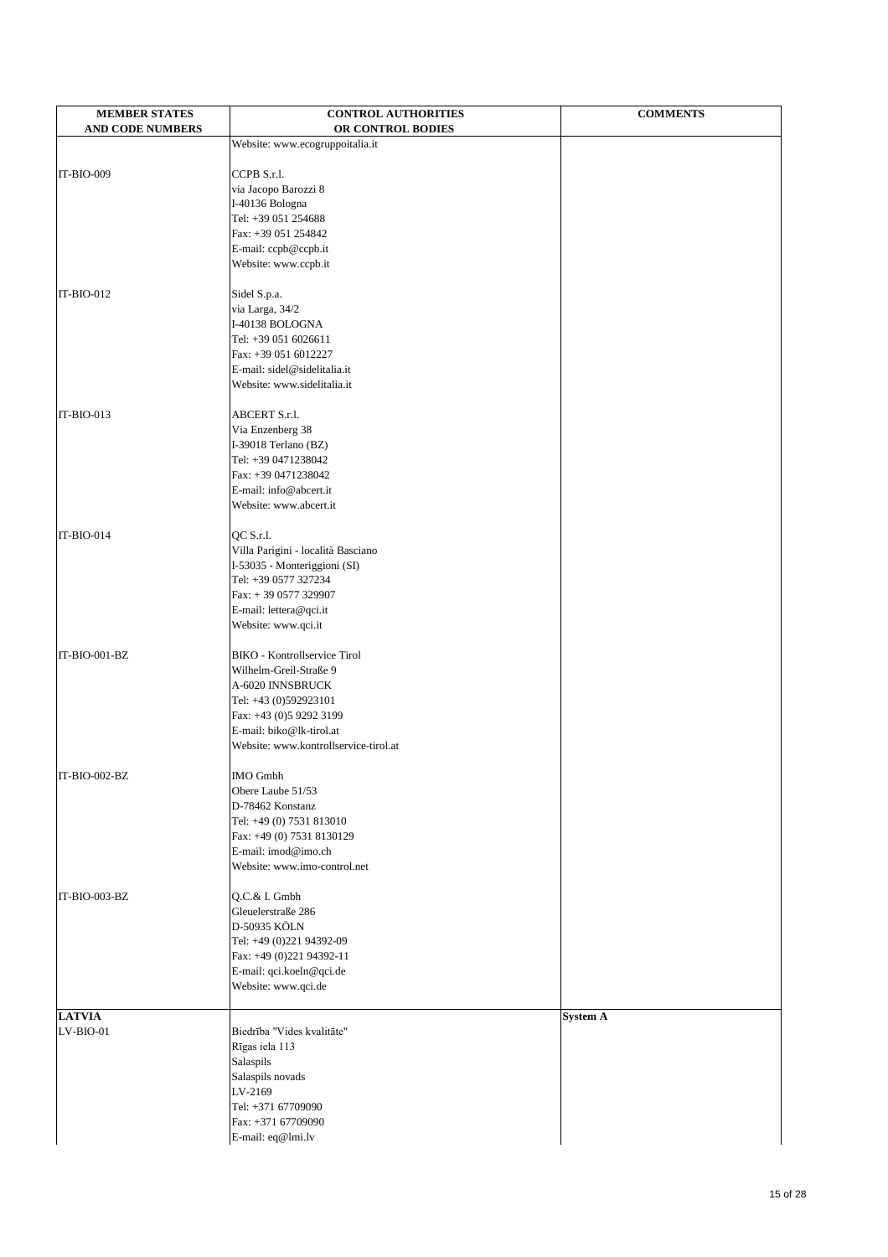| <b>MEMBER STATES</b>    | <b>CONTROL AUTHORITIES</b>                                        | <b>COMMENTS</b> |
|-------------------------|-------------------------------------------------------------------|-----------------|
| <b>AND CODE NUMBERS</b> | OR CONTROL BODIES                                                 |                 |
|                         | Website: www.ecogruppoitalia.it                                   |                 |
| IT-BIO-009              |                                                                   |                 |
|                         | CCPB S.r.l.<br>via Jacopo Barozzi 8                               |                 |
|                         | I-40136 Bologna                                                   |                 |
|                         | Tel: +39 051 254688                                               |                 |
|                         | Fax: +39 051 254842                                               |                 |
|                         | E-mail: ccpb@ccpb.it                                              |                 |
|                         | Website: www.ccpb.it                                              |                 |
|                         |                                                                   |                 |
| $IT-BIO-012$            | Sidel S.p.a.                                                      |                 |
|                         | via Larga, 34/2<br>I-40138 BOLOGNA                                |                 |
|                         | Tel: +39 051 6026611                                              |                 |
|                         | Fax: +39 051 6012227                                              |                 |
|                         | E-mail: sidel@sidelitalia.it                                      |                 |
|                         | Website: www.sidelitalia.it                                       |                 |
|                         |                                                                   |                 |
| IT-BIO-013              | <b>ABCERT S.r.l.</b>                                              |                 |
|                         | Via Enzenberg 38                                                  |                 |
|                         | I-39018 Terlano (BZ)                                              |                 |
|                         | Tel: +39 0471238042<br>Fax: +39 0471238042                        |                 |
|                         | E-mail: info@abcert.it                                            |                 |
|                         | Website: www.abcert.it                                            |                 |
|                         |                                                                   |                 |
| IT-BIO-014              | QC S.r.l.                                                         |                 |
|                         | Villa Parigini - località Basciano                                |                 |
|                         | I-53035 - Monteriggioni (SI)                                      |                 |
|                         | Tel: +39 0577 327234                                              |                 |
|                         | Fax: $+390577329907$                                              |                 |
|                         | E-mail: lettera@qci.it<br>Website: www.qci.it                     |                 |
|                         |                                                                   |                 |
| IT-BIO-001-BZ           | <b>BIKO</b> - Kontrollservice Tirol                               |                 |
|                         | Wilhelm-Greil-Straße 9                                            |                 |
|                         | A-6020 INNSBRUCK                                                  |                 |
|                         | Tel: +43 (0)592923101                                             |                 |
|                         | Fax: +43 (0)5 9292 3199                                           |                 |
|                         | E-mail: biko@lk-tirol.at<br>Website: www.kontrollservice-tirol.at |                 |
|                         |                                                                   |                 |
| IT-BIO-002-BZ           | <b>IMO</b> Gmbh                                                   |                 |
|                         | Obere Laube 51/53                                                 |                 |
|                         | D-78462 Konstanz                                                  |                 |
|                         | Tel: +49 (0) 7531 813010                                          |                 |
|                         | Fax: +49 (0) 7531 8130129                                         |                 |
|                         | E-mail: imod@imo.ch                                               |                 |
|                         | Website: www.imo-control.net                                      |                 |
| IT-BIO-003-BZ           | Q.C.& I. Gmbh                                                     |                 |
|                         | Gleuelerstraße 286                                                |                 |
|                         | <b>D-50935 KÖLN</b>                                               |                 |
|                         | Tel: +49 (0)221 94392-09                                          |                 |
|                         | Fax: +49 (0)221 94392-11                                          |                 |
|                         | E-mail: qci.koeln@qci.de                                          |                 |
|                         | Website: www.qci.de                                               |                 |
| <b>LATVIA</b>           |                                                                   | <b>System A</b> |
| $LV-BIO-01$             | Biedrība "Vides kvalitāte"                                        |                 |
|                         | Rīgas iela 113                                                    |                 |
|                         | Salaspils                                                         |                 |
|                         | Salaspils novads                                                  |                 |
|                         | LV-2169                                                           |                 |
|                         | Tel: +371 67709090                                                |                 |
|                         | Fax: +371 67709090                                                |                 |
|                         | E-mail: eq@lmi.lv                                                 |                 |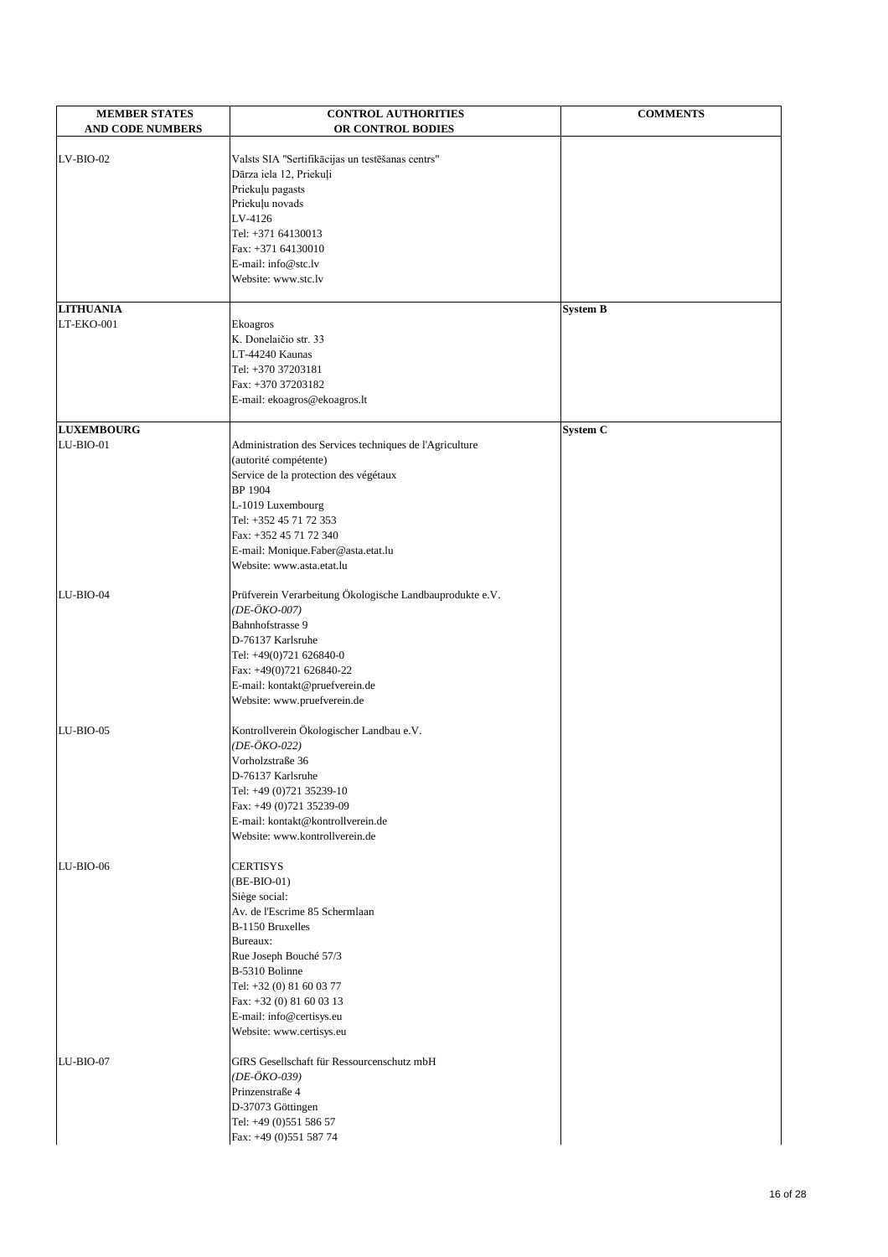| <b>MEMBER STATES</b><br><b>AND CODE NUMBERS</b> | <b>CONTROL AUTHORITIES</b><br>OR CONTROL BODIES          | <b>COMMENTS</b> |
|-------------------------------------------------|----------------------------------------------------------|-----------------|
|                                                 |                                                          |                 |
| $LV-BIO-02$                                     | Valsts SIA "Sertifikācijas un testēšanas centrs"         |                 |
|                                                 | Dārza iela 12, Priekuļi                                  |                 |
|                                                 | Priekuļu pagasts                                         |                 |
|                                                 | Priekuļu novads                                          |                 |
|                                                 | LV-4126<br>Tel: +371 64130013                            |                 |
|                                                 | Fax: +371 64130010                                       |                 |
|                                                 | E-mail: info@stc.lv                                      |                 |
|                                                 | Website: www.stc.lv                                      |                 |
|                                                 |                                                          |                 |
| <b>LITHUANIA</b>                                |                                                          | <b>System B</b> |
| LT-EKO-001                                      | Ekoagros                                                 |                 |
|                                                 | K. Donelaičio str. 33                                    |                 |
|                                                 | LT-44240 Kaunas                                          |                 |
|                                                 | Tel: +370 37203181                                       |                 |
|                                                 | Fax: +370 37203182                                       |                 |
|                                                 | E-mail: ekoagros@ekoagros.lt                             |                 |
| <b>LUXEMBOURG</b>                               |                                                          | <b>System C</b> |
| LU-BIO-01                                       | Administration des Services techniques de l'Agriculture  |                 |
|                                                 | (autorité compétente)                                    |                 |
|                                                 | Service de la protection des végétaux                    |                 |
|                                                 | <b>BP 1904</b>                                           |                 |
|                                                 | L-1019 Luxembourg                                        |                 |
|                                                 | Tel: +352 45 71 72 353                                   |                 |
|                                                 | Fax: +352 45 71 72 340                                   |                 |
|                                                 | E-mail: Monique.Faber@asta.etat.lu                       |                 |
|                                                 | Website: www.asta.etat.lu                                |                 |
| LU-BIO-04                                       | Prüfverein Verarbeitung Ökologische Landbauprodukte e.V. |                 |
|                                                 | $(DE-ÖKO-007)$                                           |                 |
|                                                 | Bahnhofstrasse 9                                         |                 |
|                                                 | D-76137 Karlsruhe                                        |                 |
|                                                 | Tel: +49(0)721 626840-0                                  |                 |
|                                                 | Fax: +49(0)721 626840-22                                 |                 |
|                                                 | E-mail: kontakt@pruefverein.de                           |                 |
|                                                 | Website: www.pruefverein.de                              |                 |
| LU-BIO-05                                       | Kontrollverein Ökologischer Landbau e.V.                 |                 |
|                                                 | $(DE-ÖKO-022)$                                           |                 |
|                                                 | Vorholzstraße 36                                         |                 |
|                                                 | D-76137 Karlsruhe                                        |                 |
|                                                 | Tel: +49 (0)721 35239-10                                 |                 |
|                                                 | Fax: +49 (0)721 35239-09                                 |                 |
|                                                 | E-mail: kontakt@kontrollverein.de                        |                 |
|                                                 | Website: www.kontrollverein.de                           |                 |
|                                                 |                                                          |                 |
| LU-BIO-06                                       | <b>CERTISYS</b>                                          |                 |
|                                                 | $(BE-BIO-01)$                                            |                 |
|                                                 | Siège social:                                            |                 |
|                                                 | Av. de l'Escrime 85 Schermlaan                           |                 |

|            | AV. DE LESCrittle 6.3 SCHEFITILIZIO        |
|------------|--------------------------------------------|
|            | B-1150 Bruxelles                           |
|            | Bureaux:                                   |
|            | Rue Joseph Bouché 57/3                     |
|            | B-5310 Bolinne                             |
|            | Tel: $+32$ (0) 81 60 03 77                 |
|            | Fax: $+32(0)81600313$                      |
|            | E-mail: info@certisys.eu                   |
|            | Website: www.certisys.eu                   |
|            |                                            |
| ILU-BIO-07 | GfRS Gesellschaft für Ressourcenschutz mbH |
|            | (DE-ÖKO-039)                               |
|            | Prinzenstraße 4                            |
|            |                                            |

D-37073 Göttingen Tel: +49 (0)551 586 57 Fax: +49 (0)551 587 74

16 of 28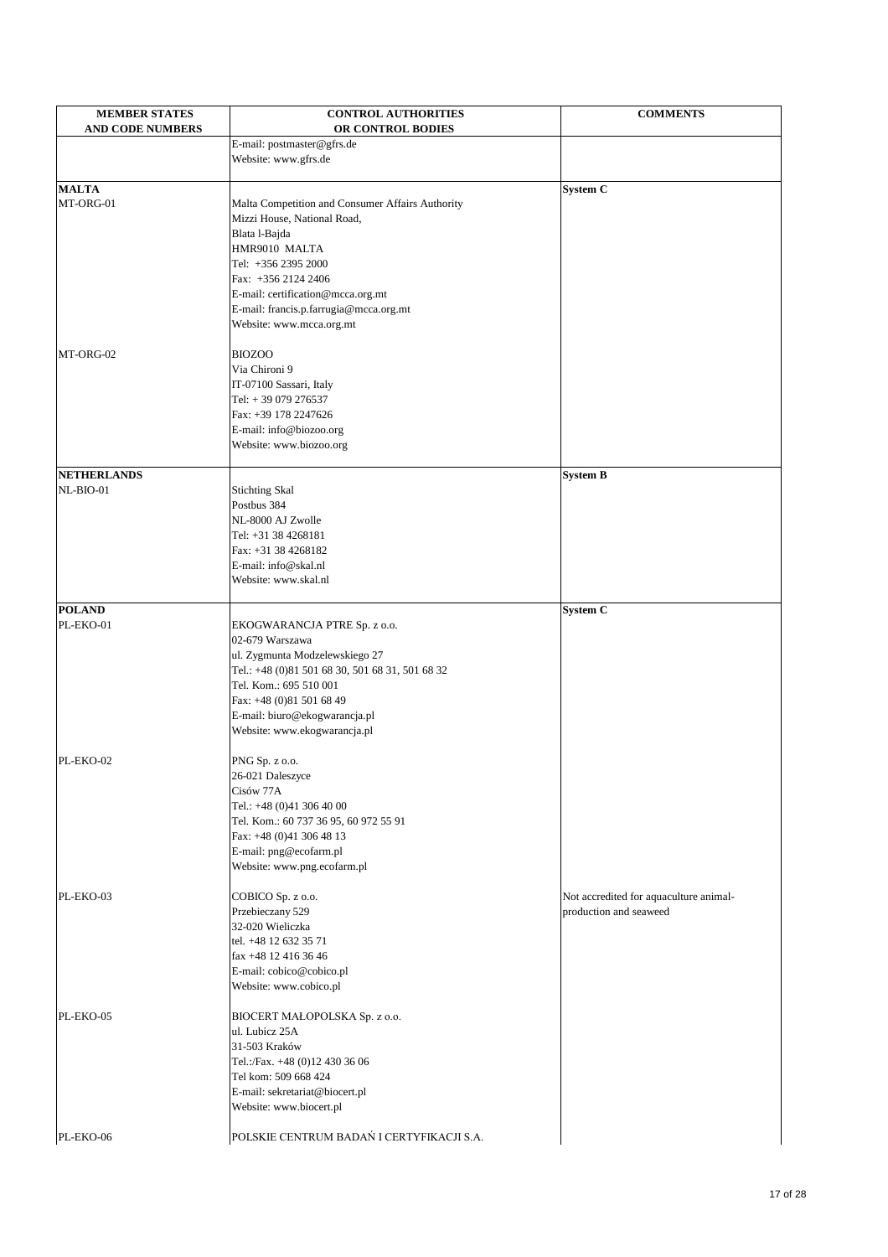| <b>MEMBER STATES</b><br><b>AND CODE NUMBERS</b> | <b>CONTROL AUTHORITIES</b><br>OR CONTROL BODIES  | <b>COMMENTS</b>                        |
|-------------------------------------------------|--------------------------------------------------|----------------------------------------|
|                                                 | E-mail: postmaster@gfrs.de                       |                                        |
|                                                 | Website: www.gfrs.de                             |                                        |
|                                                 |                                                  |                                        |
| <b>MALTA</b>                                    |                                                  | <b>System C</b>                        |
| MT-ORG-01                                       | Malta Competition and Consumer Affairs Authority |                                        |
|                                                 | Mizzi House, National Road,                      |                                        |
|                                                 | Blata l-Bajda                                    |                                        |
|                                                 | HMR9010 MALTA                                    |                                        |
|                                                 | Tel: +356 2395 2000                              |                                        |
|                                                 | Fax: +356 2124 2406                              |                                        |
|                                                 | E-mail: certification@mcca.org.mt                |                                        |
|                                                 | E-mail: francis.p.farrugia@mcca.org.mt           |                                        |
|                                                 | Website: www.mcca.org.mt                         |                                        |
| MT-ORG-02                                       | <b>BIOZOO</b>                                    |                                        |
|                                                 | Via Chironi 9                                    |                                        |
|                                                 | IT-07100 Sassari, Italy                          |                                        |
|                                                 | Tel: +39 079 276537                              |                                        |
|                                                 | Fax: +39 178 2247626                             |                                        |
|                                                 | E-mail: info@biozoo.org                          |                                        |
|                                                 | Website: www.biozoo.org                          |                                        |
| NETHERLANDS                                     |                                                  | <b>System B</b>                        |
| NL-BIO-01                                       | <b>Stichting Skal</b>                            |                                        |
|                                                 | Postbus 384                                      |                                        |
|                                                 | NL-8000 AJ Zwolle                                |                                        |
|                                                 | Tel: +31 38 4268181                              |                                        |
|                                                 | Fax: +31 38 4268182                              |                                        |
|                                                 | E-mail: info@skal.nl                             |                                        |
|                                                 | Website: www.skal.nl                             |                                        |
|                                                 |                                                  |                                        |
| <b>POLAND</b>                                   |                                                  | <b>System C</b>                        |
| PL-EKO-01                                       | EKOGWARANCJA PTRE Sp. z o.o.                     |                                        |
|                                                 | 02-679 Warszawa                                  |                                        |
|                                                 | ul. Zygmunta Modzelewskiego 27                   |                                        |
|                                                 | Tel.: +48 (0)81 501 68 30, 501 68 31, 501 68 32  |                                        |
|                                                 | Tel. Kom.: 695 510 001                           |                                        |
|                                                 | Fax: +48 (0)81 501 68 49                         |                                        |
|                                                 | E-mail: biuro@ekogwarancja.pl                    |                                        |
|                                                 | Website: www.ekogwarancja.pl                     |                                        |
| PL-EKO-02                                       | PNG Sp. z o.o.                                   |                                        |
|                                                 | 26-021 Daleszyce                                 |                                        |
|                                                 | Cisów 77A                                        |                                        |
|                                                 | Tel.: $+48(0)413064000$                          |                                        |
|                                                 | Tel. Kom.: 60 737 36 95, 60 972 55 91            |                                        |
|                                                 | Fax: +48 (0)41 306 48 13                         |                                        |
|                                                 | E-mail: png@ecofarm.pl                           |                                        |
|                                                 | Website: www.png.ecofarm.pl                      |                                        |
| PL-EKO-03                                       | COBICO Sp. z o.o.                                | Not accredited for aquaculture animal- |
|                                                 | Przebieczany 529                                 | production and seaweed                 |

|           | $Prz$ edieczany 329                       | production and seaweed |
|-----------|-------------------------------------------|------------------------|
|           | 32-020 Wieliczka                          |                        |
|           | tel. +48 12 632 35 71                     |                        |
|           | $\int$ fax +48 12 416 36 46               |                        |
|           | E-mail: cobico@cobico.pl                  |                        |
|           | Website: www.cobico.pl                    |                        |
| PL-EKO-05 | BIOCERT MAŁOPOLSKA Sp. z o.o.             |                        |
|           | ul. Lubicz 25A                            |                        |
|           | 31-503 Kraków                             |                        |
|           | Tel.:/Fax. +48 (0)12 430 36 06            |                        |
|           | Tel kom: 509 668 424                      |                        |
|           | E-mail: sekretariat@biocert.pl            |                        |
|           | Website: www.biocert.pl                   |                        |
| PL-EKO-06 | POLSKIE CENTRUM BADAŃ I CERTYFIKACJI S.A. |                        |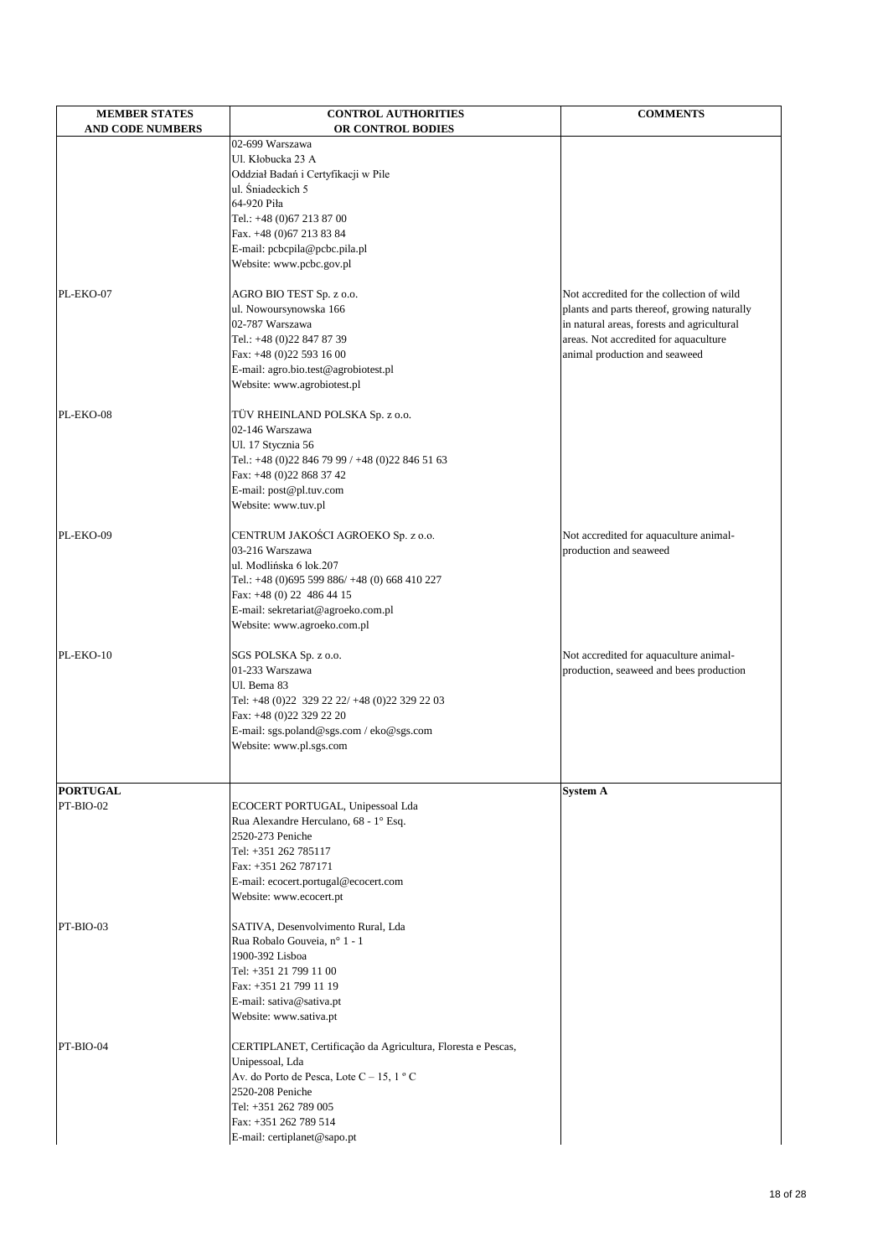| <b>MEMBER STATES</b><br><b>AND CODE NUMBERS</b> | <b>CONTROL AUTHORITIES</b><br>OR CONTROL BODIES                      | <b>COMMENTS</b>                                                                     |
|-------------------------------------------------|----------------------------------------------------------------------|-------------------------------------------------------------------------------------|
|                                                 | 02-699 Warszawa                                                      |                                                                                     |
|                                                 | Ul. Kłobucka 23 A                                                    |                                                                                     |
|                                                 | Oddział Badań i Certyfikacji w Pile                                  |                                                                                     |
|                                                 | ul. Śniadeckich 5                                                    |                                                                                     |
|                                                 | 64-920 Piła                                                          |                                                                                     |
|                                                 | Tel.: +48 (0)67 213 87 00<br>Fax. +48 (0) 67 213 83 84               |                                                                                     |
|                                                 | E-mail: pcbcpila@pcbc.pila.pl                                        |                                                                                     |
|                                                 | Website: www.pcbc.gov.pl                                             |                                                                                     |
|                                                 |                                                                      |                                                                                     |
| PL-EKO-07                                       | AGRO BIO TEST Sp. z o.o.                                             | Not accredited for the collection of wild                                           |
|                                                 | ul. Nowoursynowska 166<br>02-787 Warszawa                            | plants and parts thereof, growing naturally                                         |
|                                                 | Tel.: +48 (0)22 847 87 39                                            | in natural areas, forests and agricultural<br>areas. Not accredited for aquaculture |
|                                                 | Fax: +48 (0)22 593 16 00                                             | animal production and seaweed                                                       |
|                                                 | E-mail: agro.bio.test@agrobiotest.pl                                 |                                                                                     |
|                                                 | Website: www.agrobiotest.pl                                          |                                                                                     |
|                                                 |                                                                      |                                                                                     |
| PL-EKO-08                                       | TÜV RHEINLAND POLSKA Sp. z o.o.<br>02-146 Warszawa                   |                                                                                     |
|                                                 | Ul. 17 Stycznia 56                                                   |                                                                                     |
|                                                 | Tel.: +48 (0)22 846 79 99 / +48 (0)22 846 51 63                      |                                                                                     |
|                                                 | Fax: +48 (0)22 868 37 42                                             |                                                                                     |
|                                                 | E-mail: post@pl.tuv.com                                              |                                                                                     |
|                                                 | Website: www.tuv.pl                                                  |                                                                                     |
| PL-EKO-09                                       | CENTRUM JAKOŚCI AGROEKO Sp. z o.o.                                   | Not accredited for aquaculture animal-                                              |
|                                                 | 03-216 Warszawa                                                      | production and seaweed                                                              |
|                                                 | ul. Modlińska 6 lok.207                                              |                                                                                     |
|                                                 | Tel.: +48 (0)695 599 886/ +48 (0) 668 410 227                        |                                                                                     |
|                                                 | Fax: $+48$ (0) 22 486 44 15                                          |                                                                                     |
|                                                 | E-mail: sekretariat@agroeko.com.pl                                   |                                                                                     |
|                                                 | Website: www.agroeko.com.pl                                          |                                                                                     |
| PL-EKO-10                                       | SGS POLSKA Sp. z o.o.                                                | Not accredited for aquaculture animal-                                              |
|                                                 | 01-233 Warszawa                                                      | production, seaweed and bees production                                             |
|                                                 | Ul. Bema 83                                                          |                                                                                     |
|                                                 | Tel: +48 (0)22 329 22 22/ +48 (0)22 329 22 03                        |                                                                                     |
|                                                 | Fax: +48 (0)22 329 22 20<br>E-mail: sgs.poland@sgs.com / eko@sgs.com |                                                                                     |
|                                                 | Website: www.pl.sgs.com                                              |                                                                                     |
|                                                 |                                                                      |                                                                                     |
|                                                 |                                                                      |                                                                                     |
| <b>PORTUGAL</b><br>PT-BIO-02                    | ECOCERT PORTUGAL, Unipessoal Lda                                     | <b>System A</b>                                                                     |
|                                                 | Rua Alexandre Herculano, 68 - 1° Esq.                                |                                                                                     |
|                                                 | 2520-273 Peniche                                                     |                                                                                     |
|                                                 | Tel: +351 262 785117                                                 |                                                                                     |
|                                                 | Fax: +351 262 787171                                                 |                                                                                     |
|                                                 | E-mail: ecocert.portugal@ecocert.com                                 |                                                                                     |
|                                                 | Website: www.ecocert.pt                                              |                                                                                     |
| $PT-BIO-03$                                     | SATIVA, Desenvolvimento Rural, Lda                                   |                                                                                     |
|                                                 | Rua Robalo Gouveia, nº 1 - 1                                         |                                                                                     |
|                                                 | 1900-392 Lisboa                                                      |                                                                                     |
|                                                 | Tel: +351 21 799 11 00                                               |                                                                                     |
|                                                 | Fax: +351 21 799 11 19                                               |                                                                                     |
|                                                 | E-mail: sativa@sativa.pt<br>Website: www.sativa.pt                   |                                                                                     |
|                                                 |                                                                      |                                                                                     |
| $PT-BIO-04$                                     | CERTIPLANET, Certificação da Agricultura, Floresta e Pescas,         |                                                                                     |
|                                                 | Unipessoal, Lda                                                      |                                                                                     |
|                                                 | Av. do Porto de Pesca, Lote C – 15, 1 $\degree$ C                    |                                                                                     |
|                                                 | 2520-208 Peniche<br>Tel: +351 262 789 005                            |                                                                                     |
|                                                 | Fax: +351 262 789 514                                                |                                                                                     |
|                                                 | E-mail: certiplanet@sapo.pt                                          |                                                                                     |
|                                                 |                                                                      |                                                                                     |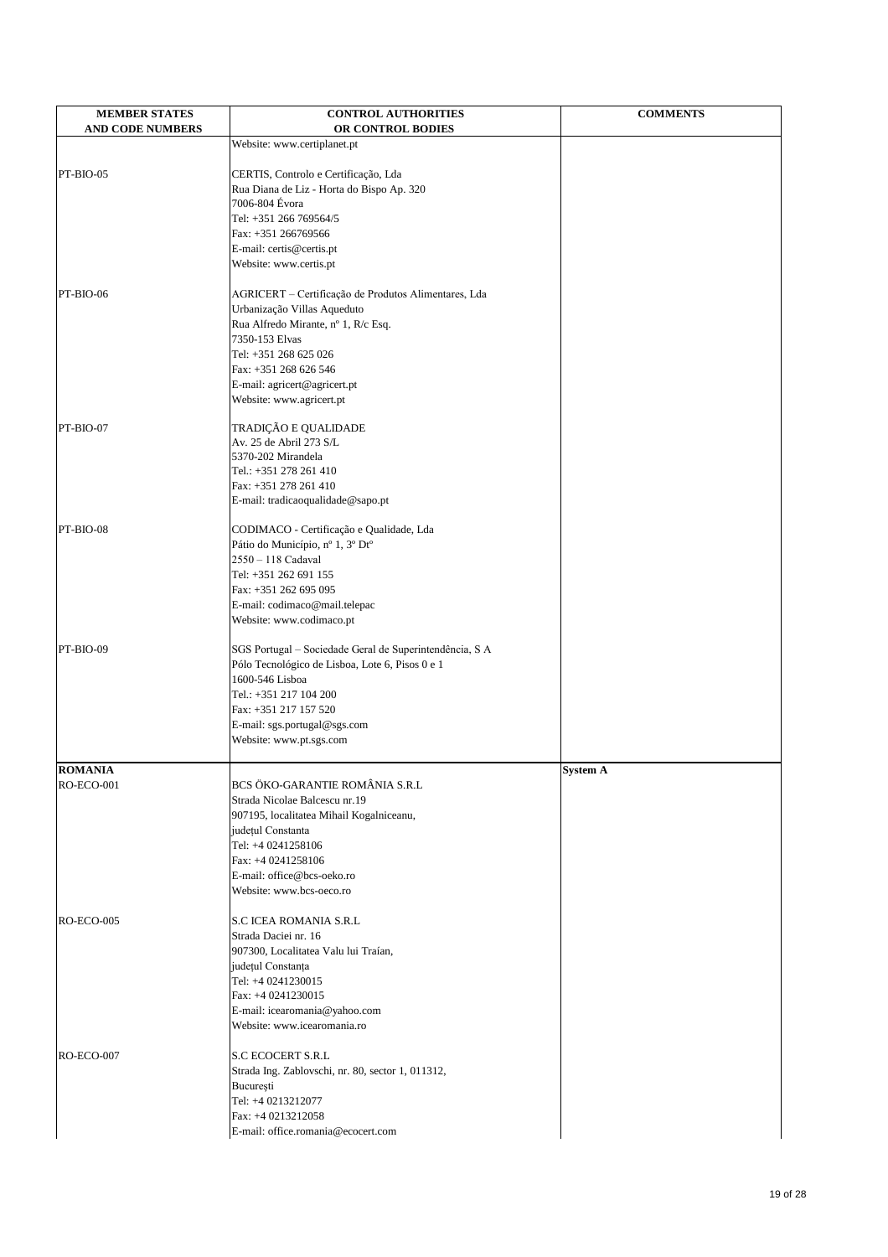| <b>MEMBER STATES</b>    | <b>CONTROL AUTHORITIES</b>                                  | <b>COMMENTS</b> |
|-------------------------|-------------------------------------------------------------|-----------------|
| <b>AND CODE NUMBERS</b> | OR CONTROL BODIES                                           |                 |
|                         | Website: www.certiplanet.pt                                 |                 |
| PT-BIO-05               | CERTIS, Controlo e Certificação, Lda                        |                 |
|                         |                                                             |                 |
|                         | Rua Diana de Liz - Horta do Bispo Ap. 320<br>7006-804 Évora |                 |
|                         |                                                             |                 |
|                         | Tel: +351 266 769564/5                                      |                 |
|                         | Fax: +351 266769566                                         |                 |
|                         | E-mail: certis@certis.pt<br>Website: www.certis.pt          |                 |
|                         |                                                             |                 |
| PT-BIO-06               | AGRICERT - Certificação de Produtos Alimentares, Lda        |                 |
|                         | Urbanização Villas Aqueduto                                 |                 |
|                         | Rua Alfredo Mirante, nº 1, R/c Esq.                         |                 |
|                         | 7350-153 Elvas                                              |                 |
|                         | Tel: +351 268 625 026                                       |                 |
|                         | Fax: +351 268 626 546                                       |                 |
|                         | E-mail: agricert@agricert.pt                                |                 |
|                         | Website: www.agricert.pt                                    |                 |
| PT-BIO-07               | TRADIÇÃO E QUALIDADE                                        |                 |
|                         | Av. 25 de Abril 273 S/L                                     |                 |
|                         | 5370-202 Mirandela                                          |                 |
|                         | Tel.: +351 278 261 410                                      |                 |
|                         | Fax: +351 278 261 410                                       |                 |
|                         | E-mail: tradicaoqualidade@sapo.pt                           |                 |
| PT-BIO-08               | CODIMACO - Certificação e Qualidade, Lda                    |                 |
|                         | Pátio do Município, nº 1, 3º Dtº                            |                 |
|                         | $2550 - 118$ Cadaval                                        |                 |
|                         | Tel: +351 262 691 155                                       |                 |
|                         | Fax: +351 262 695 095                                       |                 |
|                         | E-mail: codimaco@mail.telepac                               |                 |
|                         | Website: www.codimaco.pt                                    |                 |
| PT-BIO-09               | SGS Portugal - Sociedade Geral de Superintendência, S A     |                 |
|                         | Pólo Tecnológico de Lisboa, Lote 6, Pisos 0 e 1             |                 |
|                         | 1600-546 Lisboa                                             |                 |
|                         | Tel.: +351 217 104 200                                      |                 |
|                         | Fax: +351 217 157 520                                       |                 |
|                         | E-mail: sgs.portugal@sgs.com                                |                 |
|                         | Website: www.pt.sgs.com                                     |                 |
| <b>ROMANIA</b>          |                                                             | <b>System A</b> |
| <b>RO-ECO-001</b>       | BCS ÖKO-GARANTIE ROMÂNIA S.R.L                              |                 |
|                         | Strada Nicolae Balcescu nr.19                               |                 |
|                         | 907195, localitatea Mihail Kogalniceanu,                    |                 |
|                         | județul Constanta                                           |                 |
|                         | Tel: +4 0241258106                                          |                 |
|                         | Fax: +4 0241258106                                          |                 |
|                         | E-mail: office@bcs-oeko.ro                                  |                 |
|                         | Website: www.bcs-oeco.ro                                    |                 |
|                         |                                                             |                 |

S.C ICEA ROMANIA S.R.L Strada Daciei nr. 16 907300, Localitatea Valu lui Traían, județul Constanța Tel:  $+40241230015$ Fax: +4 0241230015 [E-mail: icearomania@yahoo.com](mailto:icearomania@yahoo.com) Website: www.icearomania.ro RO-ECO-007 S.C ECOCERT S.R.L

Strada Ing. Zablovschi, nr. 80, sector 1, 011312, Bucureşti Tel: +4 0213212077 Fax: +4 0213212058 [E-mail: office.romania@ecocert.com](mailto:office.romania@ecocert.com)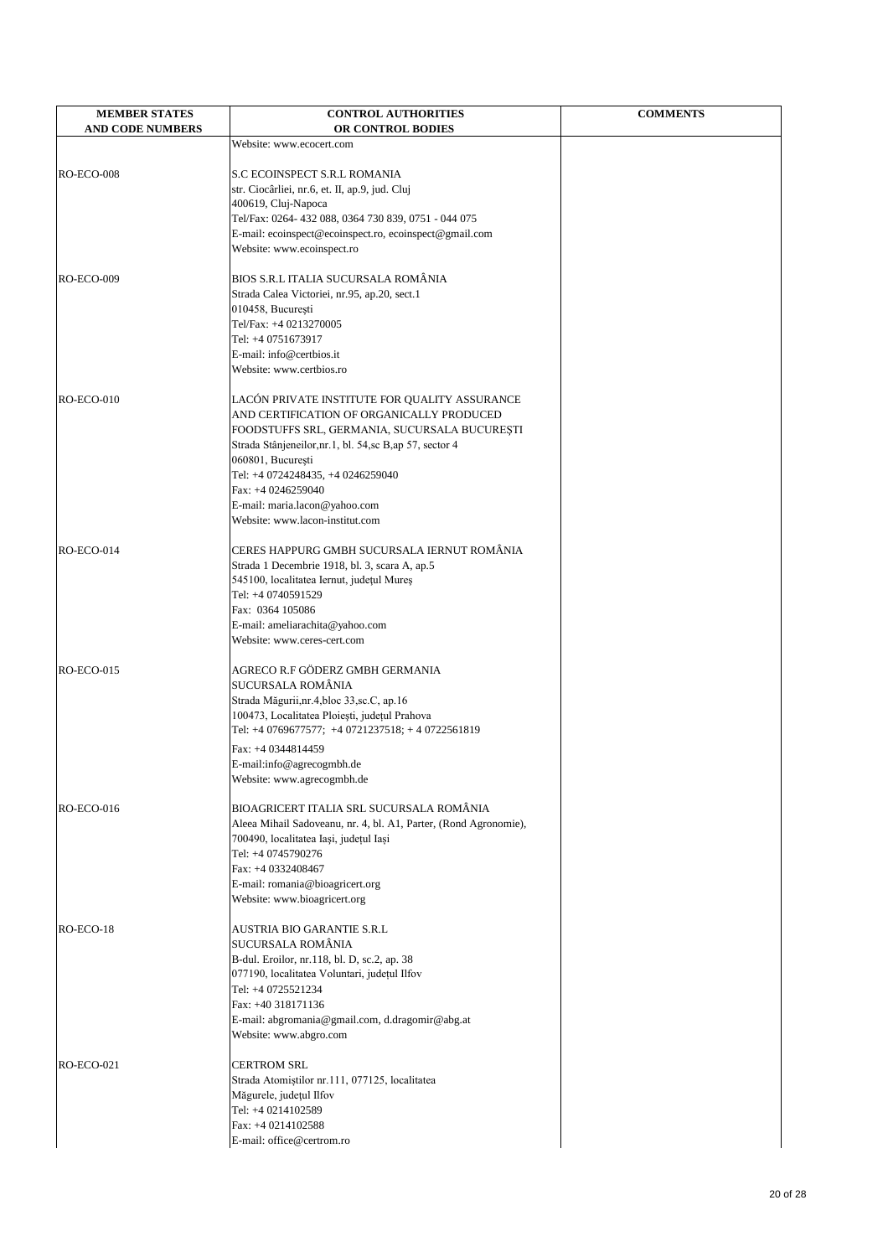| <b>MEMBER STATES</b><br><b>AND CODE NUMBERS</b> | <b>CONTROL AUTHORITIES</b><br>OR CONTROL BODIES                                | <b>COMMENTS</b> |
|-------------------------------------------------|--------------------------------------------------------------------------------|-----------------|
|                                                 | Website: www.ecocert.com                                                       |                 |
| RO-ECO-008                                      | <b>S.C ECOINSPECT S.R.L ROMANIA</b>                                            |                 |
|                                                 | str. Ciocârliei, nr.6, et. II, ap.9, jud. Cluj                                 |                 |
|                                                 | 400619, Cluj-Napoca                                                            |                 |
|                                                 | Tel/Fax: 0264-432 088, 0364 730 839, 0751 - 044 075                            |                 |
|                                                 | E-mail: ecoinspect@ecoinspect.ro, ecoinspect@gmail.com                         |                 |
|                                                 | Website: www.ecoinspect.ro                                                     |                 |
| <b>RO-ECO-009</b>                               | BIOS S.R.L ITALIA SUCURSALA ROMÂNIA                                            |                 |
|                                                 | Strada Calea Victoriei, nr.95, ap.20, sect.1                                   |                 |
|                                                 | 010458, București                                                              |                 |
|                                                 | Tel/Fax: +4 0213270005                                                         |                 |
|                                                 | Tel: +4 0751673917                                                             |                 |
|                                                 | E-mail: info@certbios.it<br>Website: www.certbios.ro                           |                 |
|                                                 |                                                                                |                 |
| $RO-ECO-010$                                    | LACÓN PRIVATE INSTITUTE FOR QUALITY ASSURANCE                                  |                 |
|                                                 | AND CERTIFICATION OF ORGANICALLY PRODUCED                                      |                 |
|                                                 | FOODSTUFFS SRL, GERMANIA, SUCURSALA BUCUREȘTI                                  |                 |
|                                                 | Strada Stânjeneilor, nr. 1, bl. 54, sc B, ap 57, sector 4<br>060801, București |                 |
|                                                 | Tel: +4 0724248435, +4 0246259040                                              |                 |
|                                                 | Fax: +4 0246259040                                                             |                 |
|                                                 | E-mail: maria.lacon@yahoo.com                                                  |                 |
|                                                 | Website: www.lacon-institut.com                                                |                 |
| $RO-ECO-014$                                    | CERES HAPPURG GMBH SUCURSALA IERNUT ROMÂNIA                                    |                 |
|                                                 | Strada 1 Decembrie 1918, bl. 3, scara A, ap.5                                  |                 |
|                                                 | 545100, localitatea Iernut, județul Mureș                                      |                 |
|                                                 | Tel: +4 0740591529                                                             |                 |
|                                                 | Fax: 0364 105086                                                               |                 |
|                                                 | E-mail: ameliarachita@yahoo.com                                                |                 |
|                                                 | Website: www.ceres-cert.com                                                    |                 |
| $RO-ECO-015$                                    | AGRECO R.F GÖDERZ GMBH GERMANIA                                                |                 |
|                                                 | <b>SUCURSALA ROMÂNIA</b>                                                       |                 |
|                                                 | Strada Măgurii, nr. 4, bloc 33, sc. C, ap. 16                                  |                 |
|                                                 | 100473, Localitatea Ploiești, județul Prahova                                  |                 |
|                                                 | Tel: +4 0769677577; +4 0721237518; +4 0722561819                               |                 |
|                                                 | Fax: +4 0344814459                                                             |                 |
|                                                 | E-mail:info@agrecogmbh.de<br>Website: www.agrecogmbh.de                        |                 |
|                                                 |                                                                                |                 |
| $RO-ECO-016$                                    | BIOAGRICERT ITALIA SRL SUCURSALA ROMÂNIA                                       |                 |
|                                                 | Aleea Mihail Sadoveanu, nr. 4, bl. A1, Parter, (Rond Agronomie),               |                 |
|                                                 | 700490, localitatea Iași, județul Iași                                         |                 |
|                                                 | Tel: +4 0745790276<br>Fax: +4 0332408467                                       |                 |
|                                                 | E-mail: romania@bioagricert.org                                                |                 |
|                                                 | Website: www.bioagricert.org                                                   |                 |
| $RO-ECO-18$                                     | AUSTRIA BIO GARANTIE S.R.L                                                     |                 |
|                                                 | <b>SUCURSALA ROMÂNIA</b>                                                       |                 |
|                                                 | B-dul. Eroilor, nr.118, bl. D, sc.2, ap. 38                                    |                 |
|                                                 | 077190, localitatea Voluntari, județul Ilfov                                   |                 |
|                                                 | Tel: +4 0725521234                                                             |                 |
|                                                 | Fax: +40 318171136                                                             |                 |
|                                                 | E-mail: abgromania@gmail.com, d.dragomir@abg.at                                |                 |
|                                                 | Website: www.abgro.com                                                         |                 |
| <b>RO-ECO-021</b>                               | <b>CERTROM SRL</b>                                                             |                 |
|                                                 | Strada Atomiștilor nr.111, 077125, localitatea                                 |                 |
|                                                 | Măgurele, județul Ilfov                                                        |                 |
|                                                 | Tel: +4 0214102589                                                             |                 |
|                                                 | Fax: +4 0214102588<br>E-mail: office@certrom.ro                                |                 |
|                                                 |                                                                                |                 |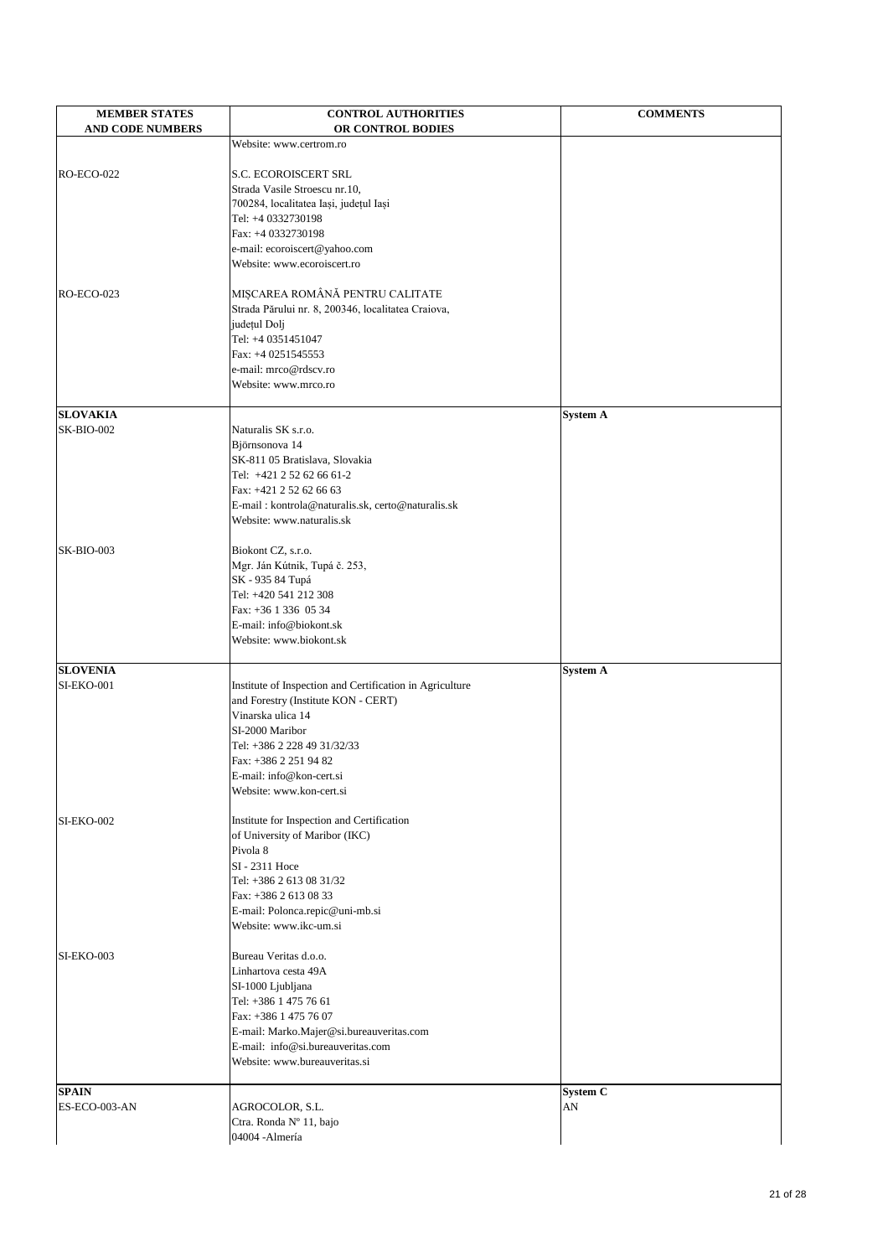| <b>MEMBER STATES</b><br><b>AND CODE NUMBERS</b> | <b>CONTROL AUTHORITIES</b><br>OR CONTROL BODIES                                                 | <b>COMMENTS</b> |
|-------------------------------------------------|-------------------------------------------------------------------------------------------------|-----------------|
|                                                 | Website: www.certrom.ro                                                                         |                 |
|                                                 |                                                                                                 |                 |
| <b>RO-ECO-022</b>                               | <b>S.C. ECOROISCERT SRL</b>                                                                     |                 |
|                                                 | Strada Vasile Stroescu nr.10,                                                                   |                 |
|                                                 | 700284, localitatea Iași, județul Iași<br>Tel: +4 0332730198                                    |                 |
|                                                 | Fax: +4 0332730198                                                                              |                 |
|                                                 | e-mail: ecoroiscert@yahoo.com                                                                   |                 |
|                                                 | Website: www.ecoroiscert.ro                                                                     |                 |
|                                                 |                                                                                                 |                 |
| <b>RO-ECO-023</b>                               | MIȘCAREA ROMÂNĂ PENTRU CALITATE                                                                 |                 |
|                                                 | Strada Părului nr. 8, 200346, localitatea Craiova,                                              |                 |
|                                                 | județul Dolj                                                                                    |                 |
|                                                 | Tel: +4 0351451047<br>Fax: +4 0251545553                                                        |                 |
|                                                 | e-mail: mrco@rdscv.ro                                                                           |                 |
|                                                 | Website: www.mrco.ro                                                                            |                 |
|                                                 |                                                                                                 |                 |
| <b>SLOVAKIA</b>                                 |                                                                                                 | <b>System A</b> |
| <b>SK-BIO-002</b>                               | Naturalis SK s.r.o.                                                                             |                 |
|                                                 | Björnsonova 14<br>SK-811 05 Bratislava, Slovakia                                                |                 |
|                                                 | Tel: +421 2 52 62 66 61-2                                                                       |                 |
|                                                 | Fax: +421 2 52 62 66 63                                                                         |                 |
|                                                 | E-mail: kontrola@naturalis.sk, certo@naturalis.sk                                               |                 |
|                                                 | Website: www.naturalis.sk                                                                       |                 |
|                                                 |                                                                                                 |                 |
| $SK-BIO-003$                                    | Biokont CZ, s.r.o.                                                                              |                 |
|                                                 | Mgr. Ján Kútnik, Tupá č. 253,                                                                   |                 |
|                                                 | SK - 935 84 Tupá<br>Tel: +420 541 212 308                                                       |                 |
|                                                 | Fax: +36 1 336 05 34                                                                            |                 |
|                                                 | E-mail: info@biokont.sk                                                                         |                 |
|                                                 | Website: www.biokont.sk                                                                         |                 |
|                                                 |                                                                                                 |                 |
| <b>SLOVENIA</b>                                 |                                                                                                 | <b>System A</b> |
| <b>SI-EKO-001</b>                               | Institute of Inspection and Certification in Agriculture<br>and Forestry (Institute KON - CERT) |                 |
|                                                 | Vinarska ulica 14                                                                               |                 |
|                                                 | SI-2000 Maribor                                                                                 |                 |
|                                                 | Tel: +386 2 228 49 31/32/33                                                                     |                 |
|                                                 | Fax: +386 2 251 94 82                                                                           |                 |
|                                                 | E-mail: info@kon-cert.si                                                                        |                 |
|                                                 | Website: www.kon-cert.si                                                                        |                 |
| <b>SI-EKO-002</b>                               | Institute for Inspection and Certification                                                      |                 |
|                                                 | of University of Maribor (IKC)                                                                  |                 |
|                                                 | Pivola 8                                                                                        |                 |
|                                                 | SI - 2311 Hoce                                                                                  |                 |
|                                                 | Tel: +386 2 613 08 31/32                                                                        |                 |
|                                                 | Fax: +386 2 613 08 33                                                                           |                 |
|                                                 | E-mail: Polonca.repic@uni-mb.si                                                                 |                 |
|                                                 | Website: www.ikc-um.si                                                                          |                 |
| SI-EKO-003                                      | Bureau Veritas d.o.o.                                                                           |                 |
|                                                 | Linhartova cesta 49A                                                                            |                 |
|                                                 | SI-1000 Ljubljana                                                                               |                 |
|                                                 | Tel: +386 1 475 76 61                                                                           |                 |
|                                                 | Fax: +386 1 475 76 07                                                                           |                 |
|                                                 | E-mail: Marko.Majer@si.bureauveritas.com                                                        |                 |
|                                                 | E-mail: info@si.bureauveritas.com<br>Website: www.bureauveritas.si                              |                 |
|                                                 |                                                                                                 |                 |
| <b>SPAIN</b>                                    |                                                                                                 | <b>System C</b> |
| ES-ECO-003-AN                                   | AGROCOLOR, S.L.                                                                                 | AN              |
|                                                 | Ctra. Ronda Nº 11, bajo                                                                         |                 |
|                                                 | 04004 - Almería                                                                                 |                 |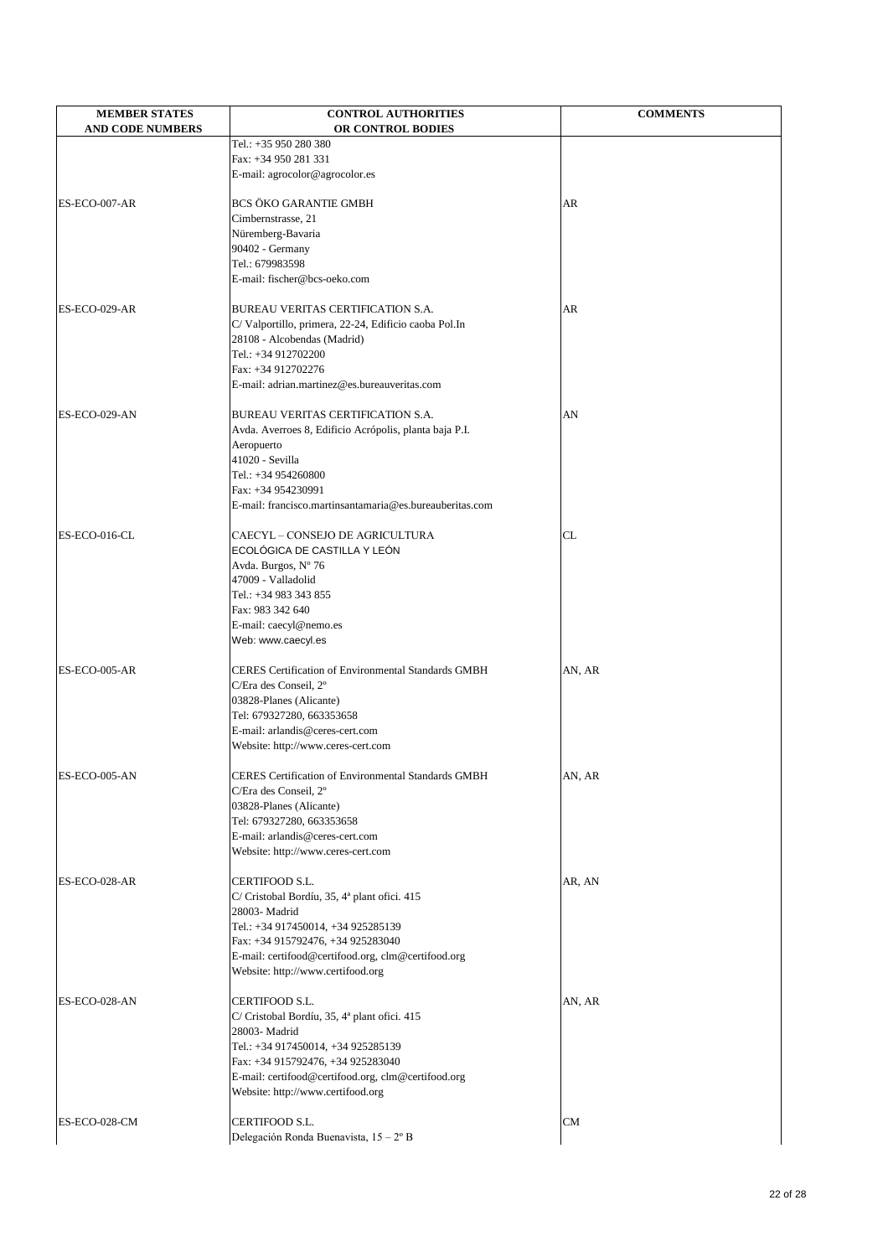| <b>MEMBER STATES</b>    | <b>CONTROL AUTHORITIES</b>                                                              | <b>COMMENTS</b> |
|-------------------------|-----------------------------------------------------------------------------------------|-----------------|
| <b>AND CODE NUMBERS</b> | OR CONTROL BODIES<br>Tel.: +35 950 280 380                                              |                 |
|                         | Fax: +34 950 281 331                                                                    |                 |
|                         | E-mail: agrocolor@agrocolor.es                                                          |                 |
|                         |                                                                                         |                 |
| ES-ECO-007-AR           | <b>BCS ÖKO GARANTIE GMBH</b>                                                            | AR              |
|                         | Cimbernstrasse, 21                                                                      |                 |
|                         | Nüremberg-Bavaria<br>90402 - Germany                                                    |                 |
|                         | Tel.: 679983598                                                                         |                 |
|                         | E-mail: fischer@bcs-oeko.com                                                            |                 |
|                         |                                                                                         |                 |
| ES-ECO-029-AR           | BUREAU VERITAS CERTIFICATION S.A.                                                       | <b>AR</b>       |
|                         | C/ Valportillo, primera, 22-24, Edificio caoba Pol.In                                   |                 |
|                         | 28108 - Alcobendas (Madrid)<br>Tel.: +34 912702200                                      |                 |
|                         | Fax: +34 912702276                                                                      |                 |
|                         | E-mail: adrian.martinez@es.bureauveritas.com                                            |                 |
|                         |                                                                                         |                 |
| ES-ECO-029-AN           | BUREAU VERITAS CERTIFICATION S.A.                                                       | AN              |
|                         | Avda. Averroes 8, Edificio Acrópolis, planta baja P.I.                                  |                 |
|                         | Aeropuerto<br>41020 - Sevilla                                                           |                 |
|                         | Tel.: +34 954260800                                                                     |                 |
|                         | Fax: +34 954230991                                                                      |                 |
|                         | E-mail: francisco.martinsantamaria@es.bureauberitas.com                                 |                 |
|                         |                                                                                         |                 |
| ES-ECO-016-CL           | <b>CAECYL - CONSEJO DE AGRICULTURA</b>                                                  | <b>CL</b>       |
|                         | ECOLÓGICA DE CASTILLA Y LEÓN<br>Avda. Burgos, Nº 76                                     |                 |
|                         | 47009 - Valladolid                                                                      |                 |
|                         | Tel.: +34 983 343 855                                                                   |                 |
|                         | Fax: 983 342 640                                                                        |                 |
|                         | E-mail: caecyl@nemo.es                                                                  |                 |
|                         | Web: www.caecyl.es                                                                      |                 |
| ES-ECO-005-AR           | <b>CERES Certification of Environmental Standards GMBH</b>                              | AN, AR          |
|                         | C/Era des Conseil, 2°                                                                   |                 |
|                         | 03828-Planes (Alicante)                                                                 |                 |
|                         | Tel: 679327280, 663353658                                                               |                 |
|                         | E-mail: arlandis@ceres-cert.com                                                         |                 |
|                         | Website: http://www.ceres-cert.com                                                      |                 |
| ES-ECO-005-AN           | <b>CERES</b> Certification of Environmental Standards GMBH                              | AN, AR          |
|                         | C/Era des Conseil, 2°                                                                   |                 |
|                         | 03828-Planes (Alicante)                                                                 |                 |
|                         | Tel: 679327280, 663353658                                                               |                 |
|                         | E-mail: arlandis@ceres-cert.com                                                         |                 |
|                         | Website: http://www.ceres-cert.com                                                      |                 |
| ES-ECO-028-AR           | <b>CERTIFOOD S.L.</b>                                                                   | AR, AN          |
|                         | C/ Cristobal Bordíu, 35, 4ª plant ofici. 415                                            |                 |
|                         | 28003- Madrid                                                                           |                 |
|                         | Tel.: +34 917450014, +34 925285139                                                      |                 |
|                         | Fax: +34 915792476, +34 925283040<br>E-mail: certifood@certifood.org, clm@certifood.org |                 |
|                         | Website: http://www.certifood.org                                                       |                 |
|                         |                                                                                         |                 |
| ES-ECO-028-AN           | CERTIFOOD S.L.                                                                          | AN, AR          |
|                         | C/ Cristobal Bordíu, 35, 4ª plant ofici. 415<br>28003- Madrid                           |                 |
|                         | Tel.: +34 917450014, +34 925285139                                                      |                 |
|                         | Fax: +34 915792476, +34 925283040                                                       |                 |
|                         | E-mail: certifood@certifood.org, clm@certifood.org                                      |                 |
|                         | Website: http://www.certifood.org                                                       |                 |
|                         | <b>CERTIFOOD S.L.</b>                                                                   |                 |
| ES-ECO-028-CM           | Delegación Ronda Buenavista, 15 – 2º B                                                  | CM              |
|                         |                                                                                         |                 |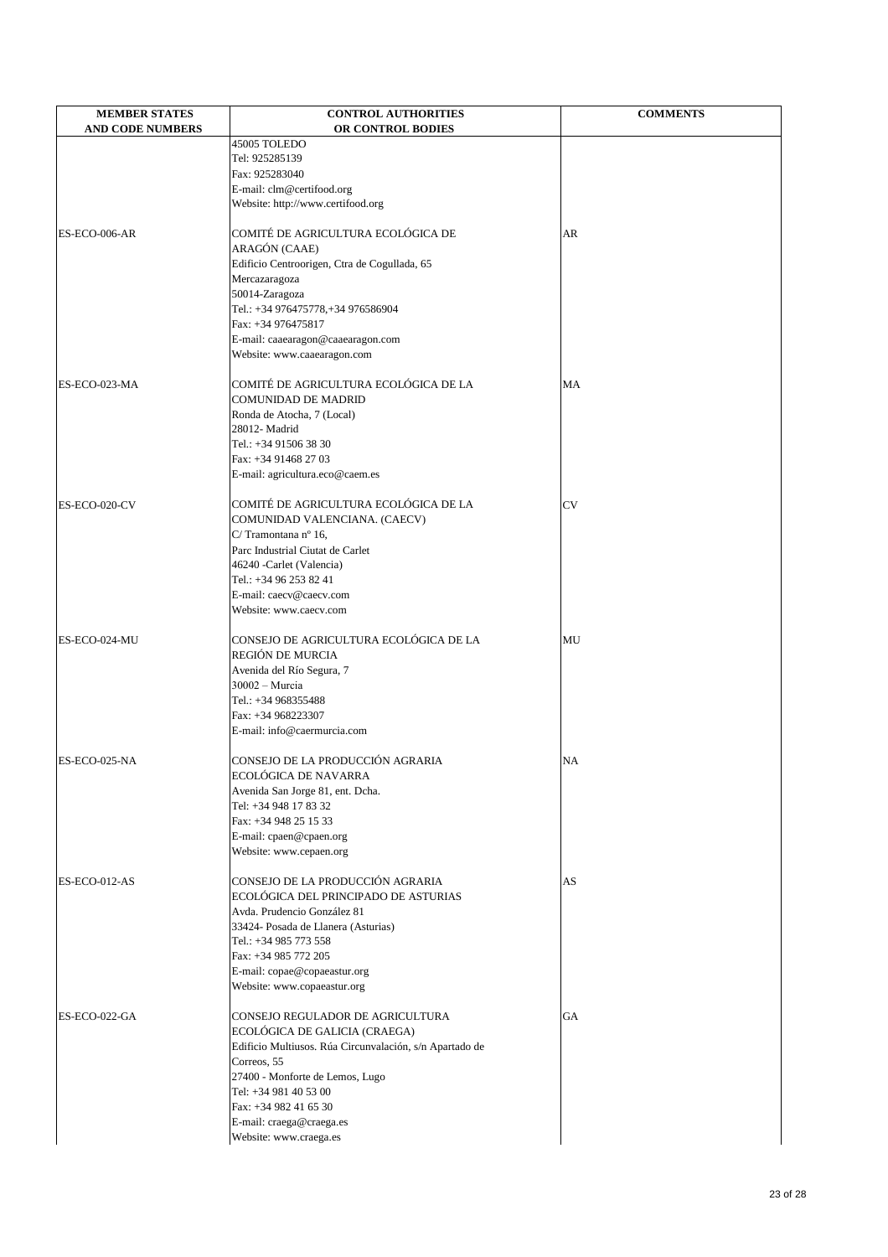| <b>MEMBER STATES</b>    | <b>CONTROL AUTHORITIES</b>                   | <b>COMMENTS</b> |
|-------------------------|----------------------------------------------|-----------------|
| <b>AND CODE NUMBERS</b> | OR CONTROL BODIES                            |                 |
|                         | 45005 TOLEDO                                 |                 |
|                         | Tel: 925285139                               |                 |
|                         | Fax: 925283040                               |                 |
|                         | E-mail: clm@certifood.org                    |                 |
|                         | Website: http://www.certifood.org            |                 |
| ES-ECO-006-AR           | COMITÉ DE AGRICULTURA ECOLÓGICA DE           | <b>AR</b>       |
|                         | ARAGÓN (CAAE)                                |                 |
|                         | Edificio Centroorigen, Ctra de Cogullada, 65 |                 |
|                         | Mercazaragoza                                |                 |
|                         | 50014-Zaragoza                               |                 |
|                         | Tel.: +34 976475778,+34 976586904            |                 |
|                         | Fax: +34 976475817                           |                 |
|                         | E-mail: caaearagon@caaearagon.com            |                 |
|                         | Website: www.caaearagon.com                  |                 |
|                         |                                              |                 |
| ES-ECO-023-MA           | COMITÉ DE AGRICULTURA ECOLÓGICA DE LA        | <b>MA</b>       |
|                         | <b>COMUNIDAD DE MADRID</b>                   |                 |
|                         | Ronda de Atocha, 7 (Local)                   |                 |
|                         | 28012-Madrid                                 |                 |
|                         | Tel.: +34 91506 38 30                        |                 |
|                         | Fax: +34 91468 27 03                         |                 |
|                         | E-mail: agricultura.eco@caem.es              |                 |
| ES-ECO-020-CV           | COMITÉ DE AGRICULTURA ECOLÓGICA DE LA        | <b>CV</b>       |
|                         | COMUNIDAD VALENCIANA. (CAECV)                |                 |
|                         | C/Tramontana nº 16,                          |                 |
|                         | Parc Industrial Ciutat de Carlet             |                 |
|                         | 46240 - Carlet (Valencia)                    |                 |
|                         | Tel.: +34 96 253 82 41                       |                 |
|                         | E-mail: caecv@caecv.com                      |                 |
|                         | Website: www.caecv.com                       |                 |
| ES-ECO-024-MU           | CONSEJO DE AGRICULTURA ECOLÓGICA DE LA       | MU              |
|                         | REGIÓN DE MURCIA                             |                 |
|                         | Avenida del Río Segura, 7                    |                 |
|                         | 30002 - Murcia                               |                 |
|                         | Tel.: +34 968355488                          |                 |
|                         | Fax: +34 968223307                           |                 |
|                         | E-mail: info@caermurcia.com                  |                 |
|                         |                                              |                 |
| ES-ECO-025-NA           | CONSEJO DE LA PRODUCCIÓN AGRARIA             | NA              |
|                         | ECOLÓGICA DE NAVARRA                         |                 |
|                         | Avenida San Jorge 81, ent. Dcha.             |                 |
|                         | Tel: +34 948 17 83 32                        |                 |
|                         | Fax: +34 948 25 15 33                        |                 |
|                         | E-mail: cpaen@cpaen.org                      |                 |
|                         | Website: www.cepaen.org                      |                 |
| ES-ECO-012-AS           | CONSEJO DE LA PRODUCCIÓN AGRARIA             | <b>AS</b>       |
|                         | ECOLÓGICA DEL PRINCIPADO DE ASTURIAS         |                 |
|                         |                                              |                 |

|               | Avda. Prudencio González 81                             |           |
|---------------|---------------------------------------------------------|-----------|
|               | 33424- Posada de Llanera (Asturias)                     |           |
|               | Tel.: +34 985 773 558                                   |           |
|               | Fax: +34 985 772 205                                    |           |
|               | E-mail: copae@copaeastur.org                            |           |
|               | Website: www.copaeastur.org                             |           |
| ES-ECO-022-GA | CONSEJO REGULADOR DE AGRICULTURA                        | <b>GA</b> |
|               | ECOLÓGICA DE GALICIA (CRAEGA)                           |           |
|               | Edificio Multiusos. Rúa Circunvalación, s/n Apartado de |           |
|               | Correos, 55                                             |           |
|               | 27400 - Monforte de Lemos, Lugo                         |           |
|               | Tel: +34 981 40 53 00                                   |           |
|               | Fax: +34 982 41 65 30                                   |           |
|               | E-mail: craega@craega.es                                |           |
|               | Website: www.craega.es                                  |           |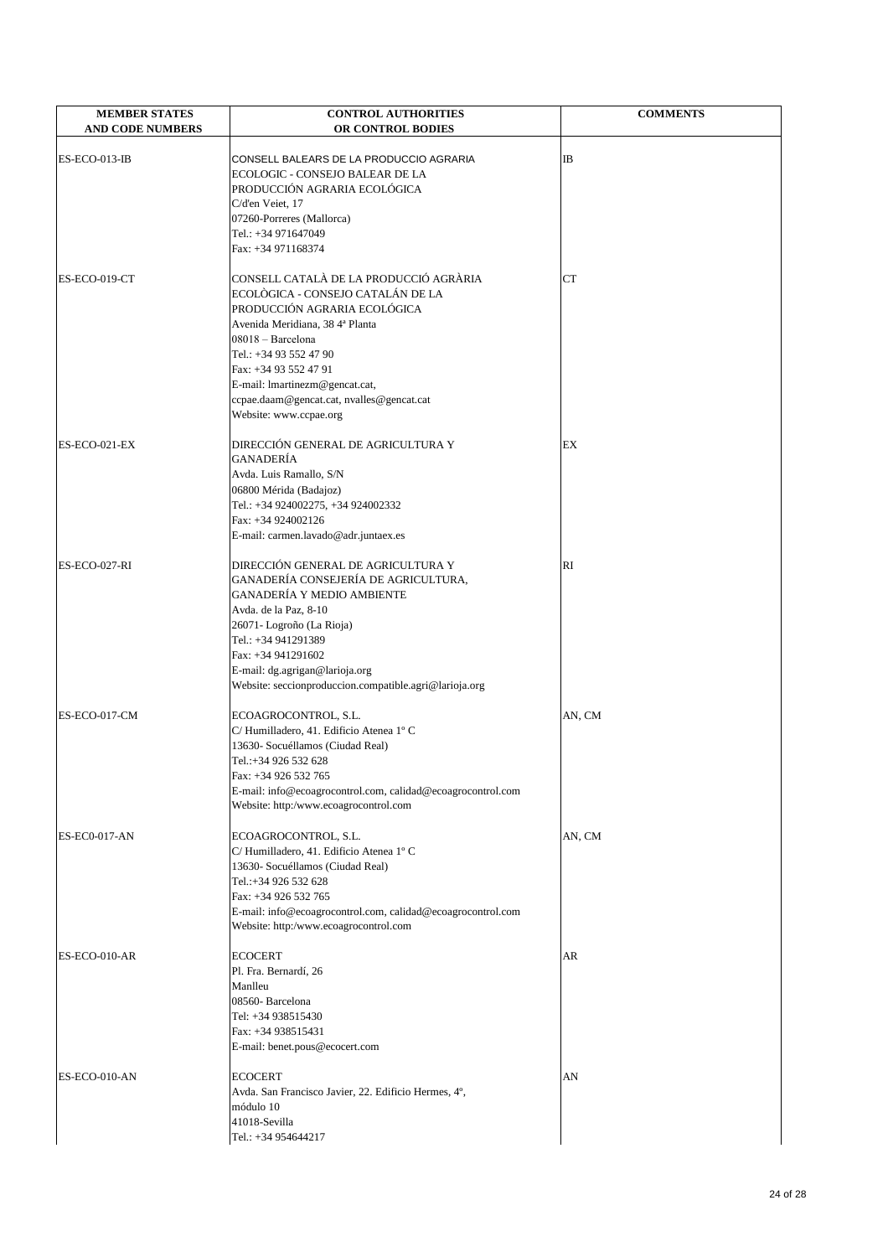| <b>MEMBER STATES</b><br><b>AND CODE NUMBERS</b> | <b>CONTROL AUTHORITIES</b><br>OR CONTROL BODIES                                                                                                                                                                                                                                                                                 | <b>COMMENTS</b> |
|-------------------------------------------------|---------------------------------------------------------------------------------------------------------------------------------------------------------------------------------------------------------------------------------------------------------------------------------------------------------------------------------|-----------------|
| ES-ECO-013-IB                                   | CONSELL BALEARS DE LA PRODUCCIO AGRARIA<br>ECOLOGIC - CONSEJO BALEAR DE LA<br>PRODUCCIÓN AGRARIA ECOLÓGICA<br>C/d'en Veiet, 17<br>07260-Porreres (Mallorca)<br>Tel.: +34 971647049<br>Fax: +34 971168374                                                                                                                        | IB              |
| ES-ECO-019-CT                                   | CONSELL CATALÀ DE LA PRODUCCIÓ AGRÀRIA<br>ECOLÒGICA - CONSEJO CATALÁN DE LA<br>PRODUCCIÓN AGRARIA ECOLÓGICA<br>Avenida Meridiana, 38 4ª Planta<br>08018 - Barcelona<br>Tel.: +34 93 552 47 90<br>Fax: +34 93 552 47 91<br>E-mail: lmartinezm@gencat.cat,<br>ccpae.daam@gencat.cat, nvalles@gencat.cat<br>Website: www.ccpae.org | <b>CT</b>       |
| ES-ECO-021-EX                                   | DIRECCIÓN GENERAL DE AGRICULTURA Y<br><b>GANADERÍA</b><br>Avda. Luis Ramallo, S/N<br>06800 Mérida (Badajoz)<br>Tel.: +34 924002275, +34 924002332<br>Fax: +34 924002126<br>E-mail: carmen.lavado@adr.juntaex.es                                                                                                                 | EX              |
| ES-ECO-027-RI                                   | DIRECCIÓN GENERAL DE AGRICULTURA Y<br>GANADERÍA CONSEJERÍA DE AGRICULTURA,<br><b>GANADERÍA Y MEDIO AMBIENTE</b><br>Avda. de la Paz, 8-10<br>26071- Logroño (La Rioja)<br>Tel.: +34 941291389<br>Fax: +34 941291602<br>E-mail: dg.agrigan@larioja.org<br>Website: seccionproduccion.compatible.agri@larioja.org                  | RI              |
| ES-ECO-017-CM                                   | ECOAGROCONTROL, S.L.<br>C/Humilladero, 41. Edificio Atenea 1º C<br>13630- Socuéllamos (Ciudad Real)<br>Tel.:+34 926 532 628<br>Fax: +34 926 532 765<br>E-mail: info@ecoagrocontrol.com, calidad@ecoagrocontrol.com<br>Website: http:/www.ecoagrocontrol.com                                                                     | AN, CM          |
| <b>ES-EC0-017-AN</b>                            | ECOAGROCONTROL, S.L.<br>C/Humilladero, 41. Edificio Atenea 1º C<br>13630- Socuéllamos (Ciudad Real)<br>Tel.:+34 926 532 628<br>Fax: +34 926 532 765<br>E-mail: info@ecoagrocontrol.com, calidad@ecoagrocontrol.com<br>Website: http:/www.ecoagrocontrol.com                                                                     | AN, CM          |
| ES-ECO-010-AR                                   | <b>ECOCERT</b><br>Pl. Fra. Bernardí, 26<br>Manlleu<br>08560- Barcelona<br>Tel: +34 938515430<br>Fax: +34 938515431<br>E-mail: benet.pous@ecocert.com                                                                                                                                                                            | AR              |
| ES-ECO-010-AN                                   | <b>ECOCERT</b><br>Avda. San Francisco Javier, 22. Edificio Hermes, 4°,<br>módulo 10<br>41018-Sevilla<br>Tel.: +34 954644217                                                                                                                                                                                                     | AN              |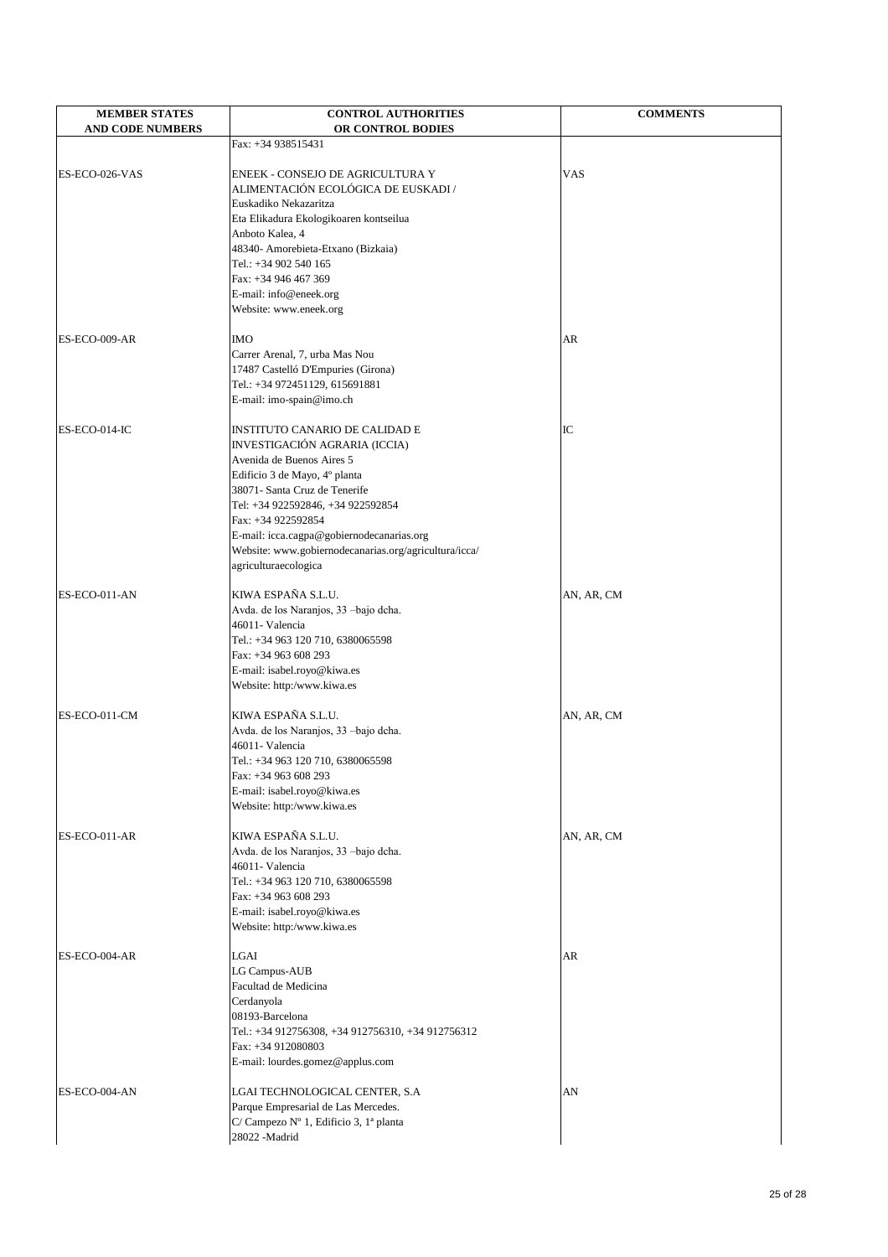| <b>MEMBER STATES</b>    | <b>CONTROL AUTHORITIES</b>                                              | <b>COMMENTS</b> |
|-------------------------|-------------------------------------------------------------------------|-----------------|
| <b>AND CODE NUMBERS</b> | OR CONTROL BODIES                                                       |                 |
|                         | Fax: +34 938515431                                                      |                 |
|                         |                                                                         |                 |
| ES-ECO-026-VAS          | ENEEK - CONSEJO DE AGRICULTURA Y<br>ALIMENTACIÓN ECOLÓGICA DE EUSKADI / | <b>VAS</b>      |
|                         | Euskadiko Nekazaritza                                                   |                 |
|                         | Eta Elikadura Ekologikoaren kontseilua                                  |                 |
|                         | Anboto Kalea, 4                                                         |                 |
|                         | 48340- Amorebieta-Etxano (Bizkaia)                                      |                 |
|                         | Tel.: +34 902 540 165                                                   |                 |
|                         | Fax: +34 946 467 369                                                    |                 |
|                         | E-mail: info@eneek.org                                                  |                 |
|                         | Website: www.eneek.org                                                  |                 |
|                         |                                                                         |                 |
| ES-ECO-009-AR           | <b>IMO</b><br>Carrer Arenal, 7, urba Mas Nou                            | AR              |
|                         | 17487 Castelló D'Empuries (Girona)                                      |                 |
|                         | Tel.: +34 972451129, 615691881                                          |                 |
|                         | E-mail: imo-spain@imo.ch                                                |                 |
|                         |                                                                         |                 |
| ES-ECO-014-IC           | <b>INSTITUTO CANARIO DE CALIDAD E</b>                                   | IC              |
|                         | INVESTIGACIÓN AGRARIA (ICCIA)                                           |                 |
|                         | Avenida de Buenos Aires 5                                               |                 |
|                         | Edificio 3 de Mayo, 4º planta                                           |                 |
|                         | 38071- Santa Cruz de Tenerife                                           |                 |
|                         | Tel: +34 922592846, +34 922592854                                       |                 |
|                         | Fax: +34 922592854                                                      |                 |
|                         | E-mail: icca.cagpa@gobiernodecanarias.org                               |                 |
|                         | Website: www.gobiernodecanarias.org/agricultura/icca/                   |                 |
|                         | agriculturaecologica                                                    |                 |
| ES-ECO-011-AN           | KIWA ESPAÑA S.L.U.                                                      | AN, AR, CM      |
|                         | Avda. de los Naranjos, 33 -bajo dcha.                                   |                 |
|                         | 46011- Valencia                                                         |                 |
|                         | Tel.: +34 963 120 710, 6380065598                                       |                 |
|                         | Fax: +34 963 608 293                                                    |                 |
|                         | E-mail: isabel.royo@kiwa.es                                             |                 |
|                         | Website: http:/www.kiwa.es                                              |                 |
|                         |                                                                         |                 |
| ES-ECO-011-CM           | KIWA ESPAÑA S.L.U.                                                      | AN, AR, CM      |
|                         | Avda. de los Naranjos, 33 -bajo dcha.                                   |                 |
|                         | 46011- Valencia                                                         |                 |
|                         | Tel.: +34 963 120 710, 6380065598                                       |                 |
|                         | Fax: +34 963 608 293                                                    |                 |
|                         | E-mail: isabel.royo@kiwa.es<br>Website: http:/www.kiwa.es               |                 |
|                         |                                                                         |                 |
| ES-ECO-011-AR           | KIWA ESPAÑA S.L.U.                                                      | AN, AR, CM      |
|                         | Avda. de los Naranjos, 33 -bajo dcha.                                   |                 |
|                         | 46011- Valencia                                                         |                 |
|                         | Tel.: +34 963 120 710, 6380065598                                       |                 |
|                         | Fax: +34 963 608 293                                                    |                 |
|                         | E-mail: isabel.royo@kiwa.es                                             |                 |
|                         | Website: http:/www.kiwa.es                                              |                 |
|                         |                                                                         |                 |
| ES-ECO-004-AR           | LGAI                                                                    | AR              |
|                         | LG Campus-AUB<br>Facultad de Medicina                                   |                 |
|                         | Cerdanyola                                                              |                 |
|                         | 08193-Barcelona                                                         |                 |
|                         | Tel.: +34 912756308, +34 912756310, +34 912756312                       |                 |
|                         | Fax: +34 912080803                                                      |                 |
|                         | E-mail: lourdes.gomez@applus.com                                        |                 |
|                         |                                                                         |                 |
| ES-ECO-004-AN           | LGAI TECHNOLOGICAL CENTER, S.A                                          | AN              |
|                         | Parque Empresarial de Las Mercedes.                                     |                 |
|                         | C/ Campezo Nº 1, Edificio 3, 1ª planta                                  |                 |
|                         | 28022 - Madrid                                                          |                 |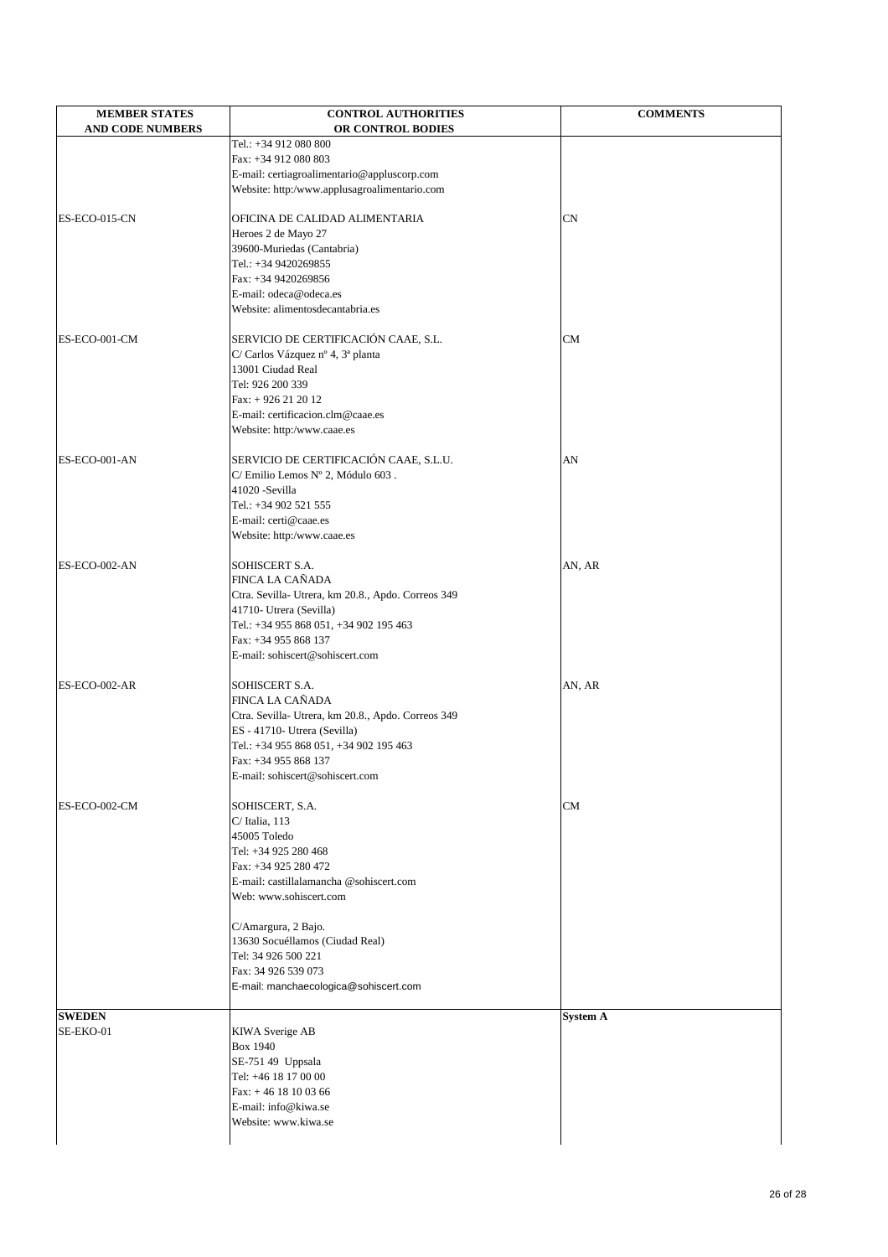| <b>MEMBER STATES</b>    | <b>CONTROL AUTHORITIES</b>                                        | <b>COMMENTS</b> |
|-------------------------|-------------------------------------------------------------------|-----------------|
| <b>AND CODE NUMBERS</b> | OR CONTROL BODIES                                                 |                 |
|                         | Tel.: +34 912 080 800                                             |                 |
|                         | Fax: +34 912 080 803                                              |                 |
|                         | E-mail: certiagroalimentario@appluscorp.com                       |                 |
|                         | Website: http:/www.applusagroalimentario.com                      |                 |
|                         |                                                                   |                 |
| ES-ECO-015-CN           | OFICINA DE CALIDAD ALIMENTARIA                                    | <b>CN</b>       |
|                         | Heroes 2 de Mayo 27                                               |                 |
|                         | 39600-Muriedas (Cantabria)<br>Tel.: +34 9420269855                |                 |
|                         | Fax: +34 9420269856                                               |                 |
|                         | E-mail: odeca@odeca.es                                            |                 |
|                         | Website: alimentosdecantabria.es                                  |                 |
|                         |                                                                   |                 |
| ES-ECO-001-CM           | SERVICIO DE CERTIFICACIÓN CAAE, S.L.                              | <b>CM</b>       |
|                         | C/ Carlos Vázquez nº 4, 3ª planta                                 |                 |
|                         | 13001 Ciudad Real                                                 |                 |
|                         | Tel: 926 200 339                                                  |                 |
|                         | Fax: $+926212012$                                                 |                 |
|                         | E-mail: certificacion.clm@caae.es                                 |                 |
|                         | Website: http:/www.caae.es                                        |                 |
| ES-ECO-001-AN           | SERVICIO DE CERTIFICACIÓN CAAE, S.L.U.                            | AN              |
|                         | C/ Emilio Lemos Nº 2, Módulo 603.                                 |                 |
|                         | 41020 - Sevilla                                                   |                 |
|                         | Tel.: +34 902 521 555                                             |                 |
|                         | E-mail: certi@caae.es                                             |                 |
|                         | Website: http:/www.caae.es                                        |                 |
|                         |                                                                   |                 |
| ES-ECO-002-AN           | SOHISCERT S.A.                                                    | AN, AR          |
|                         | FINCA LA CAÑADA                                                   |                 |
|                         | Ctra. Sevilla- Utrera, km 20.8., Apdo. Correos 349                |                 |
|                         | 41710- Utrera (Sevilla)<br>Tel.: +34 955 868 051, +34 902 195 463 |                 |
|                         | Fax: +34 955 868 137                                              |                 |
|                         | E-mail: sohiscert@sohiscert.com                                   |                 |
|                         |                                                                   |                 |
| ES-ECO-002-AR           | SOHISCERT S.A.                                                    | AN, AR          |
|                         | FINCA LA CAÑADA                                                   |                 |
|                         | Ctra. Sevilla- Utrera, km 20.8., Apdo. Correos 349                |                 |
|                         | ES - 41710- Utrera (Sevilla)                                      |                 |
|                         | Tel.: +34 955 868 051, +34 902 195 463                            |                 |
|                         | Fax: +34 955 868 137                                              |                 |
|                         | E-mail: sohiscert@sohiscert.com                                   |                 |
| ES-ECO-002-CM           | SOHISCERT, S.A.                                                   | <b>CM</b>       |
|                         | $C/$ Italia, 113                                                  |                 |
|                         | 45005 Toledo                                                      |                 |
|                         | Tel: +34 925 280 468                                              |                 |
|                         | Fax: +34 925 280 472                                              |                 |
|                         | E-mail: castillalamancha @sohiscert.com                           |                 |
|                         | Web: www.sohiscert.com                                            |                 |
|                         | C/Amargura, 2 Bajo.                                               |                 |
|                         | 13630 Socuéllamos (Ciudad Real)                                   |                 |
|                         | Tel: 34 926 500 221                                               |                 |
|                         | Fax: 34 926 539 073                                               |                 |
|                         | E-mail: manchaecologica@sohiscert.com                             |                 |
|                         |                                                                   |                 |
| <b>SWEDEN</b>           |                                                                   | <b>System A</b> |
| SE-EKO-01               | <b>KIWA Sverige AB</b>                                            |                 |
|                         | <b>Box 1940</b><br>SE-751 49 Uppsala                              |                 |
|                         | Tel: +46 18 17 00 00                                              |                 |
|                         | Fax: $+46$ 18 10 03 66                                            |                 |
|                         | E-mail: info@kiwa.se                                              |                 |
|                         | Website: www.kiwa.se                                              |                 |
|                         |                                                                   |                 |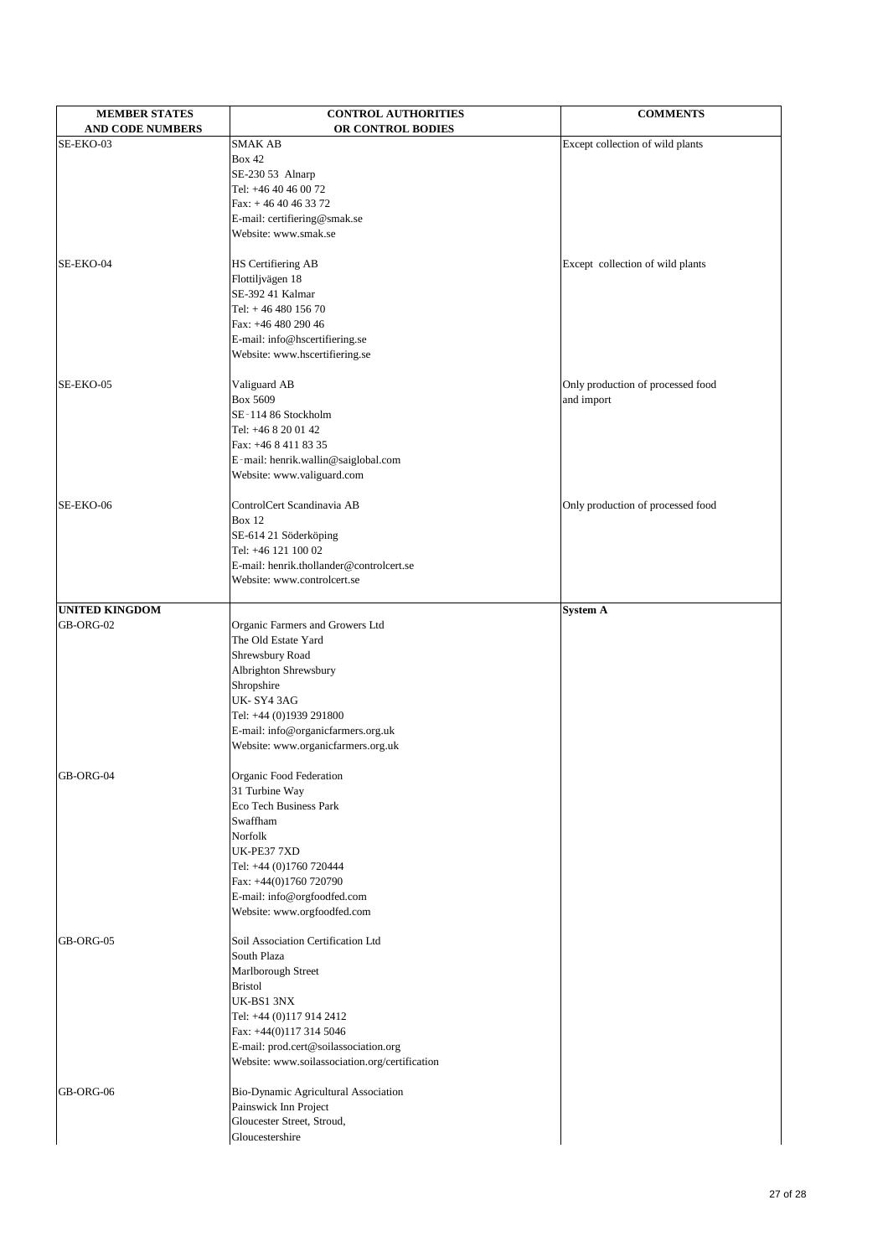| <b>MEMBER STATES</b>    | <b>CONTROL AUTHORITIES</b>                                       | <b>COMMENTS</b>                                 |
|-------------------------|------------------------------------------------------------------|-------------------------------------------------|
| <b>AND CODE NUMBERS</b> | OR CONTROL BODIES<br><b>SMAK AB</b>                              |                                                 |
| SE-EKO-03               | <b>Box 42</b>                                                    | Except collection of wild plants                |
|                         | SE-230 53 Alnarp                                                 |                                                 |
|                         | Tel: +46 40 46 00 72                                             |                                                 |
|                         | Fax: $+4640463372$                                               |                                                 |
|                         | E-mail: certifiering@smak.se                                     |                                                 |
|                         | Website: www.smak.se                                             |                                                 |
|                         |                                                                  |                                                 |
| SE-EKO-04               | HS Certifiering AB<br>Flottiljvägen 18                           | Except collection of wild plants                |
|                         | SE-392 41 Kalmar                                                 |                                                 |
|                         | Tel: $+4648015670$                                               |                                                 |
|                         | Fax: +46 480 290 46                                              |                                                 |
|                         | E-mail: info@hscertifiering.se                                   |                                                 |
|                         | Website: www.hscertifiering.se                                   |                                                 |
|                         |                                                                  |                                                 |
| SE-EKO-05               | Valiguard AB<br>Box 5609                                         | Only production of processed food<br>and import |
|                         | SE-114 86 Stockholm                                              |                                                 |
|                         | Tel: +46 8 20 01 42                                              |                                                 |
|                         | Fax: +46 8 411 83 35                                             |                                                 |
|                         | E-mail: henrik.wallin@saiglobal.com                              |                                                 |
|                         | Website: www.valiguard.com                                       |                                                 |
|                         |                                                                  |                                                 |
| SE-EKO-06               | ControlCert Scandinavia AB                                       | Only production of processed food               |
|                         | <b>Box 12</b>                                                    |                                                 |
|                         | SE-614 21 Söderköping<br>Tel: +46 121 100 02                     |                                                 |
|                         | E-mail: henrik.thollander@controlcert.se                         |                                                 |
|                         | Website: www.controlcert.se                                      |                                                 |
|                         |                                                                  |                                                 |
| <b>UNITED KINGDOM</b>   |                                                                  | <b>System A</b>                                 |
| GB-ORG-02               | Organic Farmers and Growers Ltd                                  |                                                 |
|                         | The Old Estate Yard                                              |                                                 |
|                         | Shrewsbury Road<br>Albrighton Shrewsbury                         |                                                 |
|                         | Shropshire                                                       |                                                 |
|                         | UK-SY43AG                                                        |                                                 |
|                         | Tel: +44 (0)1939 291800                                          |                                                 |
|                         | E-mail: info@organicfarmers.org.uk                               |                                                 |
|                         | Website: www.organicfarmers.org.uk                               |                                                 |
|                         |                                                                  |                                                 |
| GB-ORG-04               | Organic Food Federation<br>31 Turbine Way                        |                                                 |
|                         | <b>Eco Tech Business Park</b>                                    |                                                 |
|                         | Swaffham                                                         |                                                 |
|                         | Norfolk                                                          |                                                 |
|                         | UK-PE377XD                                                       |                                                 |
|                         | Tel: +44 (0)1760 720444                                          |                                                 |
|                         | Fax: +44(0)1760 720790                                           |                                                 |
|                         | E-mail: info@orgfoodfed.com                                      |                                                 |
|                         | Website: www.orgfoodfed.com                                      |                                                 |
| GB-ORG-05               | Soil Association Certification Ltd                               |                                                 |
|                         | South Plaza                                                      |                                                 |
|                         | Marlborough Street                                               |                                                 |
|                         | <b>Bristol</b>                                                   |                                                 |
|                         | UK-BS1 3NX                                                       |                                                 |
|                         | Tel: +44 (0)117 914 2412                                         |                                                 |
|                         | Fax: +44(0)117 314 5046<br>E-mail: prod.cert@soilassociation.org |                                                 |
|                         | Website: www.soilassociation.org/certification                   |                                                 |
| GB-ORG-06               | Bio-Dynamic Agricultural Association                             |                                                 |
|                         | Painswick Inn Project                                            |                                                 |
|                         | Gloucester Street, Stroud,                                       |                                                 |
|                         | Gloucestershire                                                  |                                                 |
|                         |                                                                  |                                                 |